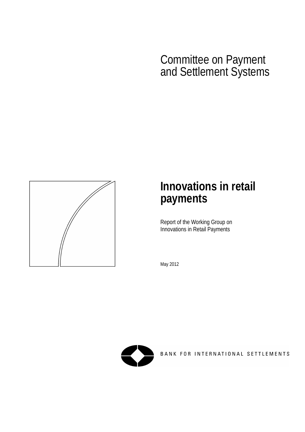# Committee on Payment and Settlement Systems



# **Innovations in retail payments**

Report of the Working Group on Innovations in Retail Payments

May 2012



BANK FOR INTERNATIONAL SETTLEMENTS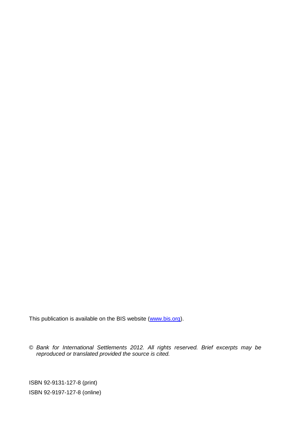This publication is available on the BIS website [\(www.bis.org\)](http://www.bis.org/).

© *Bank for International Settlements 2012. All rights reserved. Brief excerpts may be reproduced or translated provided the source is cited.*

ISBN 92-9131-127-8 (print) ISBN 92-9197-127-8 (online)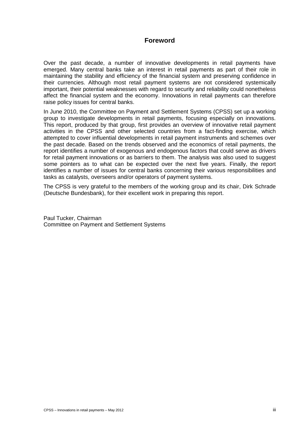# **Foreword**

<span id="page-2-0"></span>Over the past decade, a number of innovative developments in retail payments have emerged. Many central banks take an interest in retail payments as part of their role in maintaining the stability and efficiency of the financial system and preserving confidence in their currencies. Although most retail payment systems are not considered systemically important, their potential weaknesses with regard to security and reliability could nonetheless affect the financial system and the economy. Innovations in retail payments can therefore raise policy issues for central banks.

In June 2010, the Committee on Payment and Settlement Systems (CPSS) set up a working group to investigate developments in retail payments, focusing especially on innovations. This report, produced by that group, first provides an overview of innovative retail payment activities in the CPSS and other selected countries from a fact-finding exercise, which attempted to cover influential developments in retail payment instruments and schemes over the past decade. Based on the trends observed and the economics of retail payments, the report identifies a number of exogenous and endogenous factors that could serve as drivers for retail payment innovations or as barriers to them. The analysis was also used to suggest some pointers as to what can be expected over the next five years. Finally, the report identifies a number of issues for central banks concerning their various responsibilities and tasks as catalysts, overseers and/or operators of payment systems.

The CPSS is very grateful to the members of the working group and its chair, Dirk Schrade (Deutsche Bundesbank), for their excellent work in preparing this report.

Paul Tucker, Chairman Committee on Payment and Settlement Systems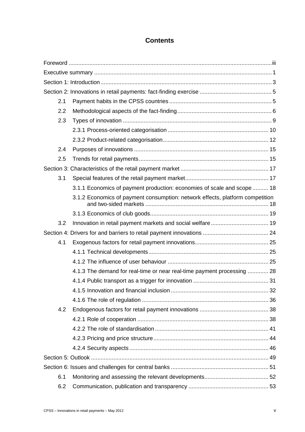# **Contents**

| 2.1 |                                                                               |  |  |  |
|-----|-------------------------------------------------------------------------------|--|--|--|
| 2.2 |                                                                               |  |  |  |
| 2.3 |                                                                               |  |  |  |
|     |                                                                               |  |  |  |
|     |                                                                               |  |  |  |
| 2.4 |                                                                               |  |  |  |
| 2.5 |                                                                               |  |  |  |
|     |                                                                               |  |  |  |
| 3.1 |                                                                               |  |  |  |
|     | 3.1.1 Economics of payment production: economies of scale and scope  18       |  |  |  |
|     | 3.1.2 Economics of payment consumption: network effects, platform competition |  |  |  |
|     |                                                                               |  |  |  |
| 3.2 |                                                                               |  |  |  |
|     |                                                                               |  |  |  |
| 4.1 |                                                                               |  |  |  |
|     |                                                                               |  |  |  |
|     |                                                                               |  |  |  |
|     | 4.1.3 The demand for real-time or near real-time payment processing  28       |  |  |  |
|     |                                                                               |  |  |  |
|     |                                                                               |  |  |  |
|     |                                                                               |  |  |  |
| 4.2 |                                                                               |  |  |  |
|     |                                                                               |  |  |  |
|     |                                                                               |  |  |  |
|     |                                                                               |  |  |  |
|     |                                                                               |  |  |  |
|     |                                                                               |  |  |  |
|     |                                                                               |  |  |  |
| 6.1 |                                                                               |  |  |  |
| 6.2 |                                                                               |  |  |  |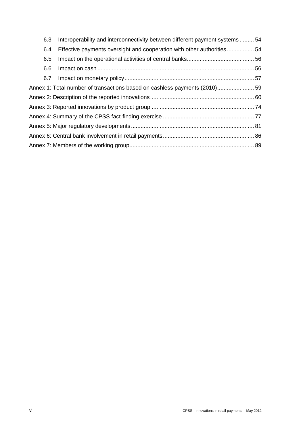| 6.3                                                                        | Interoperability and interconnectivity between different payment systems  54 |  |  |  |
|----------------------------------------------------------------------------|------------------------------------------------------------------------------|--|--|--|
| 6.4                                                                        | Effective payments oversight and cooperation with other authorities54        |  |  |  |
| 6.5                                                                        |                                                                              |  |  |  |
| 6.6                                                                        |                                                                              |  |  |  |
| 6.7                                                                        |                                                                              |  |  |  |
| Annex 1: Total number of transactions based on cashless payments (2010) 59 |                                                                              |  |  |  |
|                                                                            |                                                                              |  |  |  |
|                                                                            |                                                                              |  |  |  |
|                                                                            |                                                                              |  |  |  |
|                                                                            |                                                                              |  |  |  |
|                                                                            |                                                                              |  |  |  |
|                                                                            |                                                                              |  |  |  |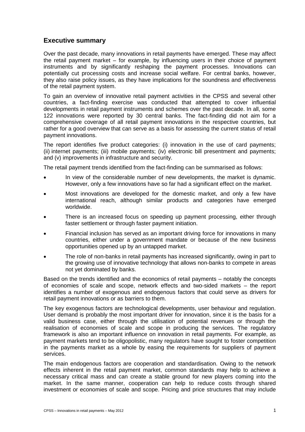# <span id="page-6-0"></span>**Executive summary**

Over the past decade, many innovations in retail payments have emerged. These may affect the retail payment market – for example, by influencing users in their choice of payment instruments and by significantly reshaping the payment processes. Innovations can potentially cut processing costs and increase social welfare. For central banks, however, they also raise policy issues, as they have implications for the soundness and effectiveness of the retail payment system.

To gain an overview of innovative retail payment activities in the CPSS and several other countries, a fact-finding exercise was conducted that attempted to cover influential developments in retail payment instruments and schemes over the past decade. In all, some 122 innovations were reported by 30 central banks. The fact-finding did not aim for a comprehensive coverage of all retail payment innovations in the respective countries, but rather for a good overview that can serve as a basis for assessing the current status of retail payment innovations.

The report identifies five product categories: (i) innovation in the use of card payments; (ii) internet payments; (iii) mobile payments; (iv) electronic bill presentment and payments; and (v) improvements in infrastructure and security.

The retail payment trends identified from the fact-finding can be summarised as follows:

- In view of the considerable number of new developments, the market is dynamic. However, only a few innovations have so far had a significant effect on the market.
- Most innovations are developed for the domestic market, and only a few have international reach, although similar products and categories have emerged worldwide.
- There is an increased focus on speeding up payment processing, either through faster settlement or through faster payment initiation.
- Financial inclusion has served as an important driving force for innovations in many countries, either under a government mandate or because of the new business opportunities opened up by an untapped market.
- The role of non-banks in retail payments has increased significantly, owing in part to the growing use of innovative technology that allows non-banks to compete in areas not yet dominated by banks.

Based on the trends identified and the economics of retail payments – notably the concepts of economies of scale and scope, network effects and two-sided markets – the report identifies a number of exogenous and endogenous factors that could serve as drivers for retail payment innovations or as barriers to them.

The key exogenous factors are technological developments, user behaviour and regulation. User demand is probably the most important driver for innovation, since it is the basis for a valid business case, either through the utilisation of potential revenues or through the realisation of economies of scale and scope in producing the services. The regulatory framework is also an important influence on innovation in retail payments. For example, as payment markets tend to be oligopolistic, many regulators have sought to foster competition in the payments market as a whole by easing the requirements for suppliers of payment services.

The main endogenous factors are cooperation and standardisation. Owing to the network effects inherent in the retail payment market, common standards may help to achieve a necessary critical mass and can create a stable ground for new players coming into the market. In the same manner, cooperation can help to reduce costs through shared investment or economies of scale and scope. Pricing and price structures that may include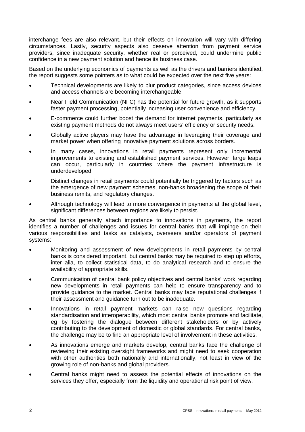interchange fees are also relevant, but their effects on innovation will vary with differing circumstances. Lastly, security aspects also deserve attention from payment service providers, since inadequate security, whether real or perceived, could undermine public confidence in a new payment solution and hence its business case.

Based on the underlying economics of payments as well as the drivers and barriers identified, the report suggests some pointers as to what could be expected over the next five years:

- Technical developments are likely to blur product categories, since access devices and access channels are becoming interchangeable.
- Near Field Communication (NFC) has the potential for future growth, as it supports faster payment processing, potentially increasing user convenience and efficiency.
- E-commerce could further boost the demand for internet payments, particularly as existing payment methods do not always meet users' efficiency or security needs.
- Globally active players may have the advantage in leveraging their coverage and market power when offering innovative payment solutions across borders.
- In many cases, innovations in retail payments represent only incremental improvements to existing and established payment services. However, large leaps can occur, particularly in countries where the payment infrastructure is underdeveloped.
- Distinct changes in retail payments could potentially be triggered by factors such as the emergence of new payment schemes, non-banks broadening the scope of their business remits, and regulatory changes.
- Although technology will lead to more convergence in payments at the global level, significant differences between regions are likely to persist.

As central banks generally attach importance to innovations in payments, the report identifies a number of challenges and issues for central banks that will impinge on their various responsibilities and tasks as catalysts, overseers and/or operators of payment systems:

- Monitoring and assessment of new developments in retail payments by central banks is considered important, but central banks may be required to step up efforts, inter alia, to collect statistical data, to do analytical research and to ensure the availability of appropriate skills.
- Communication of central bank policy objectives and central banks' work regarding new developments in retail payments can help to ensure transparency and to provide guidance to the market. Central banks may face reputational challenges if their assessment and guidance turn out to be inadequate.
- Innovations in retail payment markets can raise new questions regarding standardisation and interoperability, which most central banks promote and facilitate, eg by fostering the dialogue between different stakeholders or by actively contributing to the development of domestic or global standards. For central banks, the challenge may be to find an appropriate level of involvement in these activities.
- As innovations emerge and markets develop, central banks face the challenge of reviewing their existing oversight frameworks and might need to seek cooperation with other authorities both nationally and internationally, not least in view of the growing role of non-banks and global providers.
- Central banks might need to assess the potential effects of innovations on the services they offer, especially from the liquidity and operational risk point of view.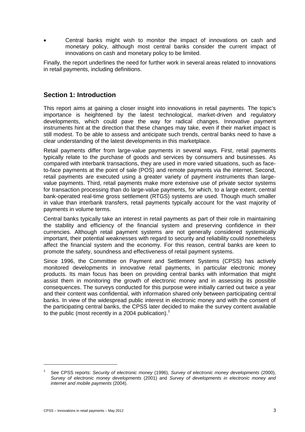• Central banks might wish to monitor the impact of innovations on cash and monetary policy, although most central banks consider the current impact of innovations on cash and monetary policy to be limited.

Finally, the report underlines the need for further work in several areas related to innovations in retail payments, including definitions.

# <span id="page-8-0"></span>**Section 1: Introduction**

This report aims at gaining a closer insight into innovations in retail payments. The topic's importance is heightened by the latest technological, market-driven and regulatory developments, which could pave the way for radical changes. Innovative payment instruments hint at the direction that these changes may take, even if their market impact is still modest. To be able to assess and anticipate such trends, central banks need to have a clear understanding of the latest developments in this marketplace.

Retail payments differ from large-value payments in several ways. First, retail payments typically relate to the purchase of goods and services by consumers and businesses. As compared with interbank transactions, they are used in more varied situations, such as faceto-face payments at the point of sale (POS) and remote payments via the internet. Second, retail payments are executed using a greater variety of payment instruments than largevalue payments. Third, retail payments make more extensive use of private sector systems for transaction processing than do large-value payments, for which, to a large extent, central bank-operated real-time gross settlement (RTGS) systems are used. Though much smaller in value than interbank transfers, retail payments typically account for the vast majority of payments in volume terms.

Central banks typically take an interest in retail payments as part of their role in maintaining the stability and efficiency of the financial system and preserving confidence in their currencies. Although retail payment systems are not generally considered systemically important, their potential weaknesses with regard to security and reliability could nonetheless affect the financial system and the economy. For this reason, central banks are keen to promote the safety, soundness and effectiveness of retail payment systems.

Since 1996, the Committee on Payment and Settlement Systems (CPSS) has actively monitored developments in innovative retail payments, in particular electronic money products. Its main focus has been on providing central banks with information that might assist them in monitoring the growth of electronic money and in assessing its possible consequences. The surveys conducted for this purpose were initially carried out twice a year and their content was confidential, with information shared only between participating central banks. In view of the widespread public interest in electronic money and with the consent of the participating central banks, the CPSS later decided to make the survey content available to the public (most recently in a 2004 publication).<sup>1</sup>

<sup>1</sup> See CPSS reports: *Security of electronic money* (1996), *Survey of electronic money developments* (2000), *Survey of electronic money developments* (2001) and *Survey of developments in electronic money and internet and mobile payments* (2004).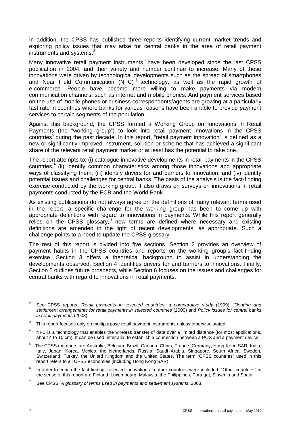In addition, the CPSS has published three reports identifying current market trends and exploring policy issues that may arise for central banks in the area of retail payment instruments and systems. $2$ 

Many innovative retail payment instruments<sup>3</sup> have been developed since the last CPSS publication in 2004, and their variety and number continue to increase. Many of these innovations were driven by technological developments such as the spread of smartphones and Near Field Communication  $(NFC)^4$  technology, as well as the rapid growth of e-commerce. People have become more willing to make payments via modern communication channels, such as internet and mobile phones. And payment services based on the use of mobile phones or business correspondents/agents are growing at a particularly fast rate in countries where banks for various reasons have been unable to provide payment services to certain segments of the population.

Against this background, the CPSS formed a Working Group on Innovations in Retail Payments (the "working group") to look into retail payment innovations in the CPSS countries<sup>5</sup> during the past decade. In this report, "retail payment innovation" is defined as a new or significantly improved instrument, solution or scheme that has achieved a significant share of the relevant retail payment market or at least has the potential to take one.

The report attempts to: (i) catalogue innovative developments in retail payments in the CPSS countries, <sup>6</sup> (ii) identify common characteristics among those innovations and appropriate ways of classifying them; (iii) identify drivers for and barriers to innovation; and (iv) identify potential issues and challenges for central banks. The basis of the analysis is the fact-finding exercise conducted by the working group. It also draws on surveys on innovations in retail payments conducted by the ECB and the World Bank.

As existing publications do not always agree on the definitions of many relevant terms used in the report, a specific challenge for the working group has been to come up with appropriate definitions with regard to innovations in payments. While this report generally relies on the CPSS glossary,  $7$  new terms are defined where necessary and existing definitions are amended in the light of recent developments, as appropriate. Such a challenge points to a need to update the CPSS glossary.

The rest of this report is divided into five sections. Section 2 provides an overview of payment habits in the CPSS countries and reports on the working group's fact-finding exercise. Section 3 offers a theoretical background to assist in understanding the developments observed. Section 4 identifies drivers for and barriers to innovations. Finally, Section 5 outlines future prospects, while Section 6 focuses on the issues and challenges for central banks with regard to innovations in retail payments.

<sup>2</sup> See CPSS reports: *Retail payments in selected countries: a comparative study* (1999), *Clearing and settlement arrangements for retail payments in selected countries* (2000) and *Policy issues for central banks in retail payments* (2003).

 $3$  This report focuses only on multipurpose retail payment instruments unless otherwise stated.

NFC is a technology that enables the wireless transfer of data over a limited distance (for most applications, about 4 to 10 cm). It can be used, inter alia, to establish a connection between a POS and a payment device.

<sup>5</sup> The CPSS members are Australia, Belgium, Brazil, Canada, China, France, Germany, Hong Kong SAR, India, Italy, Japan, Korea, Mexico, the Netherlands, Russia, Saudi Arabia, Singapore, South Africa, Sweden, Switzerland, Turkey, the United Kingdom and the United States. The term "CPSS countries" used in this report refers to all CPSS economies (including Hong Kong SAR).

<sup>&</sup>lt;sup>6</sup> In order to enrich the fact-finding, selected innovations in other countries were included. "Other countries" in the sense of this report are Finland, Luxembourg, Malaysia, the Philippines, Portugal, Slovenia and Spain.

<sup>7</sup> See CPSS, *A glossary of terms used in payments and settlement systems*, 2003.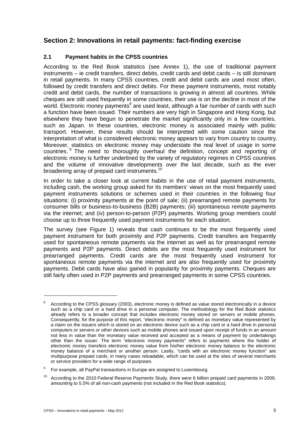# <span id="page-10-1"></span><span id="page-10-0"></span>**Section 2: Innovations in retail payments: fact-finding exercise**

## **2.1 Payment habits in the CPSS countries**

According to the Red Book statistics (see Annex 1), the use of traditional payment instruments – ie credit transfers, direct debits, credit cards and debit cards – is still dominant in retail payments. In many CPSS countries, credit and debit cards are used most often, followed by credit transfers and direct debits. For these payment instruments, most notably credit and debit cards, the number of transactions is growing in almost all countries. While cheques are still used frequently in some countries, their use is on the decline in most of the world. Electronic money payments<sup>8</sup> are used least, although a fair number of cards with such a function have been issued. Their numbers are very high in Singapore and Hong Kong, but elsewhere they have begun to penetrate the market significantly only in a few countries, such as Japan. In these countries, electronic money is associated mainly with public transport. However, these results should be interpreted with some caution since the interpretation of what is considered electronic money appears to vary from country to country. Moreover, statistics on electronic money may understate the real level of usage in some countries. <sup>9</sup> The need to thoroughly overhaul the definition, concept and reporting of electronic money is further underlined by the variety of regulatory regimes in CPSS countries and the volume of innovative developments over the last decade, such as the ever broadening array of prepaid card instruments.<sup>10</sup>

In order to take a closer look at current habits in the use of retail payment instruments, including cash, the working group asked for its members' views on the most frequently used payment instruments solutions or schemes used in their countries in the following four situations: (i) proximity payments at the point of sale; (ii) prearranged remote payments for consumer bills or business-to-business (B2B) payments; (iii) spontaneous remote payments via the internet; and (iv) person-to-person (P2P) payments. Working group members could choose up to three frequently used payment instruments for each situation.

The survey (see Figure 1) reveals that cash continues to be the most frequently used payment instrument for both proximity and P2P payments. Credit transfers are frequently used for spontaneous remote payments via the internet as well as for prearranged remote payments and P2P payments. Direct debits are the most frequently used instrument for prearranged payments. Credit cards are the most frequently used instrument for spontaneous remote payments via the internet and are also frequently used for proximity payments. Debit cards have also gained in popularity for proximity payments. Cheques are still fairly often used in P2P payments and prearranged payments in some CPSS countries.

<sup>&</sup>lt;sup>8</sup> According to the CPSS glossary (2003), electronic money is defined as value stored electronically in a device such as a chip card or a hard drive in a personal computer. The methodology for the Red Book statistics already refers to a broader concept that includes electronic money stored on servers or mobile phones. Consequently, for the purpose of this report, "electronic money" is defined as monetary value represented by a claim on the issuers which is stored on an electronic device such as a chip card or a hard drive in personal computers or servers or other devices such as mobile phones and issued upon receipt of funds in an amount not less in value than the monetary value received and accepted as a means of payment by undertakings other than the issuer. The term "electronic money payments" refers to payments where the holder of electronic money transfers electronic money value from his/her electronic money balance to the electronic money balance of a merchant or another person. Lastly, "cards with an electronic money function" are multipurpose prepaid cards, in many cases reloadable, which can be used at the sites of several merchants or service providers for a wide range of purposes.

 $9$  For example, all PayPal transactions in Europe are assigned to Luxembourg.

 $10$  According to the 2010 Federal Reserve Payments Study, there were 6 billion prepaid card payments in 2009, amounting to 5.5% of all non-cash payments (not included in the Red Book statistics).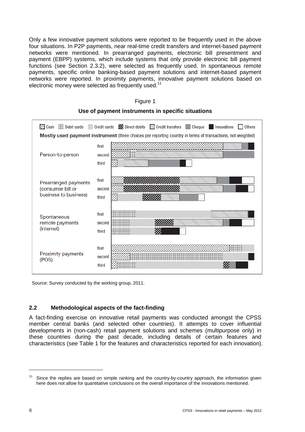Only a few innovative payment solutions were reported to be frequently used in the above four situations. In P2P payments, near real-time credit transfers and internet-based payment networks were mentioned. In prearranged payments, electronic bill presentment and payment (EBPP) systems, which include systems that only provide electronic bill payment functions (see Section 2.3.2), were selected as frequently used. In spontaneous remote payments, specific online banking-based payment solutions and internet-based payment networks were reported. In proximity payments, innovative payment solutions based on electronic money were selected as frequently used.<sup>11</sup>



# Figure 1 **Use of payment instruments in specific situations**

Source: Survey conducted by the working group, 2011.

## <span id="page-11-0"></span>**2.2 Methodological aspects of the fact-finding**

A fact-finding exercise on innovative retail payments was conducted amongst the CPSS member central banks (and selected other countries). It attempts to cover influential developments in (non-cash) retail payment solutions and schemes (multipurpose only) in these countries during the past decade, including details of certain features and characteristics (see Table 1 for the features and characteristics reported for each innovation).

Since the replies are based on simple ranking and the country-by-country approach, the information given here does not allow for quantitative conclusions on the overall importance of the innovations mentioned.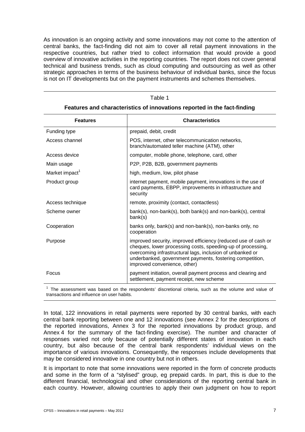As innovation is an ongoing activity and some innovations may not come to the attention of central banks, the fact-finding did not aim to cover all retail payment innovations in the respective countries, but rather tried to collect information that would provide a good overview of innovative activities in the reporting countries. The report does not cover general technical and business trends, such as cloud computing and outsourcing as well as other strategic approaches in terms of the business behaviour of individual banks, since the focus is not on IT developments but on the payment instruments and schemes themselves.

Table 1

| Features and characteristics of innovations reported in the fact-finding |                                                                                                                                                                                                                                                                                        |  |  |
|--------------------------------------------------------------------------|----------------------------------------------------------------------------------------------------------------------------------------------------------------------------------------------------------------------------------------------------------------------------------------|--|--|
| <b>Features</b>                                                          | <b>Characteristics</b>                                                                                                                                                                                                                                                                 |  |  |
| Funding type                                                             | prepaid, debit, credit                                                                                                                                                                                                                                                                 |  |  |
| Access channel                                                           | POS, internet, other telecommunication networks,<br>branch/automated teller machine (ATM), other                                                                                                                                                                                       |  |  |
| Access device                                                            | computer, mobile phone, telephone, card, other                                                                                                                                                                                                                                         |  |  |
| Main usage                                                               | P2P, P2B, B2B, government payments                                                                                                                                                                                                                                                     |  |  |
| Market impact <sup>1</sup>                                               | high, medium, low, pilot phase                                                                                                                                                                                                                                                         |  |  |
| Product group                                                            | internet payment, mobile payment, innovations in the use of<br>card payments, EBPP, improvements in infrastructure and<br>security                                                                                                                                                     |  |  |
| Access technique                                                         | remote, proximity (contact, contactless)                                                                                                                                                                                                                                               |  |  |
| Scheme owner                                                             | bank(s), non-bank(s), both bank(s) and non-bank(s), central<br>bank(s)                                                                                                                                                                                                                 |  |  |
| Cooperation                                                              | banks only, bank(s) and non-bank(s), non-banks only, no<br>cooperation                                                                                                                                                                                                                 |  |  |
| Purpose                                                                  | improved security, improved efficiency (reduced use of cash or<br>cheques, lower processing costs, speeding-up of processing,<br>overcoming infrastructural lags, inclusion of unbanked or<br>underbanked, government payments, fostering competition,<br>improved convenience, other) |  |  |
| Focus                                                                    | payment initiation, overall payment process and clearing and<br>settlement, payment receipt, new scheme                                                                                                                                                                                |  |  |
|                                                                          | <sup>1</sup> The assossment was based on the respondents' discretional criteria, such as the volume and value of                                                                                                                                                                       |  |  |

The assessment was based on the respondents' discretional criteria, such as the volume and value of transactions and influence on user habits.

In total, 122 innovations in retail payments were reported by 30 central banks, with each central bank reporting between one and 12 innovations (see Annex 2 for the descriptions of the reported innovations, Annex 3 for the reported innovations by product group, and Annex 4 for the summary of the fact-finding exercise). The number and character of responses varied not only because of potentially different states of innovation in each country, but also because of the central bank respondents' individual views on the importance of various innovations. Consequently, the responses include developments that may be considered innovative in one country but not in others.

It is important to note that some innovations were reported in the form of concrete products and some in the form of a "stylised" group, eg prepaid cards. In part, this is due to the different financial, technological and other considerations of the reporting central bank in each country. However, allowing countries to apply their own judgment on how to report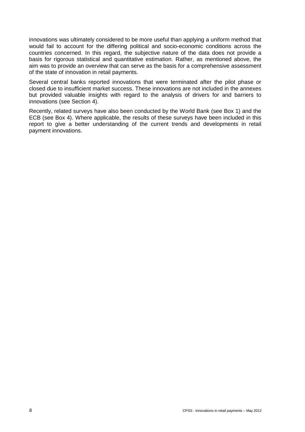innovations was ultimately considered to be more useful than applying a uniform method that would fail to account for the differing political and socio-economic conditions across the countries concerned. In this regard, the subjective nature of the data does not provide a basis for rigorous statistical and quantitative estimation. Rather, as mentioned above, the aim was to provide an overview that can serve as the basis for a comprehensive assessment of the state of innovation in retail payments.

Several central banks reported innovations that were terminated after the pilot phase or closed due to insufficient market success. These innovations are not included in the annexes but provided valuable insights with regard to the analysis of drivers for and barriers to innovations (see Section 4).

Recently, related surveys have also been conducted by the World Bank (see Box 1) and the ECB (see Box 4). Where applicable, the results of these surveys have been included in this report to give a better understanding of the current trends and developments in retail payment innovations.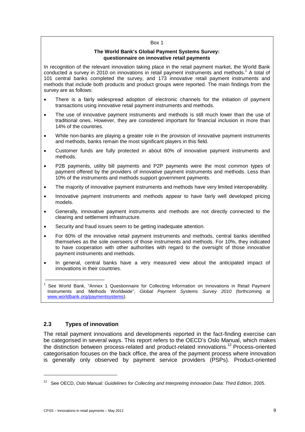#### Box 1

#### **The World Bank's Global Payment Systems Survey: questionnaire on innovative retail payments**

In recognition of the relevant innovation taking place in the retail payment market, the World Bank conducted a survey in 2010 on innovations in retail payment instruments and methods.<sup>1</sup> A total of 101 central banks completed the survey, and 173 innovative retail payment instruments and methods that include both products and product groups were reported. The main findings from the survey are as follows:

- There is a fairly widespread adoption of electronic channels for the initiation of payment transactions using innovative retail payment instruments and methods.
- The use of innovative payment instruments and methods is still much lower than the use of traditional ones. However, they are considered important for financial inclusion in more than 14% of the countries.
- While non-banks are playing a greater role in the provision of innovative payment instruments and methods, banks remain the most significant players in this field.
- Customer funds are fully protected in about 60% of innovative payment instruments and methods.
- P2B payments, utility bill payments and P2P payments were the most common types of payment offered by the providers of innovative payment instruments and methods. Less than 10% of the instruments and methods support government payments.
- The majority of innovative payment instruments and methods have very limited interoperability.
- Innovative payment instruments and methods appear to have fairly well developed pricing models.
- Generally, innovative payment instruments and methods are not directly connected to the clearing and settlement infrastructure.
- Security and fraud issues seem to be getting inadequate attention.
- For 60% of the innovative retail payment instruments and methods, central banks identified themselves as the sole overseers of those instruments and methods. For 10%, they indicated to have cooperation with other authorities with regard to the oversight of those innovative payment instruments and methods.
- In general, central banks have a very measured view about the anticipated impact of innovations in their countries.

#### <span id="page-14-0"></span>**2.3 Types of innovation**

\_\_\_\_\_\_\_\_\_\_\_\_\_\_\_\_\_\_\_\_\_

The retail payment innovations and developments reported in the fact-finding exercise can be categorised in several ways. This report refers to the OECD's Oslo Manual, which makes the distinction between process-related and product-related innovations.<sup>12</sup> Process-oriented categorisation focuses on the back office, the area of the payment process where innovation is generally only observed by payment service providers (PSPs). Product-oriented

<sup>&</sup>lt;sup>1</sup> See World Bank, "Annex 1 Questionnaire for Collecting Information on Innovations in Retail Payment Instruments and Methods Worldwide", *Global Payment Systems Survey 2010* (forthcoming at [www.worldbank.org/paymentsystems\)](http://www.worldbank.org/paymentsystems).

<sup>12</sup> See OECD, *Oslo Manual: Guidelines for Collecting and Interpreting Innovation Data: Third Edition*, 2005.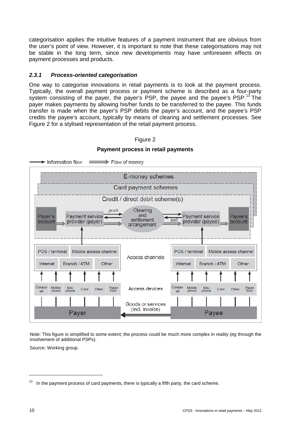categorisation applies the intuitive features of a payment instrument that are obvious from the user's point of view. However, it is important to note that these categorisations may not be stable in the long term, since new developments may have unforeseen effects on payment processes and products.

## <span id="page-15-0"></span>*2.3.1 Process-oriented categorisation*

One way to categorise innovations in retail payments is to look at the payment process. Typically, the overall payment process or payment scheme is described as a four-party system consisting of the payer, the payer's PSP, the payee and the payee's PSP.<sup>13</sup> The payer makes payments by allowing his/her funds to be transferred to the payee. This funds transfer is made when the payer's PSP debits the payer's account, and the payee's PSP credits the payee's account, typically by means of clearing and settlement processes. See Figure 2 for a stylised representation of the retail payment process.



## Figure 2

#### **Payment process in retail payments**

Note: This figure is simplified to some extent; the process could be much more complex in reality (eg through the involvement of additional PSPs).

Source: Working group.

 $13$  In the payment process of card payments, there is typically a fifth party, the card scheme.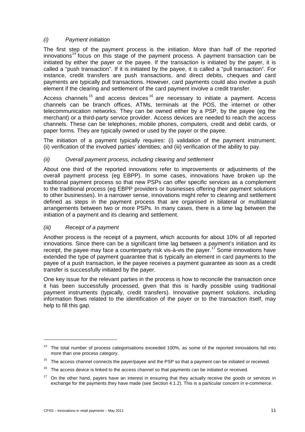## *(i) Payment initiation*

The first step of the payment process is the initiation. More than half of the reported innovations<sup>14</sup> focus on this stage of the payment process. A payment transaction can be initiated by either the payer or the payee. If the transaction is initiated by the payer, it is called a "push transaction". If it is initiated by the payee, it is called a "pull transaction". For instance, credit transfers are push transactions, and direct debits, cheques and card payments are typically pull transactions. However, card payments could also involve a push element if the clearing and settlement of the card payment involve a credit transfer.

Access channels<sup>15</sup> and access devices<sup>16</sup> are necessary to initiate a payment. Access channels can be branch offices, ATMs, terminals at the POS, the internet or other telecommunication networks. They can be owned either by a PSP, by the payee (eg the merchant) or a third-party service provider. Access devices are needed to reach the access channels. These can be telephones, mobile phones, computers, credit and debit cards, or paper forms. They are typically owned or used by the payer or the payee.

The initiation of a payment typically requires: (i) validation of the payment instrument; (ii) verification of the involved parties' identities; and (iii) verification of the ability to pay.

## *(ii) Overall payment process, including clearing and settlement*

About one third of the reported innovations refer to improvements or adjustments of the overall payment process (eg EBPP). In some cases, innovations have broken up the traditional payment process so that new PSPs can offer specific services as a complement to the traditional process (eg EBPP providers or businesses offering their payment solutions to other businesses). In a narrower sense, innovations might refer to clearing and settlement defined as steps in the payment process that are organised in bilateral or multilateral arrangements between two or more PSPs. In many cases, there is a time lag between the initiation of a payment and its clearing and settlement.

## *(iii) Receipt of a payment*

Another process is the receipt of a payment, which accounts for about 10% of all reported innovations. Since there can be a significant time lag between a payment's initiation and its receipt, the payee may face a counterparty risk vis- $a$ -vis the payer.<sup>17</sup> Some innovations have extended the type of payment guarantee that is typically an element in card payments to the payee of a push transaction, ie the payee receives a payment guarantee as soon as a credit transfer is successfully initiated by the payer.

One key issue for the relevant parties in the process is how to reconcile the transaction once it has been successfully processed, given that this is hardly possible using traditional payment instruments (typically, credit transfers). Innovative payment solutions, including information flows related to the identification of the payer or to the transaction itself, may help to fill this gap.

<sup>&</sup>lt;sup>14</sup> The total number of process categorisations exceeded 100%, as some of the reported innovations fall into more than one process category.

 $15$  The access channel connects the payer/payee and the PSP so that a payment can be initiated or received.

 $16$  The access device is linked to the access channel so that payments can be initiated or received.

 $17$  On the other hand, payers have an interest in ensuring that they actually receive the goods or services in exchange for the payments they have made (see Section 4.1.2). This is a particular concern in e-commerce.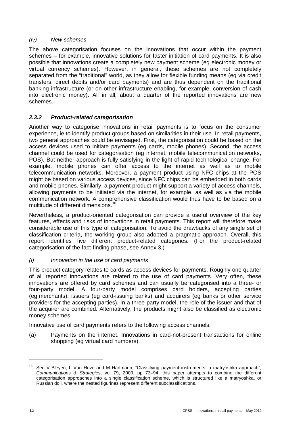## *(iv) New schemes*

The above categorisation focuses on the innovations that occur within the payment schemes – for example, innovative solutions for faster initiation of card payments. It is also possible that innovations create a completely new payment scheme (eg electronic money or virtual currency schemes). However, in general, these schemes are not completely separated from the "traditional" world, as they allow for flexible funding means (eg via credit transfers, direct debits and/or card payments) and are thus dependent on the traditional banking infrastructure (or on other infrastructure enabling, for example, conversion of cash into electronic money). All in all, about a quarter of the reported innovations are new schemes.

## <span id="page-17-0"></span>*2.3.2 Product-related categorisation*

Another way to categorise innovations in retail payments is to focus on the consumer experience, ie to identify product groups based on similarities in their use. In retail payments, two general approaches could be envisaged. First, the categorisation could be based on the access devices used to initiate payments (eg cards, mobile phones). Second, the access channel could be used for categorisation (eg internet, mobile telecommunication networks, POS). But neither approach is fully satisfying in the light of rapid technological change. For example, mobile phones can offer access to the internet as well as to mobile telecommunication networks. Moreover, a payment product using NFC chips at the POS might be based on various access devices, since NFC chips can be embedded in both cards and mobile phones. Similarly, a payment product might support a variety of access channels, allowing payments to be initiated via the internet, for example, as well as via the mobile communication network. A comprehensive classification would thus have to be based on a multitude of different dimensions.<sup>1</sup>

Nevertheless, a product-oriented categorisation can provide a useful overview of the key features, effects and risks of innovations in retail payments. This report will therefore make considerable use of this type of categorisation. To avoid the drawbacks of any single set of classification criteria, the working group also adopted a pragmatic approach. Overall, this report identifies five different product-related categories. (For the product-related categorisation of the fact-finding phase, see Annex 3.)

## *(i) Innovation in the use of card payments*

This product category relates to cards as access devices for payments. Roughly one quarter of all reported innovations are related to the use of card payments. Very often, these innovations are offered by card schemes and can usually be categorised into a three- or four-party model. A four-party model comprises card holders, accepting parties (eg merchants), issuers (eg card-issuing banks) and acquirers (eg banks or other service providers for the accepting parties). In a three-party model, the role of the issuer and that of the acquirer are combined. Alternatively, the products might also be classified as electronic money schemes.

Innovative use of card payments refers to the following access channels:

(a) Payments on the internet. Innovations in card-not-present transactions for online shopping (eg virtual card numbers).

See V Bleyen, L Van Hove and M Hartmann, "Classifying payment instruments: a matryoshka approach", *Communications & Strategies*, vol 79, 2009, pp 73–94: this paper attempts to combine the different categorisation approaches into a single classification scheme, which is structured like a matryoshka, or Russian doll, where the nested figurines represent different subclassifications.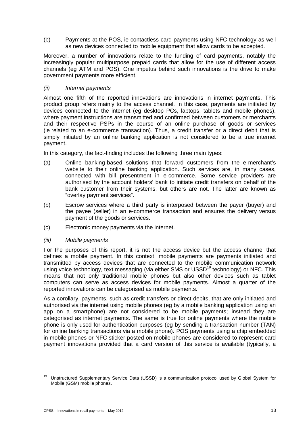(b) Payments at the POS, ie contactless card payments using NFC technology as well as new devices connected to mobile equipment that allow cards to be accepted.

Moreover, a number of innovations relate to the funding of card payments, notably the increasingly popular multipurpose prepaid cards that allow for the use of different access channels (eg ATM and POS). One impetus behind such innovations is the drive to make government payments more efficient.

#### *(ii) Internet payments*

Almost one fifth of the reported innovations are innovations in internet payments. This product group refers mainly to the access channel. In this case, payments are initiated by devices connected to the internet (eg desktop PCs, laptops, tablets and mobile phones), where payment instructions are transmitted and confirmed between customers or merchants and their respective PSPs in the course of an online purchase of goods or services (ie related to an e-commerce transaction). Thus, a credit transfer or a direct debit that is simply initiated by an online banking application is not considered to be a true internet payment.

In this category, the fact-finding includes the following three main types:

- (a) Online banking-based solutions that forward customers from the e-merchant's website to their online banking application. Such services are, in many cases, connected with bill presentment in e-commerce. Some service providers are authorised by the account holders' bank to initiate credit transfers on behalf of the bank customer from their systems, but others are not. The latter are known as "overlay payment services".
- (b) Escrow services where a third party is interposed between the payer (buyer) and the payee (seller) in an e-commerce transaction and ensures the delivery versus payment of the goods or services.
- (c) Electronic money payments via the internet.

#### *(iii) Mobile payments*

For the purposes of this report, it is not the access device but the access channel that defines a mobile payment. In this context, mobile payments are payments initiated and transmitted by access devices that are connected to the mobile communication network using voice technology, text messaging (via either SMS or USSD<sup>19</sup> technology) or NFC. This means that not only traditional mobile phones but also other devices such as tablet computers can serve as access devices for mobile payments. Almost a quarter of the reported innovations can be categorised as mobile payments.

As a corollary, payments, such as credit transfers or direct debits, that are only initiated and authorised via the internet using mobile phones (eg by a mobile banking application using an app on a smartphone) are not considered to be mobile payments; instead they are categorised as internet payments. The same is true for online payments where the mobile phone is only used for authentication purposes (eg by sending a transaction number (TAN) for online banking transactions via a mobile phone). POS payments using a chip embedded in mobile phones or NFC sticker posted on mobile phones are considered to represent card payment innovations provided that a card version of this service is available (typically, a

<sup>&</sup>lt;sup>19</sup> Unstructured Supplementary Service Data (USSD) is a communication protocol used by Global System for Mobile (GSM) mobile phones.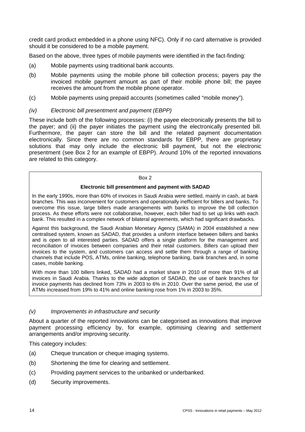credit card product embedded in a phone using NFC). Only if no card alternative is provided should it be considered to be a mobile payment.

Based on the above, three types of mobile payments were identified in the fact-finding:

- (a) Mobile payments using traditional bank accounts.
- (b) Mobile payments using the mobile phone bill collection process; payers pay the invoiced mobile payment amount as part of their mobile phone bill; the payee receives the amount from the mobile phone operator.
- (c) Mobile payments using prepaid accounts (sometimes called "mobile money").

## *(iv) Electronic bill presentment and payment (EBPP)*

These include both of the following processes: (i) the payee electronically presents the bill to the payer; and (ii) the payer initiates the payment using the electronically presented bill. Furthermore, the payer can store the bill and the related payment documentation electronically. Since there are no common standards for EBPP, there are proprietary solutions that may only include the electronic bill payment, but not the electronic presentment (see Box 2 for an example of EBPP). Around 10% of the reported innovations are related to this category.

#### Box 2

#### **Electronic bill presentment and payment with SADAD**

In the early 1990s, more than 60% of invoices in Saudi Arabia were settled, mainly in cash, at bank branches. This was inconvenient for customers and operationally inefficient for billers and banks. To overcome this issue, large billers made arrangements with banks to improve the bill collection process. As these efforts were not collaborative, however, each biller had to set up links with each bank. This resulted in a complex network of bilateral agreements, which had significant drawbacks.

Against this background, the Saudi Arabian Monetary Agency (SAMA) in 2004 established a new centralised system, known as SADAD, that provides a uniform interface between billers and banks and is open to all interested parties. SADAD offers a single platform for the management and reconciliation of invoices between companies and their retail customers. Billers can upload their invoices to the system, and customers can access and settle them through a range of banking channels that include POS, ATMs, online banking, telephone banking, bank branches and, in some cases, mobile banking.

With more than 100 billers linked, SADAD had a market share in 2010 of more than 91% of all invoices in Saudi Arabia. Thanks to the wide adoption of SADAD, the use of bank branches for invoice payments has declined from 73% in 2003 to 6% in 2010. Over the same period, the use of ATMs increased from 19% to 41% and online banking rose from 1% in 2003 to 35%.

## *(v) Improvements in infrastructure and security*

About a quarter of the reported innovations can be categorised as innovations that improve payment processing efficiency by, for example, optimising clearing and settlement arrangements and/or improving security.

This category includes:

- (a) Cheque truncation or cheque imaging systems.
- (b) Shortening the time for clearing and settlement.
- (c) Providing payment services to the unbanked or underbanked.
- (d) Security improvements.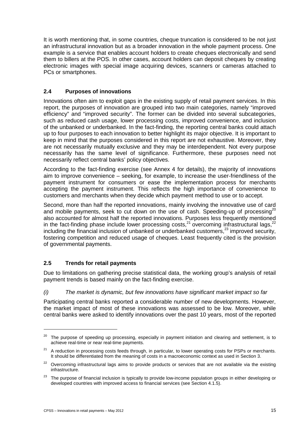It is worth mentioning that, in some countries, cheque truncation is considered to be not just an infrastructural innovation but as a broader innovation in the whole payment process. One example is a service that enables account holders to create cheques electronically and send them to billers at the POS. In other cases, account holders can deposit cheques by creating electronic images with special image acquiring devices, scanners or cameras attached to PCs or smartphones.

## <span id="page-20-0"></span>**2.4 Purposes of innovations**

Innovations often aim to exploit gaps in the existing supply of retail payment services. In this report, the purposes of innovation are grouped into two main categories, namely "improved efficiency" and "improved security". The former can be divided into several subcategories, such as reduced cash usage, lower processing costs, improved convenience, and inclusion of the unbanked or underbanked. In the fact-finding, the reporting central banks could attach up to four purposes to each innovation to better highlight its major objective. It is important to keep in mind that the purposes considered in this report are not exhaustive. Moreover, they are not necessarily mutually exclusive and they may be interdependent. Not every purpose necessarily has the same level of significance. Furthermore, these purposes need not necessarily reflect central banks' policy objectives.

According to the fact-finding exercise (see Annex 4 for details), the majority of innovations aim to improve convenience – seeking, for example, to increase the user-friendliness of the payment instrument for consumers or ease the implementation process for merchants accepting the payment instrument. This reflects the high importance of convenience to customers and merchants when they decide which payment method to use or to accept.

Second, more than half the reported innovations, mainly involving the innovative use of card and mobile payments, seek to cut down on the use of cash. Speeding-up of processing<sup>20</sup> also accounted for almost half the reported innovations. Purposes less frequently mentioned in the fact-finding phase include lower processing costs, $^{21}$  overcoming infrastructural lags, $^{22}$ including the financial inclusion of unbanked or underbanked customers, $^{23}$  improved security, fostering competition and reduced usage of cheques. Least frequently cited is the provision of governmental payments.

## <span id="page-20-1"></span>**2.5 Trends for retail payments**

Due to limitations on gathering precise statistical data, the working group's analysis of retail payment trends is based mainly on the fact-finding exercise.

## *(i) The market is dynamic, but few innovations have significant market impact so far*

Participating central banks reported a considerable number of new developments. However, the market impact of most of these innovations was assessed to be low. Moreover, while central banks were asked to identify innovations over the past 10 years, most of the reported

<sup>&</sup>lt;sup>20</sup> The purpose of speeding up processing, especially in payment initiation and clearing and settlement, is to achieve real-time or near real-time payments.

 $21$  A reduction in processing costs feeds through, in particular, to lower operating costs for PSPs or merchants. It should be differentiated from the meaning of costs in a macroeconomic context as used in Section 3.

<sup>&</sup>lt;sup>22</sup> Overcoming infrastructural lags aims to provide products or services that are not available via the existing infrastructure.

<sup>&</sup>lt;sup>23</sup> The purpose of financial inclusion is typically to provide low-income population groups in either developing or developed countries with improved access to financial services (see Section 4.1.5).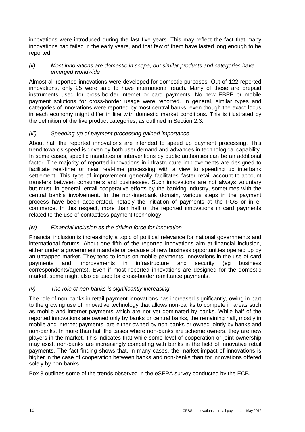innovations were introduced during the last five years. This may reflect the fact that many innovations had failed in the early years, and that few of them have lasted long enough to be reported.

## *(ii) Most innovations are domestic in scope, but similar products and categories have emerged worldwide*

Almost all reported innovations were developed for domestic purposes. Out of 122 reported innovations, only 25 were said to have international reach. Many of these are prepaid instruments used for cross-border internet or card payments. No new EBPP or mobile payment solutions for cross-border usage were reported. In general, similar types and categories of innovations were reported by most central banks, even though the exact focus in each economy might differ in line with domestic market conditions. This is illustrated by the definition of the five product categories, as outlined in Section 2.3.

## *(iii) Speeding-up of payment processing gained importance*

About half the reported innovations are intended to speed up payment processing. This trend towards speed is driven by both user demand and advances in technological capability. In some cases, specific mandates or interventions by public authorities can be an additional factor. The majority of reported innovations in infrastructure improvements are designed to facilitate real-time or near real-time processing with a view to speeding up interbank settlement. This type of improvement generally facilitates faster retail account-to-account transfers between consumers and businesses. Such innovations are not always voluntary but must, in general, entail cooperative efforts by the banking industry, sometimes with the central bank's involvement. In the non-interbank domain, various steps in the payment process have been accelerated, notably the initiation of payments at the POS or in ecommerce. In this respect, more than half of the reported innovations in card payments related to the use of contactless payment technology.

## *(iv) Financial inclusion as the driving force for innovation*

Financial inclusion is increasingly a topic of political relevance for national governments and international forums. About one fifth of the reported innovations aim at financial inclusion, either under a government mandate or because of new business opportunities opened up by an untapped market. They tend to focus on mobile payments, innovations in the use of card<br>payments and improvements in infrastructure and security (eq business payments and improvements in infrastructure and security (eg business correspondents/agents). Even if most reported innovations are designed for the domestic market, some might also be used for cross-border remittance payments.

## *(v) The role of non-banks is significantly increasing*

The role of non-banks in retail payment innovations has increased significantly, owing in part to the growing use of innovative technology that allows non-banks to compete in areas such as mobile and internet payments which are not yet dominated by banks. While half of the reported innovations are owned only by banks or central banks, the remaining half, mostly in mobile and internet payments, are either owned by non-banks or owned jointly by banks and non-banks. In more than half the cases where non-banks are scheme owners, they are new players in the market. This indicates that while some level of cooperation or joint ownership may exist, non-banks are increasingly competing with banks in the field of innovative retail payments. The fact-finding shows that, in many cases, the market impact of innovations is higher in the case of cooperation between banks and non-banks than for innovations offered solely by non-banks.

Box 3 outlines some of the trends observed in the eSEPA survey conducted by the ECB.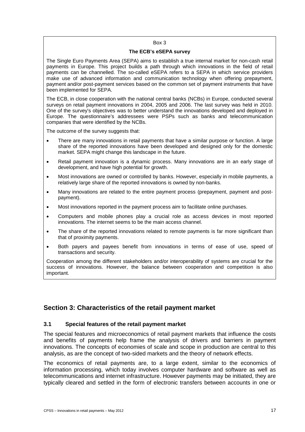#### Box 3

#### **The ECB's eSEPA survey**

The Single Euro Payments Area (SEPA) aims to establish a true internal market for non-cash retail payments in Europe. This project builds a path through which innovations in the field of retail payments can be channelled. The so-called eSEPA refers to a SEPA in which service providers make use of advanced information and communication technology when offering prepayment, payment and/or post-payment services based on the common set of payment instruments that have been implemented for SEPA.

The ECB, in close cooperation with the national central banks (NCBs) in Europe, conducted several surveys on retail payment innovations in 2004, 2005 and 2006. The last survey was held in 2010. One of the survey's objectives was to better understand the innovations developed and deployed in Europe. The questionnaire's addressees were PSPs such as banks and telecommunication companies that were identified by the NCBs.

The outcome of the survey suggests that:

- There are many innovations in retail payments that have a similar purpose or function. A large share of the reported innovations have been developed and designed only for the domestic market. SEPA might change this landscape in the future.
- Retail payment innovation is a dynamic process. Many innovations are in an early stage of development, and have high potential for growth.
- Most innovations are owned or controlled by banks. However, especially in mobile payments, a relatively large share of the reported innovations is owned by non-banks.
- Many innovations are related to the entire payment process (prepayment, payment and postpayment).
- Most innovations reported in the payment process aim to facilitate online purchases.
- Computers and mobile phones play a crucial role as access devices in most reported innovations. The internet seems to be the main access channel.
- The share of the reported innovations related to remote payments is far more significant than that of proximity payments.
- Both payers and payees benefit from innovations in terms of ease of use, speed of transactions and security.

Cooperation among the different stakeholders and/or interoperability of systems are crucial for the success of innovations. However, the balance between cooperation and competition is also important.

# <span id="page-22-1"></span><span id="page-22-0"></span>**Section 3: Characteristics of the retail payment market**

#### **3.1 Special features of the retail payment market**

The special features and microeconomics of retail payment markets that influence the costs and benefits of payments help frame the analysis of drivers and barriers in payment innovations. The concepts of economies of scale and scope in production are central to this analysis, as are the concept of two-sided markets and the theory of network effects.

The economics of retail payments are, to a large extent, similar to the economics of information processing, which today involves computer hardware and software as well as telecommunications and internet infrastructure. However payments may be initiated, they are typically cleared and settled in the form of electronic transfers between accounts in one or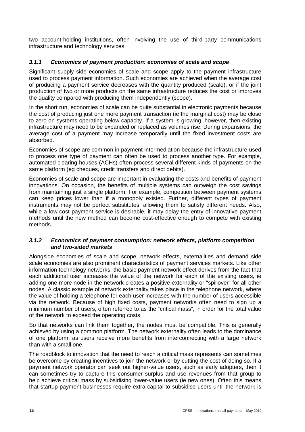two account-holding institutions, often involving the use of third-party communications infrastructure and technology services.

## <span id="page-23-0"></span>*3.1.1 Economics of payment production: economies of scale and scope*

Significant supply side economies of scale and scope apply to the payment infrastructure used to process payment information. Such economies are achieved when the average cost of producing a payment service decreases with the quantity produced (scale), or if the joint production of two or more products on the same infrastructure reduces the cost or improves the quality compared with producing them independently (scope).

In the short run, economies of scale can be quite substantial in electronic payments because the cost of producing just one more payment transaction (ie the marginal cost) may be close to zero on systems operating below capacity. If a system is growing, however, then existing infrastructure may need to be expanded or replaced as volumes rise. During expansions, the average cost of a payment may increase temporarily until the fixed investment costs are absorbed.

Economies of scope are common in payment intermediation because the infrastructure used to process one type of payment can often be used to process another type. For example, automated clearing houses (ACHs) often process several different kinds of payments on the same platform (eg cheques, credit transfers and direct debits).

Economies of scale and scope are important in evaluating the costs and benefits of payment innovations. On occasion, the benefits of multiple systems can outweigh the cost savings from maintaining just a single platform. For example, competition between payment systems can keep prices lower than if a monopoly existed. Further, different types of payment instruments may not be perfect substitutes, allowing them to satisfy different needs. Also, while a low-cost payment service is desirable, it may delay the entry of innovative payment methods until the new method can become cost-effective enough to compete with existing methods.

## <span id="page-23-1"></span>*3.1.2 Economics of payment consumption: network effects, platform competition and two-sided markets*

Alongside economies of scale and scope, network effects, externalities and demand side scale economies are also prominent characteristics of payment services markets. Like other information technology networks, the basic payment network effect derives from the fact that each additional user increases the value of the network for each of the existing users, ie adding one more node in the network creates a positive externality or "spillover" for all other nodes. A classic example of network externality takes place in the telephone network, where the value of holding a telephone for each user increases with the number of users accessible via the network. Because of high fixed costs, payment networks often need to sign up a minimum number of users, often referred to as the "critical mass", in order for the total value of the network to exceed the operating costs.

So that networks can link them together, the nodes must be compatible. This is generally achieved by using a common platform. The network externality often leads to the dominance of one platform, as users receive more benefits from interconnecting with a large network than with a small one.

The roadblock to innovation that the need to reach a critical mass represents can sometimes be overcome by creating incentives to join the network or by cutting the cost of doing so. If a payment network operator can seek out higher-value users, such as early adopters, then it can sometimes try to capture this consumer surplus and use revenues from that group to help achieve critical mass by subsidising lower-value users (ie new ones). Often this means that startup payment businesses require extra capital to subsidise users until the network is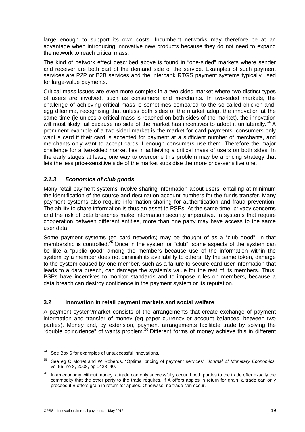large enough to support its own costs. Incumbent networks may therefore be at an advantage when introducing innovative new products because they do not need to expand the network to reach critical mass.

The kind of network effect described above is found in "one-sided" markets where sender and receiver are both part of the demand side of the service. Examples of such payment services are P2P or B2B services and the interbank RTGS payment systems typically used for large-value payments.

Critical mass issues are even more complex in a two-sided market where two distinct types of users are involved, such as consumers and merchants. In two-sided markets, the challenge of achieving critical mass is sometimes compared to the so-called chicken-andegg dilemma, recognising that unless both sides of the market adopt the innovation at the same time (ie unless a critical mass is reached on both sides of the market), the innovation will most likely fail because no side of the market has incentives to adopt it unilaterally.<sup>24</sup> A prominent example of a two-sided market is the market for card payments: consumers only want a card if their card is accepted for payment at a sufficient number of merchants, and merchants only want to accept cards if enough consumers use them. Therefore the major challenge for a two-sided market lies in achieving a critical mass of users on both sides. In the early stages at least, one way to overcome this problem may be a pricing strategy that lets the less price-sensitive side of the market subsidise the more price-sensitive one.

## <span id="page-24-0"></span>*3.1.3 Economics of club goods*

Many retail payment systems involve sharing information about users, entailing at minimum the identification of the source and destination account numbers for the funds transfer. Many payment systems also require information-sharing for authentication and fraud prevention. The ability to share information is thus an asset to PSPs. At the same time, privacy concerns and the risk of data breaches make information security imperative. In systems that require cooperation between different entities, more than one party may have access to the same user data.

Some payment systems (eg card networks) may be thought of as a "club good", in that membership is controlled.<sup>25</sup> Once in the system or "club", some aspects of the system can be like a "public good" among the members because use of the information within the system by a member does not diminish its availability to others. By the same token, damage to the system caused by one member, such as a failure to secure card user information that leads to a data breach, can damage the system's value for the rest of its members. Thus, PSPs have incentives to monitor standards and to impose rules on members, because a data breach can destroy confidence in the payment system or its reputation.

#### <span id="page-24-1"></span>**3.2 Innovation in retail payment markets and social welfare**

A payment system/market consists of the arrangements that create exchange of payment information and transfer of money (eg paper currency or account balances, between two parties). Money and, by extension, payment arrangements facilitate trade by solving the "double coincidence" of wants problem.<sup>26</sup> Different forms of money achieve this in different

<sup>&</sup>lt;sup>24</sup> See Box 6 for examples of unsuccessful innovations.

<sup>25</sup> See eg C Monet and W Roberds, "Optimal pricing of payment services", *Journal of Monetary Economics*, vol 55, no 8, 2008, pp 1428–40.

<sup>&</sup>lt;sup>26</sup> In an economy without money, a trade can only successfully occur if both parties to the trade offer exactly the commodity that the other party to the trade requires. If A offers apples in return for grain, a trade can only proceed if B offers grain in return for apples. Otherwise, no trade can occur.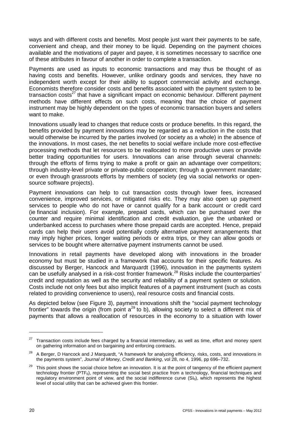ways and with different costs and benefits. Most people just want their payments to be safe, convenient and cheap, and their money to be liquid. Depending on the payment choices available and the motivations of payer and payee, it is sometimes necessary to sacrifice one of these attributes in favour of another in order to complete a transaction.

Payments are used as inputs to economic transactions and may thus be thought of as having costs and benefits. However, unlike ordinary goods and services, they have no independent worth except for their ability to support commercial activity and exchange. Economists therefore consider costs and benefits associated with the payment system to be transaction costs<sup>27</sup> that have a significant impact on economic behaviour. Different payment methods have different effects on such costs, meaning that the choice of payment instrument may be highly dependent on the types of economic transaction buyers and sellers want to make.

Innovations usually lead to changes that reduce costs or produce benefits. In this regard, the benefits provided by payment innovations may be regarded as a reduction in the costs that would otherwise be incurred by the parties involved (or society as a whole) in the absence of the innovations. In most cases, the net benefits to social welfare include more cost-effective processing methods that let resources to be reallocated to more productive uses or provide better trading opportunities for users. Innovations can arise through several channels: through the efforts of firms trying to make a profit or gain an advantage over competitors; through industry-level private or private-public cooperation; through a government mandate; or even through grassroots efforts by members of society (eg via social networks or opensource software projects).

Payment innovations can help to cut transaction costs through lower fees, increased convenience, improved services, or mitigated risks etc. They may also open up payment services to people who do not have or cannot qualify for a bank account or credit card (ie financial inclusion). For example, prepaid cards, which can be purchased over the counter and require minimal identification and credit evaluation, give the unbanked or underbanked access to purchases where those prepaid cards are accepted. Hence, prepaid cards can help their users avoid potentially costly alternative payment arrangements that may imply higher prices, longer waiting periods or extra trips, or they can allow goods or services to be bought where alternative payment instruments cannot be used.

Innovations in retail payments have developed along with innovations in the broader economy but must be studied in a framework that accounts for their specific features. As discussed by Berger, Hancock and Marquardt (1996), innovation in the payments system can be usefully analysed in a risk-cost frontier framework.<sup>28</sup> Risks include the counterparties' credit and reputation as well as the security and reliability of a payment system or solution. Costs include not only fees but also implicit features of a payment instrument (such as costs related to providing convenience to users), real resource costs and financial costs.

As depicted below (see Figure 3), payment innovations shift the "social payment technology frontier" towards the origin (from point  $a^{29}$  to b), allowing society to select a different mix of payments that allows a reallocation of resources in the economy to a situation with lower

 $\ddot{\phantom{a}}$ 

 $27$  Transaction costs include fees charged by a financial intermediary, as well as time, effort and money spent on gathering information and on bargaining and enforcing contracts.

<sup>&</sup>lt;sup>28</sup> A Berger, D Hancock and J Marquardt, "A framework for analyzing efficiency, risks, costs, and innovations in the payments system", *Journal of Money, Credit and Banking*, vol 28, no 4, 1996, pp 696–732.

<sup>&</sup>lt;sup>29</sup> This point shows the social choice before an innovation. It is at the point of tangency of the efficient payment technology frontier (PTF<sub>0</sub>), representing the social best practice from a technology, financial techniques and regulatory environment point of view, and the social indifference curve (SI<sub>0</sub>), which represents the highest level of social utility that can be achieved given this frontier.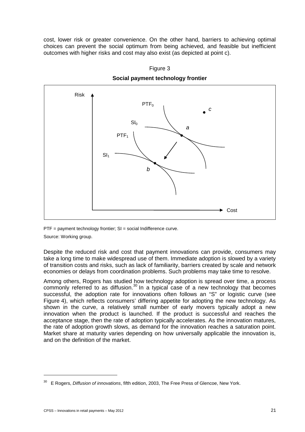cost, lower risk or greater convenience. On the other hand, barriers to achieving optimal choices can prevent the social optimum from being achieved, and feasible but inefficient outcomes with higher risks and cost may also exist (as depicted at point c).



Figure 3 **Social payment technology frontier**

 $PTF =$  payment technology frontier;  $SI =$  social Indifference curve.

Source: Working group.

Despite the reduced risk and cost that payment innovations can provide, consumers may take a long time to make widespread use of them. Immediate adoption is slowed by a variety of transition costs and risks, such as lack of familiarity, barriers created by scale and network economies or delays from coordination problems. Such problems may take time to resolve.

Among others, Rogers has studied how technology adoption is spread over time, a process commonly referred to as diffusion. $30$  In a typical case of a new technology that becomes successful, the adoption rate for innovations often follows an "S" or logistic curve (see Figure 4), which reflects consumers' differing appetite for adopting the new technology. As shown in the curve, a relatively small number of early movers typically adopt a new innovation when the product is launched. If the product is successful and reaches the acceptance stage, then the rate of adoption typically accelerates. As the innovation matures, the rate of adoption growth slows, as demand for the innovation reaches a saturation point. Market share at maturity varies depending on how universally applicable the innovation is, and on the definition of the market.

<sup>30</sup> E Rogers, *Diffusion of innovations*, fifth edition, 2003, The Free Press of Glencoe, New York.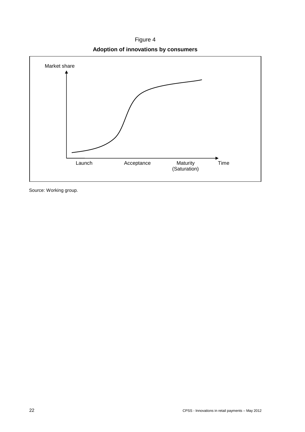Figure 4 **Adoption of innovations by consumers**



Source: Working group.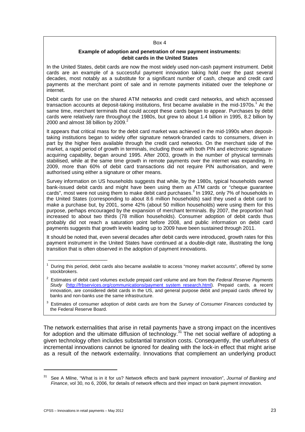#### Box 4

#### **Example of adoption and penetration of new payment instruments: debit cards in the United States**

In the United States, debit cards are now the most widely used non-cash payment instrument. Debit cards are an example of a successful payment innovation taking hold over the past several decades, most notably as a substitute for a significant number of cash, cheque and credit card payments at the merchant point of sale and in remote payments initiated over the telephone or internet.

Debit cards for use on the shared ATM networks and credit card networks, and which accessed transaction accounts at deposit-taking institutions, first became available in the mid-1970s.<sup>1</sup> At the same time, merchant terminals that could accept these cards began to appear. Purchases by debit cards were relatively rare throughout the 1980s, but grew to about 1.4 billion in 1995, 8.2 billion by 2000 and almost 38 billion by 2009. $^2$ 

It appears that critical mass for the debit card market was achieved in the mid-1990s when deposittaking institutions began to widely offer signature network-branded cards to consumers, driven in part by the higher fees available through the credit card networks. On the merchant side of the market, a rapid period of growth in terminals, including those with both PIN and electronic signatureacquiring capability, began around 1995. After 2003, growth in the number of physical terminals stabilised, while at the same time growth in remote payments over the internet was expanding. In 2009, more than 60% of debit card transactions did not require PIN authorisation, and were authorised using either a signature or other means.

Survey information on US households suggests that while, by the 1980s, typical households owned bank-issued debit cards and might have been using them as ATM cards or "cheque guarantee cards", most were not using them to make debit card purchases. <sup>3</sup> In 1992, only 7% of households in the United States (corresponding to about 8.6 million households) said they used a debit card to make a purchase but, by 2001, some 42% (about 50 million households) were using them for this purpose, perhaps encouraged by the expansion of merchant terminals. By 2007, the proportion had increased to about two thirds (78 million households). Consumer adoption of debit cards thus probably did not reach a saturation point before 2008, and public information on debit card payments suggests that growth levels leading up to 2009 have been sustained through 2011.

It should be noted that, even several decades after debit cards were introduced, growth rates for this payment instrument in the United States have continued at a double-digit rate, illustrating the long transition that is often observed in the adoption of payment innovations.

The network externalities that arise in retail payments have a strong impact on the incentives for adoption and the ultimate diffusion of technology.<sup>31</sup> The net social welfare of adopting a given technology often includes substantial transition costs. Consequently, the usefulness of incremental innovations cannot be ignored for dealing with the lock-in effect that might arise as a result of the network externality. Innovations that complement an underlying product

<u>.</u>

 $\_$ 

 $1$  During this period, debit cards also became available to access "money market accounts", offered by some stockbrokers.

<sup>2</sup> Estimates of debit card volumes exclude prepaid card volume and are from the *Federal Reserve Payments Study* [\(http://frbservices.org/communications/payment\\_system\\_research.html\)](http://frbservices.org/communications/payment_system_research.html). Prepaid cards, a recent innovation, are considered debit cards in the US, and general purpose debit and prepaid cards offered by banks and non-banks use the same infrastructure.

<sup>3</sup> Estimates of consumer adoption of debit cards are from the *Survey of Consumer Finances* conducted by the Federal Reserve Board.

<sup>31</sup> See A Milne, "What is in it for us? Network effects and bank payment innovation", *Journal of Banking and Finance*, vol 30, no 6, 2006, for details of network effects and their impact on bank payment innovation.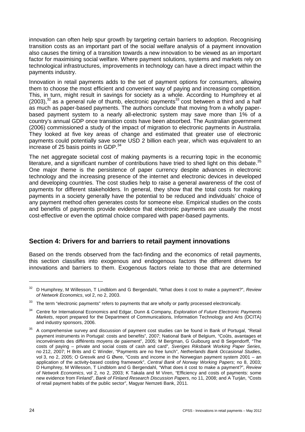innovation can often help spur growth by targeting certain barriers to adoption. Recognising transition costs as an important part of the social welfare analysis of a payment innovation also causes the timing of a transition towards a new innovation to be viewed as an important factor for maximising social welfare. Where payment solutions, systems and markets rely on technological infrastructures, improvements in technology can have a direct impact within the payments industry.

Innovation in retail payments adds to the set of payment options for consumers, allowing them to choose the most efficient and convenient way of paying and increasing competition. This, in turn, might result in savings for society as a whole. According to Humphrey et al (2003), $32$  as a general rule of thumb, electronic payments<sup>33</sup> cost between a third and a half as much as paper-based payments. The authors conclude that moving from a wholly paperbased payment system to a nearly all-electronic system may save more than 1% of a country's annual GDP once transition costs have been absorbed. The Australian government (2006) commissioned a study of the impact of migration to electronic payments in Australia. They looked at five key areas of change and estimated that greater use of electronic payments could potentially save some USD 2 billion each year, which was equivalent to an increase of 25 basis points in GDP.<sup>34</sup>

The net aggregate societal cost of making payments is a recurring topic in the economic literature, and a significant number of contributions have tried to shed light on this debate. $35$ One major theme is the persistence of paper currency despite advances in electronic technology and the increasing presence of the internet and electronic devices in developed and developing countries. The cost studies help to raise a general awareness of the cost of payments for different stakeholders. In general, they show that the total costs for making payments in a society generally have the potential to be reduced and individuals' choice of any payment method often generates costs for someone else. Empirical studies on the costs and benefits of payments provide evidence that electronic payments are usually the most cost-effective or even the optimal choice compared with paper-based payments.

# <span id="page-29-0"></span>**Section 4: Drivers for and barriers to retail payment innovations**

Based on the trends observed from the fact-finding and the economics of retail payments, this section classifies into exogenous and endogenous factors the different drivers for innovations and barriers to them. Exogenous factors relate to those that are determined

<sup>32</sup> D Humphrey, M Willesson, T Lindblom and G Bergendahl, "What does it cost to make a payment?", *Review of Network Economics*, vol 2, no 2, 2003.

<sup>&</sup>lt;sup>33</sup> The term "electronic payments" refers to payments that are wholly or partly processed electronically.

<sup>34</sup> Centre for International Economics and Edgar, Dunn & Company, *Exploration of Future Electronic Payments Markets*, report prepared for the Department of Communications, Information Technology and Arts (DCITA) and industry sponsors, 2006.

<sup>&</sup>lt;sup>35</sup> A comprehensive survey and discussion of payment cost studies can be found in Bank of Portugal, "Retail payment instruments in Portugal: costs and benefits", 2007; National Bank of Belgium, "Coûts, avantages et inconvénients des différents moyens de paiement", 2005; M Bergman, G Guibourg and B Segendorff, "The costs of paying – private and social costs of cash and card", *Sveriges Riksbank Working Paper Series*, no 212, 2007; H Brits and C Winder, "Payments are no free lunch", *Netherlands Bank Occasional Studies*, vol 3, no 2, 2005; O Gresvik and G Øwre, "Costs and income in the Norwegian payment system 2001 – an application of the activity-based costing framework", *Central Bank of Norway Working Papers*; no 8, 2003; D Humphrey, M Willesson, T Lindblom and G Bergendahl, "What does it cost to make a payment?", *Review of Network Economics*, vol 2, no 2, 2003; K Takala and M Viren, "Efficiency and costs of payments: some new evidence from Finland", *Bank of Finland Research Discussion Papers*, no 11, 2008; and A Turján, "Costs of retail payment habits of the public sector", Magyar Nemzeti Bank, 2011.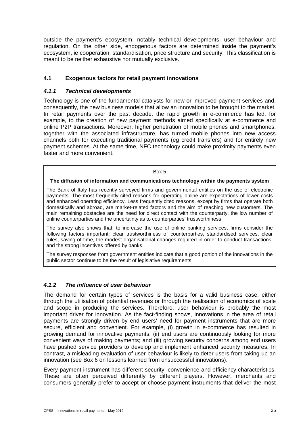outside the payment's ecosystem, notably technical developments, user behaviour and regulation. On the other side, endogenous factors are determined inside the payment's ecosystem, ie cooperation, standardisation, price structure and security. This classification is meant to be neither exhaustive nor mutually exclusive.

## <span id="page-30-0"></span>**4.1 Exogenous factors for retail payment innovations**

#### <span id="page-30-1"></span>*4.1.1 Technical developments*

Technology is one of the fundamental catalysts for new or improved payment services and, consequently, the new business models that allow an innovation to be brought to the market. In retail payments over the past decade, the rapid growth in e-commerce has led, for example, to the creation of new payment methods aimed specifically at e-commerce and online P2P transactions. Moreover, higher penetration of mobile phones and smartphones, together with the associated infrastructure, has turned mobile phones into new access channels both for executing traditional payments (eg credit transfers) and for entirely new payment schemes. At the same time, NFC technology could make proximity payments even faster and more convenient.

#### Box 5

#### **The diffusion of information and communications technology within the payments system**

The Bank of Italy has recently surveyed firms and governmental entities on the use of electronic payments. The most frequently cited reasons for operating online are expectations of lower costs and enhanced operating efficiency. Less frequently cited reasons, except by firms that operate both domestically and abroad, are market-related factors and the aim of reaching new customers. The main remaining obstacles are the need for direct contact with the counterparty, the low number of online counterparties and the uncertainty as to counterparties' trustworthiness.

The survey also shows that, to increase the use of online banking services, firms consider the following factors important: clear trustworthiness of counterparties, standardised services, clear rules, saving of time, the modest organisational changes required in order to conduct transactions, and the strong incentives offered by banks.

The survey responses from government entities indicate that a good portion of the innovations in the public sector continue to be the result of legislative requirements.

#### <span id="page-30-2"></span>*4.1.2 The influence of user behaviour*

The demand for certain types of services is the basis for a valid business case, either through the utilisation of potential revenues or through the realisation of economics of scale and scope in producing the services. Therefore, user behaviour is probably the most important driver for innovation. As the fact-finding shows, innovations in the area of retail payments are strongly driven by end users' need for payment instruments that are more secure, efficient and convenient. For example, (i) growth in e-commerce has resulted in growing demand for innovative payments; (ii) end users are continuously looking for more convenient ways of making payments; and (iii) growing security concerns among end users have pushed service providers to develop and implement enhanced security measures. In contrast, a misleading evaluation of user behaviour is likely to deter users from taking up an innovation (see Box 6 on lessons learned from unsuccessful innovations).

Every payment instrument has different security, convenience and efficiency characteristics. These are often perceived differently by different players. However, merchants and consumers generally prefer to accept or choose payment instruments that deliver the most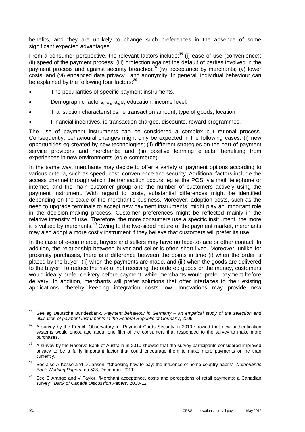benefits, and they are unlikely to change such preferences in the absence of some significant expected advantages.

From a consumer perspective, the relevant factors include:<sup>36</sup> (i) ease of use (convenience); (ii) speed of the payment process; (iii) protection against the default of parties involved in the payment process and against security breaches; $37$  (iv) acceptance by merchants; (v) lower costs; and (vi) enhanced data privacy<sup>38</sup> and anonymity. In general, individual behaviour can be explained by the following four factors: 39

- The peculiarities of specific payment instruments.
- Demographic factors, eg age, education, income level.
- Transaction characteristics, ie transaction amount, type of goods, location.
- Financial incentives, ie transaction charges, discounts, reward programmes.

The use of payment instruments can be considered a complex but rational process. Consequently, behavioural changes might only be expected in the following cases: (i) new opportunities eg created by new technologies; (ii) different strategies on the part of payment service providers and merchants; and (iii) positive learning effects, benefiting from experiences in new environments (eg e-commerce).

In the same way, merchants may decide to offer a variety of payment options according to various criteria, such as speed, cost, convenience and security. Additional factors include the access channel through which the transaction occurs, eg at the POS, via mail, telephone or internet, and the main customer group and the number of customers actively using the payment instrument. With regard to costs, substantial differences might be identified depending on the scale of the merchant's business. Moreover, adoption costs, such as the need to upgrade terminals to accept new payment instruments, might play an important role in the decision-making process. Customer preferences might be reflected mainly in the relative intensity of use. Therefore, the more consumers use a specific instrument, the more it is valued by merchants.<sup>40</sup> Owing to the two-sided nature of the payment market, merchants may also adopt a more costly instrument if they believe that customers will prefer its use.

In the case of e-commerce, buyers and sellers may have no face-to-face or other contact. In addition, the relationship between buyer and seller is often short-lived. Moreover, unlike for proximity purchases, there is a difference between the points in time (i) when the order is placed by the buyer, (ii) when the payments are made, and (iii) when the goods are delivered to the buyer. To reduce the risk of not receiving the ordered goods or the money, customers would ideally prefer delivery before payment, while merchants would prefer payment before delivery. In addition, merchants will prefer solutions that offer interfaces to their existing applications, thereby keeping integration costs low. Innovations may provide new

 $\ddot{\phantom{a}}$ 

<sup>36</sup> See eg Deutsche Bundesbank, *Payment behaviour in Germany – an empirical study of the selection and utilisation of payment instruments in the Federal Republic of Germany*, 2009.

<sup>&</sup>lt;sup>37</sup> A survey by the French Observatory for Payment Cards Security in 2010 showed that new authentication systems would encourage about one fifth of the consumers that responded to the survey to make more purchases.

<sup>38</sup> A survey by the Reserve Bank of Australia in 2010 showed that the survey participants considered improved privacy to be a fairly important factor that could encourage them to make more payments online than currently.

<sup>39</sup> See also A Kosse and D Jansen, "Choosing how to pay: the influence of home country habits", *Netherlands Bank Working Papers*, no 528, December 2011.

<sup>&</sup>lt;sup>40</sup> See C Arango and V Taylor, "Merchant acceptance, costs and perceptions of retail payments: a Canadian survey", *Bank of Canada Discussion Papers*, 2008-12.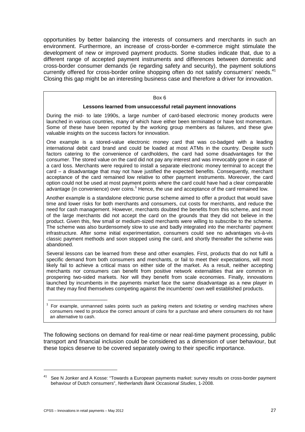opportunities by better balancing the interests of consumers and merchants in such an environment. Furthermore, an increase of cross-border e-commerce might stimulate the development of new or improved payment products. Some studies indicate that, due to a different range of accepted payment instruments and differences between domestic and cross-border consumer demands (ie regarding safety and security), the payment solutions currently offered for cross-border online shopping often do not satisfy consumers' needs.<sup>41</sup> Closing this gap might be an interesting business case and therefore a driver for innovation.

#### Box 6

#### **Lessons learned from unsuccessful retail payment innovations**

During the mid- to late 1990s, a large number of card-based electronic money products were launched in various countries, many of which have either been terminated or have lost momentum. Some of these have been reported by the working group members as failures, and these give valuable insights on the success factors for innovation.

One example is a stored-value electronic money card that was co-badged with a leading international debit card brand and could be loaded at most ATMs in the country. Despite such factors catering to the convenience of cardholders, the card had some disadvantages for the consumer. The stored value on the card did not pay any interest and was irrevocably gone in case of a card loss. Merchants were required to install a separate electronic money terminal to accept the card – a disadvantage that may not have justified the expected benefits. Consequently, merchant acceptance of the card remained low relative to other payment instruments. Moreover, the card option could not be used at most payment points where the card could have had a clear comparable advantage (in convenience) over coins.<sup>1</sup> Hence, the use and acceptance of the card remained low.

Another example is a standalone electronic purse scheme aimed to offer a product that would save time and lower risks for both merchants and consumers, cut costs for merchants, and reduce the need for cash management. However, merchants doubted the benefits from this scheme, and most of the large merchants did not accept the card on the grounds that they did not believe in the product. Given this, few small or medium-sized merchants were willing to subscribe to the scheme. The scheme was also burdensomely slow to use and badly integrated into the merchants' payment infrastructure. After some initial experimentation, consumers could see no advantages vis-à-vis classic payment methods and soon stopped using the card, and shortly thereafter the scheme was abandoned.

Several lessons can be learned from these and other examples. First, products that do not fulfil a specific demand from both consumers and merchants, or fail to meet their expectations, will most likely fail to achieve a critical mass on either side of the market. As a result, neither accepting merchants nor consumers can benefit from positive network externalities that are common in prospering two-sided markets. Nor will they benefit from scale economies. Finally, innovations launched by incumbents in the payments market face the same disadvantage as a new player in that they may find themselves competing against the incumbents' own well established products.

The following sections on demand for real-time or near real-time payment processing, public transport and financial inclusion could be considered as a dimension of user behaviour, but these topics deserve to be covered separately owing to their specific importance.

-

\_\_\_\_\_\_\_\_\_\_\_\_\_\_\_\_\_\_\_\_\_

For example, unmanned sales points such as parking meters and ticketing or vending machines where consumers need to produce the correct amount of coins for a purchase and where consumers do not have an alternative to cash.

See N Jonker and A Kosse: "Towards a European payments market: survey results on cross-border payment behaviour of Dutch consumers", *Netherlands Bank Occasional Studies*, 1-2008.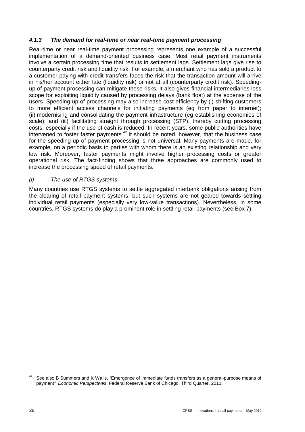## <span id="page-33-0"></span>*4.1.3 The demand for real-time or near real-time payment processing*

Real-time or near real-time payment processing represents one example of a successful implementation of a demand-oriented business case. Most retail payment instruments involve a certain processing time that results in settlement lags. Settlement lags give rise to counterparty credit risk and liquidity risk. For example, a merchant who has sold a product to a customer paying with credit transfers faces the risk that the transaction amount will arrive in his/her account either late (liquidity risk) or not at all (counterparty credit risk). Speedingup of payment processing can mitigate these risks. It also gives financial intermediaries less scope for exploiting liquidity caused by processing delays (bank float) at the expense of the users. Speeding-up of processing may also increase cost efficiency by (i) shifting customers to more efficient access channels for initiating payments (eg from paper to internet); (ii) modernising and consolidating the payment infrastructure (eg establishing economies of scale); and (iii) facilitating straight through processing (STP), thereby cutting processing costs, especially if the use of cash is reduced. In recent years, some public authorities have intervened to foster faster payments.<sup>42</sup> It should be noted, however, that the business case for the speeding-up of payment processing is not universal. Many payments are made, for example, on a periodic basis to parties with whom there is an existing relationship and very low risk. Moreover, faster payments might involve higher processing costs or greater operational risk. The fact-finding shows that three approaches are commonly used to increase the processing speed of retail payments.

#### *(i) The use of RTGS systems*

Many countries use RTGS systems to settle aggregated interbank obligations arising from the clearing of retail payment systems, but such systems are not geared towards settling individual retail payments (especially very low-value transactions). Nevertheless, in some countries, RTGS systems do play a prominent role in settling retail payments (see Box 7).

 $\ddot{\phantom{a}}$ 

See also B Summers and K Walls, "Emergence of immediate funds transfers as a general-purpose means of payment*"*, *Economic Perspectives*, Federal Reserve Bank of Chicago, Third Quarter, 2011.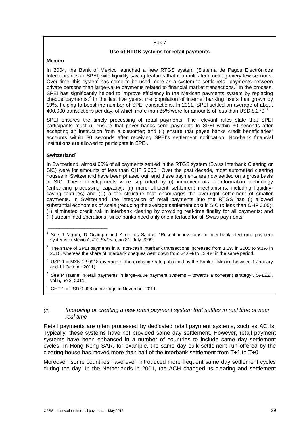#### Box 7

#### **Use of RTGS systems for retail payments**

#### **Mexico**

In 2004, the Bank of Mexico launched a new RTGS system (Sistema de Pagos Electrónicos Interbancarios or SPEI) with liquidity-saving features that run multilateral netting every few seconds. Over time, this system has come to be used more as a system to settle retail payments between private persons than large-value payments related to financial market transactions.<sup>1</sup> In the process, SPEI has significantly helped to improve efficiency in the Mexican payments system by replacing cheque payments.<sup>2</sup> In the last five years, the population of internet banking users has grown by 19%, helping to boost the number of SPEI transactions. In 2011, SPEI settled an average of about 400,000 transactions per day, of which more than 85% were for amounts of less than USD 8,270.<sup>3</sup>

SPEI ensures the timely processing of retail payments. The relevant rules state that SPEI participants must (i) ensure that payer banks send payments to SPEI within 30 seconds after accepting an instruction from a customer; and (ii) ensure that payee banks credit beneficiaries' accounts within 30 seconds after receiving SPEI's settlement notification. Non-bank financial institutions are allowed to participate in SPEI.

#### **Switzerland**<sup>4</sup>

 $\_$ 

In Switzerland, almost 90% of all payments settled in the RTGS system (Swiss Interbank Clearing or SIC) were for amounts of less than CHF 5,000.<sup>5</sup> Over the past decade, most automated clearing houses in Switzerland have been phased out, and these payments are now settled on a gross basis in SIC. These developments were supported by (i) improvements in information technology (enhancing processing capacity); (ii) more efficient settlement mechanisms, including liquiditysaving features; and (iii) a fee structure that encourages the overnight settlement of smaller payments. In Switzerland, the integration of retail payments into the RTGS has (i) allowed substantial economies of scale (reducing the average settlement cost in SIC to less than CHF 0.05); (ii) eliminated credit risk in interbank clearing by providing real-time finality for all payments; and (iii) streamlined operations, since banks need only one interface for all Swiss payments.

 $5$  CHF 1 = USD 0.908 on average in November 2011.

#### *(ii) Improving or creating a new retail payment system that settles in real time or near real time*

Retail payments are often processed by dedicated retail payment systems, such as ACHs. Typically, these systems have not provided same day settlement. However, retail payment systems have been enhanced in a number of countries to include same day settlement cycles. In Hong Kong SAR, for example, the same day bulk settlement run offered by the clearing house has moved more than half of the interbank settlement from T+1 to T+0.

Moreover, some countries have even introduced more frequent same day settlement cycles during the day. In the Netherlands in 2001, the ACH changed its clearing and settlement

<sup>&</sup>lt;sup>1</sup> See J Negrin, D Ocampo and A de los Santos, "Recent innovations in inter-bank electronic payment systems in Mexico", *IFC Bulletin*, no 31, July 2009.

 $2$  The share of SPEI payments in all non-cash interbank transactions increased from 1.2% in 2005 to 9.1% in 2010, whereas the share of interbank cheques went down from 34.6% to 13.4% in the same period.

 $3$  USD 1 = MXN 12.0918 (average of the exchange rate published by the Bank of Mexico between 1 January and 11 October 2011).

<sup>4</sup> See P Haene, "Retail payments in large-value payment systems – towards a coherent strategy", *SPEED*, vol 5, no 3, 2011.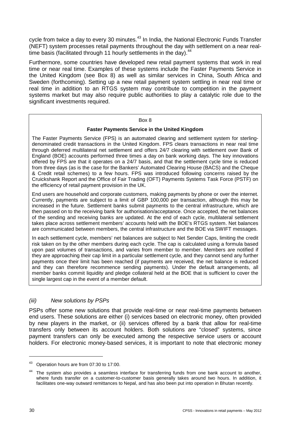cycle from twice a day to every 30 minutes.<sup>43</sup> In India, the National Electronic Funds Transfer (NEFT) system processes retail payments throughout the day with settlement on a near realtime basis (facilitated through 11 hourly settlements in the day). $44$ 

Furthermore, some countries have developed new retail payment systems that work in real time or near real time. Examples of these systems include the Faster Payments Service in the United Kingdom (see Box 8) as well as similar services in China, South Africa and Sweden (forthcoming). Setting up a new retail payment system settling in near real time or real time in addition to an RTGS system may contribute to competition in the payment systems market but may also require public authorities to play a catalytic role due to the significant investments required.

#### Box 8

#### **Faster Payments Service in the United Kingdom**

The Faster Payments Service (FPS) is an automated clearing and settlement system for sterlingdenominated credit transactions in the United Kingdom. FPS clears transactions in near real time through deferred multilateral net settlement and offers 24/7 clearing with settlement over Bank of England (BOE) accounts performed three times a day on bank working days. The key innovations offered by FPS are that it operates on a 24/7 basis, and that the settlement cycle time is reduced from three days (as is the case for the Bankers' Automated Clearing House (BACS) and the Cheque & Credit retail schemes) to a few hours. FPS was introduced following concerns raised by the Cruickshank Report and the Office of Fair Trading (OFT) Payments Systems Task Force (PSTF) on the efficiency of retail payment provision in the UK.

End users are household and corporate customers, making payments by phone or over the internet. Currently, payments are subject to a limit of GBP 100,000 per transaction, although this may be increased in the future. Settlement banks submit payments to the central infrastructure, which are then passed on to the receiving bank for authorisation/acceptance. Once accepted, the net balances of the sending and receiving banks are updated. At the end of each cycle, multilateral settlement takes place across settlement members' accounts held with the BOE's RTGS system. Net balances are communicated between members, the central infrastructure and the BOE via SWIFT messages.

In each settlement cycle, members' net balances are subject to Net Sender Caps, limiting the credit risk taken on by the other members during each cycle. The cap is calculated using a formula based upon past volumes of transactions, and varies from member to member. Members are notified if they are approaching their cap limit in a particular settlement cycle, and they cannot send any further payments once their limit has been reached (if payments are received, the net balance is reduced and they can therefore recommence sending payments). Under the default arrangements, all member banks commit liquidity and pledge collateral held at the BOE that is sufficient to cover the single largest cap in the event of a member default.

#### *(iii) New solutions by PSPs*

PSPs offer some new solutions that provide real-time or near real-time payments between end users. These solutions are either (i) services based on electronic money, often provided by new players in the market, or (ii) services offered by a bank that allow for real-time transfers only between its account holders. Both solutions are "closed" systems, since payment transfers can only be executed among the respective service users or account holders. For electronic money-based services, it is important to note that electronic money

 $\ddot{\phantom{a}}$ 

<sup>43</sup> Operation hours are from 07:30 to 17:00.

The system also provides a seamless interface for transferring funds from one bank account to another, where funds transfer on a customer-to-customer basis generally takes around two hours. In addition, it facilitates one-way outward remittances to Nepal, and has also been put into operation in Bhutan recently.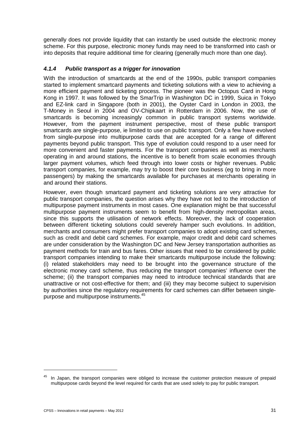generally does not provide liquidity that can instantly be used outside the electronic money scheme. For this purpose, electronic money funds may need to be transformed into cash or into deposits that require additional time for clearing (generally much more than one day).

## *4.1.4 Public transport as a trigger for innovation*

With the introduction of smartcards at the end of the 1990s, public transport companies started to implement smartcard payments and ticketing solutions with a view to achieving a more efficient payment and ticketing process. The pioneer was the Octopus Card in Hong Kong in 1997. It was followed by the SmarTrip in Washington DC in 1999, Suica in Tokyo and EZ-link card in Singapore (both in 2001), the Oyster Card in London in 2003, the T-Money in Seoul in 2004 and OV-Chipkaart in Rotterdam in 2006. Now, the use of smartcards is becoming increasingly common in public transport systems worldwide. However, from the payment instrument perspective, most of these public transport smartcards are single-purpose, ie limited to use on public transport. Only a few have evolved from single-purpose into multipurpose cards that are accepted for a range of different payments beyond public transport. This type of evolution could respond to a user need for more convenient and faster payments. For the transport companies as well as merchants operating in and around stations, the incentive is to benefit from scale economies through larger payment volumes, which feed through into lower costs or higher revenues. Public transport companies, for example, may try to boost their core business (eg to bring in more passengers) by making the smartcards available for purchases at merchants operating in and around their stations.

However, even though smartcard payment and ticketing solutions are very attractive for public transport companies, the question arises why they have not led to the introduction of multipurpose payment instruments in most cases. One explanation might be that successful multipurpose payment instruments seem to benefit from high-density metropolitan areas, since this supports the utilisation of network effects. Moreover, the lack of cooperation between different ticketing solutions could severely hamper such evolutions. In addition, merchants and consumers might prefer transport companies to adopt existing card schemes, such as credit and debit card schemes. For example, major credit and debit card schemes are under consideration by the Washington DC and New Jersey transportation authorities as payment methods for train and bus fares. Other issues that need to be considered by public transport companies intending to make their smartcards multipurpose include the following: (i) related stakeholders may need to be brought into the governance structure of the electronic money card scheme, thus reducing the transport companies' influence over the scheme; (ii) the transport companies may need to introduce technical standards that are unattractive or not cost-effective for them; and (iii) they may become subject to supervision by authorities since the regulatory requirements for card schemes can differ between singlepurpose and multipurpose instruments.<sup>45</sup>

<sup>&</sup>lt;sup>45</sup> In Japan, the transport companies were obliged to increase the customer protection measure of prepaid multipurpose cards beyond the level required for cards that are used solely to pay for public transport.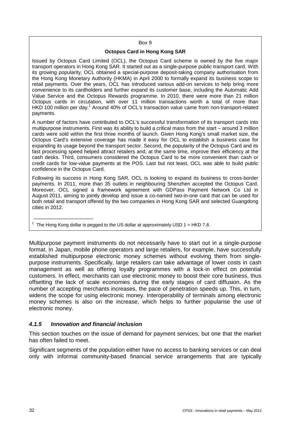#### Box 9

### **Octopus Card in Hong Kong SAR**

Issued by Octopus Card Limited (OCL), the Octopus Card scheme is owned by the five major transport operators in Hong Kong SAR. It started out as a single-purpose public transport card. With its growing popularity, OCL obtained a special-purpose deposit-taking company authorisation from the Hong Kong Monetary Authority (HKMA) in April 2000 to formally expand its business scope to retail payments. Over the years, OCL has introduced various add-on services to help bring more convenience to its cardholders and further expand its customer base, including the Automatic Add Value Service and the Octopus Rewards programme. In 2010, there were more than 21 million Octopus cards in circulation, with over 11 million transactions worth a total of more than HKD 100 million per day.<sup>1</sup> Around 40% of OCL's transaction value came from non-transport-related payments.

A number of factors have contributed to OCL's successful transformation of its transport cards into multipurpose instruments. First was its ability to build a critical mass from the start – around 3 million cards were sold within the first three months of launch. Given Hong Kong's small market size, the Octopus Card's extensive coverage has made it easy for OCL to establish a business case for expanding its usage beyond the transport sector. Second, the popularity of the Octopus Card and its fast processing speed helped attract retailers and, at the same time, improve their efficiency at the cash desks. Third, consumers considered the Octopus Card to be more convenient than cash or credit cards for low-value payments at the POS. Last but not least, OCL was able to build public confidence in the Octopus Card.

Following its success in Hong Kong SAR, OCL is looking to expand its business to cross-border payments. In 2011, more than 35 outlets in neighbouring Shenzhen accepted the Octopus Card. Moreover, OCL signed a framework agreement with GDPass Payment Network Co Ltd in August 2011, aiming to jointly develop and issue a co-named two-in-one card that can be used for both retail and transport offered by the two companies in Hong Kong SAR and selected Guangdong cities in 2012.

The Hong Kong dollar is pegged to the US dollar at approximately USD  $1 = HKD 7.8$ .

Multipurpose payment instruments do not necessarily have to start out in a single-purpose format. In Japan, mobile phone operators and large retailers, for example, have successfully established multipurpose electronic money schemes without evolving them from singlepurpose instruments. Specifically, large retailers can take advantage of lower costs in cash management as well as offering loyalty programmes with a lock-in effect on potential customers. In effect, merchants can use electronic money to boost their core business, thus offsetting the lack of scale economies during the early stages of card diffusion. As the number of accepting merchants increases, the pace of penetration speeds up. This, in turn, widens the scope for using electronic money. Interoperability of terminals among electronic money schemes is also on the increase, which helps to further popularise the use of electronic money.

### *4.1.5 Innovation and financial inclusion*

\_\_\_\_\_\_\_\_\_\_\_\_\_\_\_\_\_\_\_\_\_

This section touches on the issue of demand for payment services, but one that the market has often failed to meet.

Significant segments of the population either have no access to banking services or can deal only with informal community-based financial service arrangements that are typically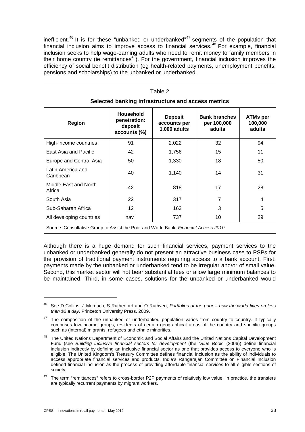inefficient.<sup>46</sup> It is for these "unbanked or underbanked"<sup>47</sup> segments of the population that financial inclusion aims to improve access to financial services.<sup>48</sup> For example, financial inclusion seeks to help wage-earning adults who need to remit money to family members in their home country (ie remittances $49$ ). For the government, financial inclusion improves the efficiency of social benefit distribution (eg health-related payments, unemployment benefits, pensions and scholarships) to the unbanked or underbanked.

| Table 2<br>Selected banking infrastructure and access metrics |                                                             |                                                |                                               |                                      |
|---------------------------------------------------------------|-------------------------------------------------------------|------------------------------------------------|-----------------------------------------------|--------------------------------------|
| <b>Region</b>                                                 | <b>Household</b><br>penetration:<br>deposit<br>accounts (%) | <b>Deposit</b><br>accounts per<br>1,000 adults | <b>Bank branches</b><br>per 100,000<br>adults | <b>ATMs per</b><br>100,000<br>adults |
| High-income countries                                         | 91                                                          | 2,022                                          | 32                                            | 94                                   |
| East Asia and Pacific                                         | 42                                                          | 1,756                                          | 15                                            | 11                                   |
| Europe and Central Asia                                       | 50                                                          | 1,330                                          | 18                                            | 50                                   |
| Latin America and<br>Caribbean                                | 40                                                          | 1,140                                          | 14                                            | 31                                   |
| Middle East and North<br>Africa                               | 42                                                          | 818                                            | 17                                            | 28                                   |
| South Asia                                                    | 22                                                          | 317                                            | 7                                             | 4                                    |
| Sub-Saharan Africa                                            | 12                                                          | 163                                            | 3                                             | 5                                    |
| All developing countries                                      | nav                                                         | 737                                            | 10                                            | 29                                   |

Source: Consultative Group to Assist the Poor and World Bank, *Financial Access 2010*.

Although there is a huge demand for such financial services, payment services to the unbanked or underbanked generally do not present an attractive business case to PSPs for the provision of traditional payment instruments requiring access to a bank account. First, payments made by the unbanked or underbanked tend to be irregular and/or of small value. Second, this market sector will not bear substantial fees or allow large minimum balances to be maintained. Third, in some cases, solutions for the unbanked or underbanked would

<sup>46</sup> See D Collins, J Morduch, S Rutherford and O Ruthven, *Portfolios of the poor – how the world lives on less than \$2 a day*, Princeton University Press, 2009.

<sup>&</sup>lt;sup>47</sup> The composition of the unbanked or underbanked population varies from country to country. It typically comprises low-income groups, residents of certain geographical areas of the country and specific groups such as (internal) migrants, refugees and ethnic minorities.

<sup>&</sup>lt;sup>48</sup> The United Nations Department of Economic and Social Affairs and the United Nations Capital Development Fund (see *Building inclusive financial sectors for development* (the *"Blue Book"* (2006)) define financial inclusion indirectly by defining an inclusive financial sector as one that provides access to everyone who is eligible. The United Kingdom's Treasury Committee defines financial inclusion as the ability of individuals to access appropriate financial services and products. India's Rangarajan Committee on Financial Inclusion defined financial inclusion as the process of providing affordable financial services to all eligible sections of society.

<sup>&</sup>lt;sup>49</sup> The term "remittances" refers to cross-border P2P payments of relatively low value. In practice, the transfers are typically recurrent payments by migrant workers.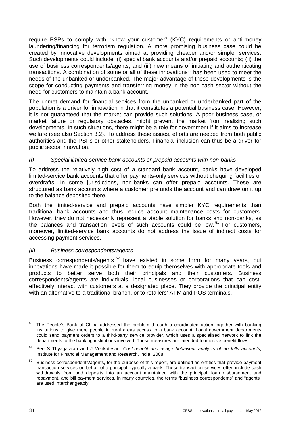require PSPs to comply with "know your customer" (KYC) requirements or anti-money laundering/financing for terrorism regulation. A more promising business case could be created by innovative developments aimed at providing cheaper and/or simpler services. Such developments could include: (i) special bank accounts and/or prepaid accounts; (ii) the use of business correspondents/agents; and (iii) new means of initiating and authenticating transactions. A combination of some or all of these innovations<sup>50</sup> has been used to meet the needs of the unbanked or underbanked. The major advantage of these developments is the scope for conducting payments and transferring money in the non-cash sector without the need for customers to maintain a bank account.

The unmet demand for financial services from the unbanked or underbanked part of the population is a driver for innovation in that it constitutes a potential business case. However, it is not guaranteed that the market can provide such solutions. A poor business case, or market failure or regulatory obstacles, might prevent the market from realising such developments. In such situations, there might be a role for government if it aims to increase welfare (see also Section 3.2). To address these issues, efforts are needed from both public authorities and the PSPs or other stakeholders. Financial inclusion can thus be a driver for public sector innovation.

## *(i) Special limited-service bank accounts or prepaid accounts with non-banks*

To address the relatively high cost of a standard bank account, banks have developed limited-service bank accounts that offer payments-only services without chequing facilities or overdrafts. In some jurisdictions, non-banks can offer prepaid accounts. These are structured as bank accounts where a customer prefunds the account and can draw on it up to the balance deposited there.

Both the limited-service and prepaid accounts have simpler KYC requirements than traditional bank accounts and thus reduce account maintenance costs for customers. However, they do not necessarily represent a viable solution for banks and non-banks, as the balances and transaction levels of such accounts could be low.  $51$  For customers. moreover, limited-service bank accounts do not address the issue of indirect costs for accessing payment services.

## *(ii) Business correspondents/agents*

Business correspondents/agents  $52$  have existed in some form for many years, but innovations have made it possible for them to equip themselves with appropriate tools and products to better serve both their principals and their customers. Business correspondents/agents are individuals, local businesses or corporations that can costeffectively interact with customers at a designated place. They provide the principal entity with an alternative to a traditional branch, or to retailers' ATM and POS terminals.

<sup>&</sup>lt;sup>50</sup> The People's Bank of China addressed the problem through a coordinated action together with banking institutions to give more people in rural areas access to a bank account. Local government departments could send payment orders to a third-party service provider, which uses a specialised network to link the departments to the banking institutions involved. These measures are intended to improve benefit flows.

<sup>51</sup> See S Thyagarajan and J Venkatesan, *Cost-benefit and usage behaviour analysis of no frills accounts*, Institute for Financial Management and Research, India, 2008.

<sup>52</sup> Business correspondents/agents, for the purpose of this report, are defined as entities that provide payment transaction services on behalf of a principal, typically a bank. These transaction services often include cash withdrawals from and deposits into an account maintained with the principal, loan disbursement and repayment, and bill payment services. In many countries, the terms "business correspondents" and "agents" are used interchangeably.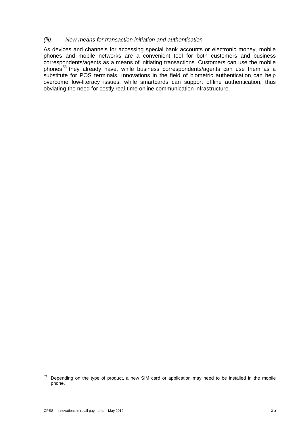### *(iii) New means for transaction initiation and authentication*

As devices and channels for accessing special bank accounts or electronic money, mobile phones and mobile networks are a convenient tool for both customers and business correspondents/agents as a means of initiating transactions. Customers can use the mobile phones<sup>53</sup> they already have, while business correspondents/agents can use them as a substitute for POS terminals. Innovations in the field of biometric authentication can help overcome low-literacy issues, while smartcards can support offline authentication, thus obviating the need for costly real-time online communication infrastructure.

<sup>&</sup>lt;sup>53</sup> Depending on the type of product, a new SIM card or application may need to be installed in the mobile phone.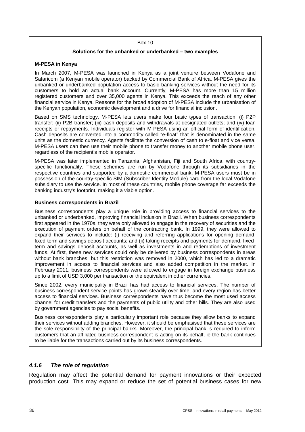#### Box 10

### **Solutions for the unbanked or underbanked – two examples**

### **M-PESA in Kenya**

In March 2007, M-PESA was launched in Kenya as a joint venture between Vodafone and Safaricom (a Kenyan mobile operator) backed by Commercial Bank of Africa. M-PESA gives the unbanked or underbanked population access to basic banking services without the need for its customers to hold an actual bank account. Currently, M-PESA has more than 15 million registered customers and over 35,000 agents in Kenya. This exceeds the reach of any other financial service in Kenya. Reasons for the broad adoption of M-PESA include the urbanisation of the Kenyan population, economic development and a drive for financial inclusion.

Based on SMS technology, M-PESA lets users make four basic types of transaction: (i) P2P transfer; (ii) P2B transfer; (iii) cash deposits and withdrawals at designated outlets; and (iv) loan receipts or repayments. Individuals register with M-PESA using an official form of identification. Cash deposits are converted into a commodity called "e-float" that is denominated in the same units as the domestic currency. Agents facilitate the conversion of cash to e-float and vice versa. M-PESA users can then use their mobile phone to transfer money to another mobile phone user, regardless of the recipient's mobile operator.

M-PESA was later implemented in Tanzania, Afghanistan, Fiji and South Africa, with countryspecific functionality. These schemes are run by Vodafone through its subsidiaries in the respective countries and supported by a domestic commercial bank. M-PESA users must be in possession of the country-specific SIM (Subscriber Identity Module) card from the local Vodafone subsidiary to use the service. In most of these countries, mobile phone coverage far exceeds the banking industry's footprint, making it a viable option.

#### **Business correspondents in Brazil**

Business correspondents play a unique role in providing access to financial services to the unbanked or underbanked, improving financial inclusion in Brazil. When business correspondents first appeared in the 1970s, they were only allowed to engage in the recovery of securities and the execution of payment orders on behalf of the contracting bank. In 1999, they were allowed to expand their services to include: (i) receiving and referring applications for opening demand, fixed-term and savings deposit accounts; and (ii) taking receipts and payments for demand, fixedterm and savings deposit accounts, as well as investments in and redemptions of investment funds. At first, these new services could only be delivered by business correspondents in areas without bank branches, but this restriction was removed in 2000, which has led to a dramatic improvement in access to financial services and also added competition in the market. In February 2011, business correspondents were allowed to engage in foreign exchange business up to a limit of USD 3,000 per transaction or the equivalent in other currencies.

Since 2002, every municipality in Brazil has had access to financial services. The number of business correspondent service points has grown steadily over time, and every region has better access to financial services. Business correspondents have thus become the most used access channel for credit transfers and the payments of public utility and other bills. They are also used by government agencies to pay social benefits.

Business correspondents play a particularly important role because they allow banks to expand their services without adding branches. However, it should be emphasised that these services are the sole responsibility of the principal banks. Moreover, the principal bank is required to inform customers that an affiliated business correspondent is acting on its behalf, ie the bank continues to be liable for the transactions carried out by its business correspondents.

### *4.1.6 The role of regulation*

Regulation may affect the potential demand for payment innovations or their expected production cost. This may expand or reduce the set of potential business cases for new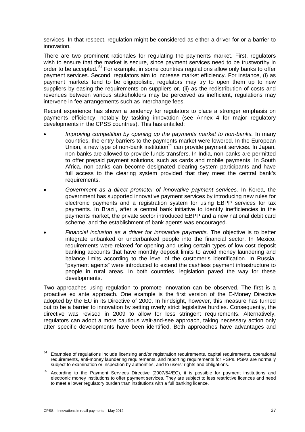services. In that respect, regulation might be considered as either a driver for or a barrier to innovation.

There are two prominent rationales for regulating the payments market. First, regulators wish to ensure that the market is secure, since payment services need to be trustworthy in order to be accepted.<sup>54</sup> For example, in some countries regulations allow only banks to offer payment services. Second, regulators aim to increase market efficiency. For instance, (i) as payment markets tend to be oligopolistic, regulators may try to open them up to new suppliers by easing the requirements on suppliers or, (ii) as the redistribution of costs and revenues between various stakeholders may be perceived as inefficient, regulations may intervene in fee arrangements such as interchange fees.

Recent experience has shown a tendency for regulators to place a stronger emphasis on payments efficiency, notably by tasking innovation (see Annex 4 for major regulatory developments in the CPSS countries). This has entailed:

- *Improving competition by opening up the payments market to non-banks.* In many countries, the entry barriers to the payments market were lowered. In the European Union, a new type of non-bank institution<sup>55</sup> can provide payment services. In Japan, non-banks are allowed to provide funds transfers. In India, non-banks are permitted to offer prepaid payment solutions, such as cards and mobile payments. In South Africa, non-banks can become designated clearing system participants and have full access to the clearing system provided that they meet the central bank's requirements.
- *Government as a direct promoter of innovative payment services.* In Korea, the government has supported innovative payment services by introducing new rules for electronic payments and a registration system for using EBPP services for tax payments. In Brazil, after a central bank initiative to identify inefficiencies in the payments market, the private sector introduced EBPP and a new national debit card scheme, and the establishment of bank agents was encouraged.
- *Financial inclusion as a driver for innovative payments.* The objective is to better integrate unbanked or underbanked people into the financial sector. In Mexico, requirements were relaxed for opening and using certain types of low-cost deposit banking accounts that have monthly deposit limits to avoid money laundering and balance limits according to the level of the customer's identification. In Russia, "payment agents" were introduced to extend the cashless payment infrastructure to people in rural areas. In both countries, legislation paved the way for these developments.

Two approaches using regulation to promote innovation can be observed. The first is a proactive ex ante approach. One example is the first version of the E-Money Directive adopted by the EU in its Directive of 2000. In hindsight, however, this measure has turned out to be a barrier to innovation by setting overly strict legislative hurdles. Consequently, the directive was revised in 2009 to allow for less stringent requirements. Alternatively, regulators can adopt a more cautious wait-and-see approach, taking necessary action only after specific developments have been identified. Both approaches have advantages and

<sup>54</sup> Examples of regulations include licensing and/or registration requirements, capital requirements, operational requirements, anti-money laundering requirements, and reporting requirements for PSPs. PSPs are normally subject to examination or inspection by authorities, and to users' rights and obligations.

<sup>55</sup> According to the Payment Services Directive (2007/64/EC), it is possible for payment institutions and electronic money institutions to offer payment services. They are subject to less restrictive licences and need to meet a lower regulatory burden than institutions with a full banking licence.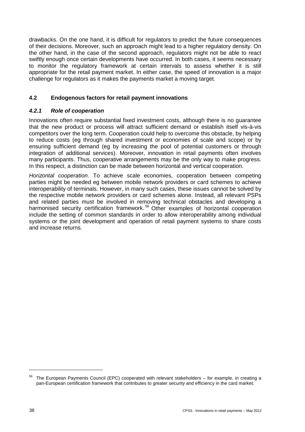drawbacks. On the one hand, it is difficult for regulators to predict the future consequences of their decisions. Moreover, such an approach might lead to a higher regulatory density. On the other hand, in the case of the second approach, regulators might not be able to react swiftly enough once certain developments have occurred. In both cases, it seems necessary to monitor the regulatory framework at certain intervals to assess whether it is still appropriate for the retail payment market. In either case, the speed of innovation is a major challenge for regulators as it makes the payments market a moving target.

## **4.2 Endogenous factors for retail payment innovations**

## *4.2.1 Role of cooperation*

Innovations often require substantial fixed investment costs, although there is no guarantee that the new product or process will attract sufficient demand or establish itself vis-à-vis competitors over the long term. Cooperation could help to overcome this obstacle, by helping to reduce costs (eg through shared investment or economies of scale and scope) or by ensuring sufficient demand (eg by increasing the pool of potential customers or through integration of additional services). Moreover, innovation in retail payments often involves many participants. Thus, cooperative arrangements may be the only way to make progress. In this respect, a distinction can be made between horizontal and vertical cooperation.

*Horizontal cooperation*. To achieve scale economies, cooperation between competing parties might be needed eg between mobile network providers or card schemes to achieve interoperability of terminals. However, in many such cases, these issues cannot be solved by the respective mobile network providers or card schemes alone. Instead, all relevant PSPs and related parties must be involved in removing technical obstacles and developing a harmonised security certification framework.<sup>56</sup> Other examples of horizontal cooperation include the setting of common standards in order to allow interoperability among individual systems or the joint development and operation of retail payment systems to share costs and increase returns.

The European Payments Council (EPC) cooperated with relevant stakeholders – for example, in creating a pan-European certification framework that contributes to greater security and efficiency in the card market.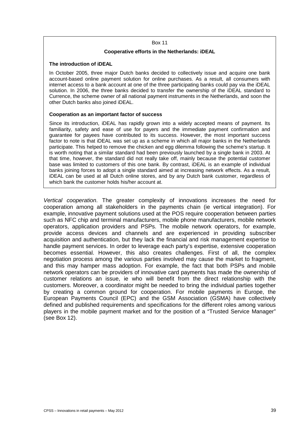#### Box 11

#### **Cooperative efforts in the Netherlands: iDEAL**

### **The introduction of iDEAL**

In October 2005, three major Dutch banks decided to collectively issue and acquire one bank account-based online payment solution for online purchases. As a result, all consumers with internet access to a bank account at one of the three participating banks could pay via the iDEAL solution. In 2006, the three banks decided to transfer the ownership of the iDEAL standard to Currence, the scheme owner of all national payment instruments in the Netherlands, and soon the other Dutch banks also joined iDEAL.

### **Cooperation as an important factor of success**

Since its introduction, iDEAL has rapidly grown into a widely accepted means of payment. Its familiarity, safety and ease of use for payers and the immediate payment confirmation and guarantee for payees have contributed to its success. However, the most important success factor to note is that iDEAL was set up as a scheme in which all major banks in the Netherlands participate. This helped to remove the chicken and egg dilemma following the scheme's startup. It is worth noting that a similar standard had been previously launched by a single bank in 2003. At that time, however, the standard did not really take off, mainly because the potential customer base was limited to customers of this one bank. By contrast, iDEAL is an example of individual banks joining forces to adopt a single standard aimed at increasing network effects. As a result, iDEAL can be used at all Dutch online stores, and by any Dutch bank customer, regardless of which bank the customer holds his/her account at.

*Vertical cooperation*. The greater complexity of innovations increases the need for cooperation among all stakeholders in the payments chain (ie vertical integration). For example, innovative payment solutions used at the POS require cooperation between parties such as NFC chip and terminal manufacturers, mobile phone manufacturers, mobile network operators, application providers and PSPs. The mobile network operators, for example, provide access devices and channels and are experienced in providing subscriber acquisition and authentication, but they lack the financial and risk management expertise to handle payment services. In order to leverage each party's expertise, extensive cooperation becomes essential. However, this also creates challenges. First of all, the complex negotiation process among the various parties involved may cause the market to fragment, and this may hamper mass adoption. For example, the fact that both PSPs and mobile network operators can be providers of innovative card payments has made the ownership of customer relations an issue, ie who will benefit from the direct relationship with the customers. Moreover, a coordinator might be needed to bring the individual parties together by creating a common ground for cooperation. For mobile payments in Europe, the European Payments Council (EPC) and the GSM Association (GSMA) have collectively defined and published requirements and specifications for the different roles among various players in the mobile payment market and for the position of a "Trusted Service Manager" (see Box 12).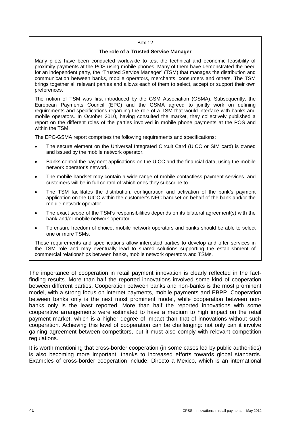#### Box 12

#### **The role of a Trusted Service Manager**

Many pilots have been conducted worldwide to test the technical and economic feasibility of proximity payments at the POS using mobile phones. Many of them have demonstrated the need for an independent party, the "Trusted Service Manager" (TSM) that manages the distribution and communication between banks, mobile operators, merchants, consumers and others. The TSM brings together all relevant parties and allows each of them to select, accept or support their own preferences.

The notion of TSM was first introduced by the GSM Association (GSMA). Subsequently, the European Payments Council (EPC) and the GSMA agreed to jointly work on defining requirements and specifications regarding the role of a TSM that would interface with banks and mobile operators. In October 2010, having consulted the market, they collectively published a report on the different roles of the parties involved in mobile phone payments at the POS and within the TSM.

The EPC-GSMA report comprises the following requirements and specifications:

- The secure element on the Universal Integrated Circuit Card (UICC or SIM card) is owned and issued by the mobile network operator.
- Banks control the payment applications on the UICC and the financial data, using the mobile network operator's network.
- The mobile handset may contain a wide range of mobile contactless payment services, and customers will be in full control of which ones they subscribe to.
- The TSM facilitates the distribution, configuration and activation of the bank's payment application on the UICC within the customer's NFC handset on behalf of the bank and/or the mobile network operator.
- The exact scope of the TSM's responsibilities depends on its bilateral agreement(s) with the bank and/or mobile network operator.
- To ensure freedom of choice, mobile network operators and banks should be able to select one or more TSMs.

These requirements and specifications allow interested parties to develop and offer services in the TSM role and may eventually lead to shared solutions supporting the establishment of commercial relationships between banks, mobile network operators and TSMs.

The importance of cooperation in retail payment innovation is clearly reflected in the factfinding results. More than half the reported innovations involved some kind of cooperation between different parties. Cooperation between banks and non-banks is the most prominent model, with a strong focus on internet payments, mobile payments and EBPP. Cooperation between banks only is the next most prominent model, while cooperation between nonbanks only is the least reported. More than half the reported innovations with some cooperative arrangements were estimated to have a medium to high impact on the retail payment market, which is a higher degree of impact than that of innovations without such cooperation. Achieving this level of cooperation can be challenging: not only can it involve gaining agreement between competitors, but it must also comply with relevant competition regulations.

It is worth mentioning that cross-border cooperation (in some cases led by public authorities) is also becoming more important, thanks to increased efforts towards global standards. Examples of cross-border cooperation include: Directo a Mexico, which is an international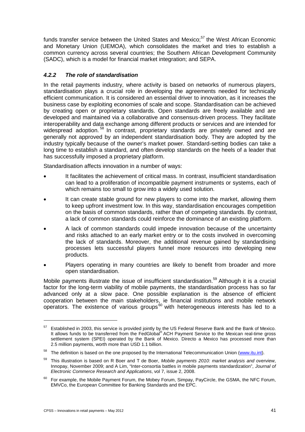funds transfer service between the United States and Mexico: $57$  the West African Economic and Monetary Union (UEMOA), which consolidates the market and tries to establish a common currency across several countries; the Southern African Development Community (SADC), which is a model for financial market integration; and SEPA.

## *4.2.2 The role of standardisation*

In the retail payments industry, where activity is based on networks of numerous players, standardisation plays a crucial role in developing the agreements needed for technically efficient communication. It is considered an essential driver to innovation, as it increases the business case by exploiting economies of scale and scope. Standardisation can be achieved by creating open or proprietary standards. Open standards are freely available and are developed and maintained via a collaborative and consensus-driven process. They facilitate interoperability and data exchange among different products or services and are intended for widespread adoption.<sup>58</sup> In contrast, proprietary standards are privately owned and are generally not approved by an independent standardisation body. They are adopted by the industry typically because of the owner's market power. Standard-setting bodies can take a long time to establish a standard, and often develop standards on the heels of a leader that has successfully imposed a proprietary platform.

Standardisation affects innovation in a number of ways:

- It facilitates the achievement of critical mass. In contrast, insufficient standardisation can lead to a proliferation of incompatible payment instruments or systems, each of which remains too small to grow into a widely used solution.
- It can create stable ground for new players to come into the market, allowing them to keep upfront investment low. In this way, standardisation encourages competition on the basis of common standards, rather than of competing standards. By contrast, a lack of common standards could reinforce the dominance of an existing platform.
- A lack of common standards could impede innovation because of the uncertainty and risks attached to an early market entry or to the costs involved in overcoming the lack of standards. Moreover, the additional revenue gained by standardising processes lets successful players funnel more resources into developing new products.
- Players operating in many countries are likely to benefit from broader and more open standardisation.

Mobile payments illustrate the issue of insufficient standardisation.<sup>59</sup> Although it is a crucial factor for the long-term viability of mobile payments, the standardisation process has so far advanced only at a slow pace. One possible explanation is the absence of efficient cooperation between the main stakeholders, ie financial institutions and mobile network operators. The existence of various groups<sup>60</sup> with heterogeneous interests has led to a

<sup>&</sup>lt;sup>57</sup> Established in 2003, this service is provided jointly by the US Federal Reserve Bank and the Bank of Mexico. It allows funds to be transferred from the FedGlobal® ACH Payment Service to the Mexican real-time gross settlement system (SPEI) operated by the Bank of Mexico. Directo a Mexico has processed more than 2.5 million payments, worth more than USD 1.1 billion.

<sup>&</sup>lt;sup>58</sup> The definition is based on the one proposed by the International Telecommunication Union [\(www.itu.int\)](http://www.itu.int/).

<sup>59</sup> This illustration is based on R Boer and T de Boer, *Mobile payments 2010: market analysis and overview*, Innopay, November 2009; and A Lim, "Inter-consortia battles in mobile payments standardization", *Journal of Electronic Commerce Research and Applications*, vol 7, issue 2, 2008.

 $60$  For example, the Mobile Payment Forum, the Mobey Forum, Simpay, PayCircle, the GSMA, the NFC Forum, EMVCo, the European Committee for Banking Standards and the EPC.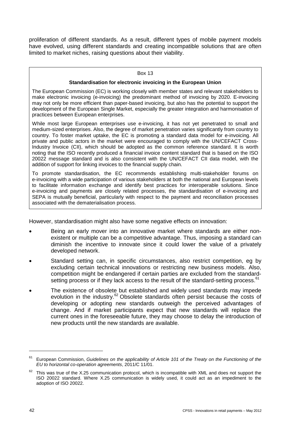proliferation of different standards. As a result, different types of mobile payment models have evolved, using different standards and creating incompatible solutions that are often limited to market niches, raising questions about their viability.

#### Box 13

### **Standardisation for electronic invoicing in the European Union**

The European Commission (EC) is working closely with member states and relevant stakeholders to make electronic invoicing (e-invoicing) the predominant method of invoicing by 2020. E-invoicing may not only be more efficient than paper-based invoicing, but also has the potential to support the development of the European Single Market, especially the greater integration and harmonisation of practices between European enterprises.

While most large European enterprises use e-invoicing, it has not yet penetrated to small and medium-sized enterprises. Also, the degree of market penetration varies significantly from country to country. To foster market uptake, the EC is promoting a standard data model for e-invoicing. All private and public actors in the market were encouraged to comply with the UN/CEFACT Cross-Industry Invoice (CII), which should be adopted as the common reference standard. It is worth noting that the ISO recently produced a financial invoice content standard that is based on the ISO 20022 message standard and is also consistent with the UN/CEFACT CII data model, with the addition of support for linking invoices to the financial supply chain.

To promote standardisation, the EC recommends establishing multi-stakeholder forums on e-invoicing with a wide participation of various stakeholders at both the national and European levels to facilitate information exchange and identify best practices for interoperable solutions. Since e-invoicing and payments are closely related processes, the standardisation of e-invoicing and SEPA is mutually beneficial, particularly with respect to the payment and reconciliation processes associated with the dematerialisation process.

However, standardisation might also have some negative effects on innovation:

- Being an early mover into an innovative market where standards are either nonexistent or multiple can be a competitive advantage. Thus, imposing a standard can diminish the incentive to innovate since it could lower the value of a privately developed network.
- Standard setting can, in specific circumstances, also restrict competition, eg by excluding certain technical innovations or restricting new business models. Also, competition might be endangered if certain parties are excluded from the standardsetting process or if they lack access to the result of the standard-setting process.<sup>61</sup>
- The existence of obsolete but established and widely used standards may impede evolution in the industry.<sup>62</sup> Obsolete standards often persist because the costs of developing or adopting new standards outweigh the perceived advantages of change. And if market participants expect that new standards will replace the current ones in the foreseeable future, they may choose to delay the introduction of new products until the new standards are available.

<sup>61</sup> European Commission, *Guidelines on the applicability of Article 101 of the Treaty on the Functioning of the EU to horizontal co-operation agreements*, 2011/C 11/01.

 $62$  This was true of the X.25 communication protocol, which is incompatible with XML and does not support the ISO 20022 standard. Where X.25 communication is widely used, it could act as an impediment to the adoption of ISO 20022.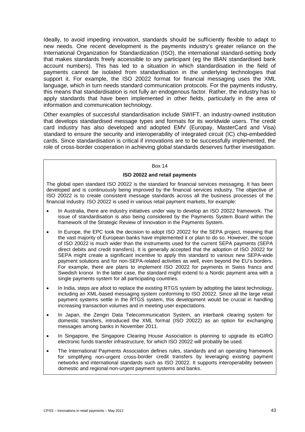Ideally, to avoid impeding innovation, standards should be sufficiently flexible to adapt to new needs. One recent development is the payments industry's greater reliance on the International Organization for Standardization (ISO), the international standard-setting body that makes standards freely accessible to any participant (eg the IBAN standardised bank account numbers). This has led to a situation in which standardisation in the field of payments cannot be isolated from standardisation in the underlying technologies that support it. For example, the ISO 20022 format for financial messaging uses the XML language, which in turn needs standard communication protocols. For the payments industry, this means that standardisation is not fully an endogenous factor. Rather, the industry has to apply standards that have been implemented in other fields, particularly in the area of information and communication technology.

Other examples of successful standardisation include SWIFT, an industry-owned institution that develops standardised message types and formats for its worldwide users. The credit card industry has also developed and adopted EMV (Europay, MasterCard and Visa) standard to ensure the security and interoperability of integrated circuit (IC) chip-embedded cards. Since standardisation is critical if innovations are to be successfully implemented, the role of cross-border cooperation in achieving global standards deserves further investigation.

### Box 14

### **ISO 20022 and retail payments**

The global open standard ISO 20022 is the standard for financial services messaging. It has been developed and is continuously being improved by the financial services industry. The objective of ISO 20022 is to create consistent message standards across all the business processes of the financial industry. ISO 20022 is used in various retail payment markets, for example:

- In Australia, there are industry initiatives under way to develop an ISO 20022 framework. The issue of standardisation is also being considered by the Payments System Board within the framework of the Strategic Review of Innovation in the Payments System.
- In Europe, the EPC took the decision to adopt ISO 20022 for the SEPA project, meaning that the vast majority of European banks have implemented it or plan to do so. However, the scope of ISO 20022 is much wider than the instruments used for the current SEPA payments (SEPA direct debits and credit transfers). It is generally accepted that the adoption of ISO 20022 for SEPA might create a significant incentive to apply this standard to various new SEPA-wide payment solutions and for non-SEPA-related activities as well, even beyond the EU's borders. For example, there are plans to implement ISO 20022 for payments in Swiss francs and Swedish kronor. In the latter case, the standard might extend to a Nordic payment area with a single payments system for all participating countries.
- In India, steps are afoot to replace the existing RTGS system by adopting the latest technology, including an XML-based messaging system conforming to ISO 20022. Since all the large retail payment systems settle in the RTGS system, this development would be crucial in handling increasing transaction volumes and in meeting user expectations.
- In Japan, the Zengin Data Telecommunication System, an interbank clearing system for domestic transfers, introduced the XML format (ISO 20022) as an option for exchanging messages among banks in November 2011.
- In Singapore, the Singapore Clearing House Association is planning to upgrade its eGIRO electronic funds transfer infrastructure, for which ISO 20022 will probably be used.
- The International Payments Association defines rules, standards and an operating framework for simplifying non-urgent cross-border credit transfers by leveraging existing payment networks and international standards such as ISO 20022. It supports interoperability between domestic and regional non-urgent payment systems and banks.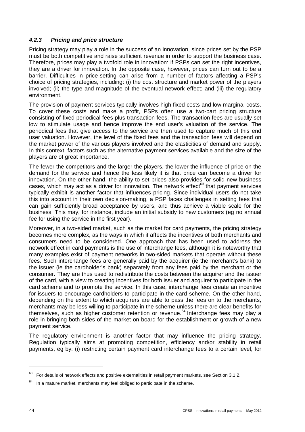## *4.2.3 Pricing and price structure*

Pricing strategy may play a role in the success of an innovation, since prices set by the PSP must be both competitive and raise sufficient revenue in order to support the business case. Therefore, prices may play a twofold role in innovation: if PSPs can set the right incentives, they are a driver for innovation. In the opposite case, however, prices can turn out to be a barrier. Difficulties in price-setting can arise from a number of factors affecting a PSP's choice of pricing strategies, including: (i) the cost structure and market power of the players involved; (ii) the type and magnitude of the eventual network effect; and (iii) the regulatory environment.

The provision of payment services typically involves high fixed costs and low marginal costs. To cover these costs and make a profit, PSPs often use a two-part pricing structure consisting of fixed periodical fees plus transaction fees. The transaction fees are usually set low to stimulate usage and hence improve the end user's valuation of the service. The periodical fees that give access to the service are then used to capture much of this end user valuation. However, the level of the fixed fees and the transaction fees will depend on the market power of the various players involved and the elasticities of demand and supply. In this context, factors such as the alternative payment services available and the size of the players are of great importance.

The fewer the competitors and the larger the players, the lower the influence of price on the demand for the service and hence the less likely it is that price can become a driver for innovation. On the other hand, the ability to set prices also provides for solid new business cases, which may act as a driver for innovation. The network effect<sup>63</sup> that payment services typically exhibit is another factor that influences pricing. Since individual users do not take this into account in their own decision-making, a PSP faces challenges in setting fees that can gain sufficiently broad acceptance by users, and thus achieve a viable scale for the business. This may, for instance, include an initial subsidy to new customers (eg no annual fee for using the service in the first year).

Moreover, in a two-sided market, such as the market for card payments, the pricing strategy becomes more complex, as the ways in which it affects the incentives of both merchants and consumers need to be considered. One approach that has been used to address the network effect in card payments is the use of interchange fees, although it is noteworthy that many examples exist of payment networks in two-sided markets that operate without these fees. Such interchange fees are generally paid by the acquirer (ie the merchant's bank) to the issuer (ie the cardholder's bank) separately from any fees paid by the merchant or the consumer. They are thus used to redistribute the costs between the acquirer and the issuer of the card, with a view to creating incentives for both issuer and acquirer to participate in the card scheme and to promote the service. In this case, interchange fees create an incentive for issuers to encourage cardholders to participate in the card scheme. On the other hand, depending on the extent to which acquirers are able to pass the fees on to the merchants, merchants may be less willing to participate in the scheme unless there are clear benefits for themselves, such as higher customer retention or revenue.<sup>64</sup> Interchange fees may play a role in bringing both sides of the market on board for the establishment or growth of a new payment service.

The regulatory environment is another factor that may influence the pricing strategy. Regulation typically aims at promoting competition, efficiency and/or stability in retail payments, eg by: (i) restricting certain payment card interchange fees to a certain level, for

 $63$  For details of network effects and positive externalities in retail payment markets, see Section 3.1.2.

 $64$  In a mature market, merchants may feel obliged to participate in the scheme.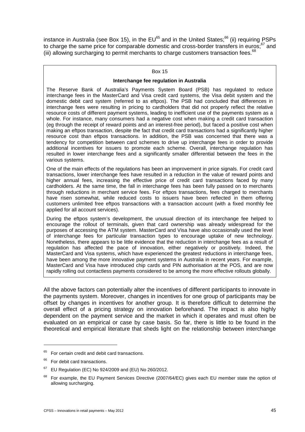instance in Australia (see Box 15), in the  $EU^{65}$  and in the United States;<sup>66</sup> (ii) requiring PSPs to charge the same price for comparable domestic and cross-border transfers in euros; $67$  and (iii) allowing surcharging to permit merchants to charge customers transaction fees. $^{68}$ 

#### Box 15

#### **Interchange fee regulation in Australia**

The Reserve Bank of Australia's Payments System Board (PSB) has regulated to reduce interchange fees in the MasterCard and Visa credit card systems, the Visa debit system and the domestic debit card system (referred to as eftpos). The PSB had concluded that differences in interchange fees were resulting in pricing to cardholders that did not properly reflect the relative resource costs of different payment systems, leading to inefficient use of the payments system as a whole. For instance, many consumers had a negative cost when making a credit card transaction (eg through the receipt of reward points and an interest-free period), but faced a positive cost when making an eftpos transaction, despite the fact that credit card transactions had a significantly higher resource cost than eftpos transactions. In addition, the PSB was concerned that there was a tendency for competition between card schemes to drive up interchange fees in order to provide additional incentives for issuers to promote each scheme. Overall, interchange regulation has resulted in lower interchange fees and a significantly smaller differential between the fees in the various systems.

One of the main effects of the regulations has been an improvement in price signals. For credit card transactions, lower interchange fees have resulted in a reduction in the value of reward points and higher annual fees, increasing the effective price of credit card transactions faced by many cardholders. At the same time, the fall in interchange fees has been fully passed on to merchants through reductions in merchant service fees. For eftpos transactions, fees charged to merchants have risen somewhat, while reduced costs to issuers have been reflected in them offering customers unlimited free eftpos transactions with a transaction account (with a fixed monthly fee applied for all account services).

During the eftpos system's development, the unusual direction of its interchange fee helped to encourage the rollout of terminals, given that card ownership was already widespread for the purposes of accessing the ATM system. MasterCard and Visa have also occasionally used the level of interchange fees for particular transaction types to encourage uptake of new technology. Nonetheless, there appears to be little evidence that the reduction in interchange fees as a result of regulation has affected the pace of innovation, either negatively or positively. Indeed, the MasterCard and Visa systems, which have experienced the greatest reductions in interchange fees, have been among the more innovative payment systems in Australia in recent years. For example, MasterCard and Visa have introduced chip cards and PIN authorisation at the POS, and are now rapidly rolling out contactless payments considered to be among the more effective rollouts globally.

All the above factors can potentially alter the incentives of different participants to innovate in the payments system. Moreover, changes in incentives for one group of participants may be offset by changes in incentives for another group. It is therefore difficult to determine the overall effect of a pricing strategy on innovation beforehand. The impact is also highly dependent on the payment service and the market in which it operates and must often be evaluated on an empirical or case by case basis. So far, there is little to be found in the theoretical and empirical literature that sheds light on the relationship between interchange

 $65$  For certain credit and debit card transactions.

For debit card transactions.

<sup>67</sup> EU Regulation (EC) No 924/2009 and (EU) No 260/2012.

<sup>&</sup>lt;sup>68</sup> For example, the EU Payment Services Directive (2007/64/EC) gives each EU member state the option of allowing surcharging.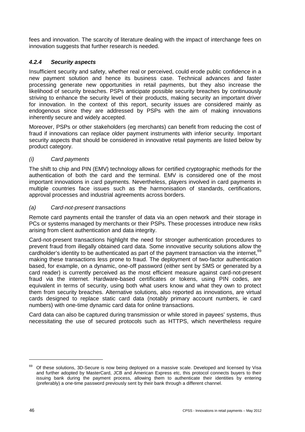fees and innovation. The scarcity of literature dealing with the impact of interchange fees on innovation suggests that further research is needed.

## *4.2.4 Security aspects*

Insufficient security and safety, whether real or perceived, could erode public confidence in a new payment solution and hence its business case. Technical advances and faster processing generate new opportunities in retail payments, but they also increase the likelihood of security breaches. PSPs anticipate possible security breaches by continuously striving to enhance the security level of their products, making security an important driver for innovation. In the context of this report, security issues are considered mainly as endogenous since they are addressed by PSPs with the aim of making innovations inherently secure and widely accepted.

Moreover, PSPs or other stakeholders (eg merchants) can benefit from reducing the cost of fraud if innovations can replace older payment instruments with inferior security. Important security aspects that should be considered in innovative retail payments are listed below by product category.

## *(i) Card payments*

The shift to chip and PIN (EMV) technology allows for certified cryptographic methods for the authentication of both the card and the terminal. EMV is considered one of the most important innovations in card payments. Nevertheless, players involved in card payments in multiple countries face issues such as the harmonisation of standards, certifications, approval processes and industrial agreements across borders.

## *(a) Card-not-present transactions*

Remote card payments entail the transfer of data via an open network and their storage in PCs or systems managed by merchants or their PSPs. These processes introduce new risks arising from client authentication and data integrity.

Card-not-present transactions highlight the need for stronger authentication procedures to prevent fraud from illegally obtained card data. Some innovative security solutions allow the cardholder's identity to be authenticated as part of the payment transaction via the internet,<sup>69</sup> making these transactions less prone to fraud. The deployment of two-factor authentication based, for example, on a dynamic, one-off password (either sent by SMS or generated by a card reader) is currently perceived as the most efficient measure against card-not-present fraud via the internet. Hardware-based certificates or tokens, using PIN codes, are equivalent in terms of security, using both what users know and what they own to protect them from security breaches. Alternative solutions, also reported as innovations, are virtual cards designed to replace static card data (notably primary account numbers, ie card numbers) with one-time dynamic card data for online transactions.

Card data can also be captured during transmission or while stored in payees' systems, thus necessitating the use of secured protocols such as HTTPS, which nevertheless require

 $\ddot{\phantom{a}}$ 

Of these solutions, 3D-Secure is now being deployed on a massive scale. Developed and licensed by Visa and further adopted by MasterCard, JCB and American Express etc, this protocol connects buyers to their issuing bank during the payment process, allowing them to authenticate their identities by entering (preferably) a one-time password previously sent by their bank through a different channel.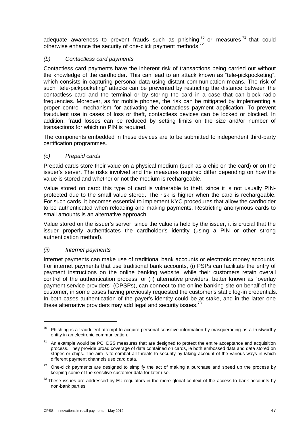adequate awareness to prevent frauds such as phishing  $70$  or measures  $71$  that could otherwise enhance the security of one-click payment methods.<sup>72</sup>

## *(b) Contactless card payments*

Contactless card payments have the inherent risk of transactions being carried out without the knowledge of the cardholder. This can lead to an attack known as "tele-pickpocketing", which consists in capturing personal data using distant communication means. The risk of such "tele-pickpocketing" attacks can be prevented by restricting the distance between the contactless card and the terminal or by storing the card in a case that can block radio frequencies. Moreover, as for mobile phones, the risk can be mitigated by implementing a proper control mechanism for activating the contactless payment application. To prevent fraudulent use in cases of loss or theft, contactless devices can be locked or blocked. In addition, fraud losses can be reduced by setting limits on the size and/or number of transactions for which no PIN is required.

The components embedded in these devices are to be submitted to independent third-party certification programmes.

### *(c) Prepaid cards*

Prepaid cards store their value on a physical medium (such as a chip on the card) or on the issuer's server. The risks involved and the measures required differ depending on how the value is stored and whether or not the medium is rechargeable.

Value stored on card: this type of card is vulnerable to theft, since it is not usually PINprotected due to the small value stored. The risk is higher when the card is rechargeable. For such cards, it becomes essential to implement KYC procedures that allow the cardholder to be authenticated when reloading and making payments. Restricting anonymous cards to small amounts is an alternative approach.

Value stored on the issuer's server: since the value is held by the issuer, it is crucial that the issuer properly authenticates the cardholder's identity (using a PIN or other strong authentication method).

### *(ii) Internet payments*

1

Internet payments can make use of traditional bank accounts or electronic money accounts. For internet payments that use traditional bank accounts, (i) PSPs can facilitate the entry of payment instructions on the online banking website, while their customers retain overall control of the authentication process; or (ii) alternative providers, better known as "overlay payment service providers" (OPSPs), can connect to the online banking site on behalf of the customer, in some cases having previously requested the customer's static log-in credentials. In both cases authentication of the payer's identity could be at stake, and in the latter one these alternative providers may add legal and security issues. $^{73}$ 

 $70$  Phishing is a fraudulent attempt to acquire personal sensitive information by masquerading as a trustworthy entity in an electronic communication.

An example would be PCI DSS measures that are designed to protect the entire acceptance and acquisition process. They provide broad coverage of data contained on cards, ie both embossed data and data stored on stripes or chips. The aim is to combat all threats to security by taking account of the various ways in which different payment channels use card data.

 $72$  One-click payments are designed to simplify the act of making a purchase and speed up the process by keeping some of the sensitive customer data for later use.

 $73$  These issues are addressed by EU regulators in the more global context of the access to bank accounts by non-bank parties.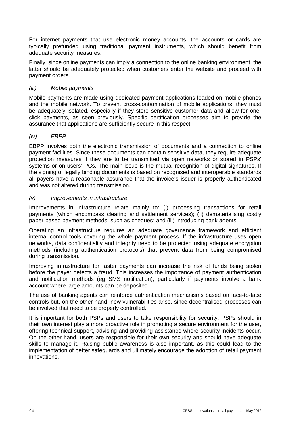For internet payments that use electronic money accounts, the accounts or cards are typically prefunded using traditional payment instruments, which should benefit from adequate security measures.

Finally, since online payments can imply a connection to the online banking environment, the latter should be adequately protected when customers enter the website and proceed with payment orders.

## *(iii) Mobile payments*

Mobile payments are made using dedicated payment applications loaded on mobile phones and the mobile network. To prevent cross-contamination of mobile applications, they must be adequately isolated, especially if they store sensitive customer data and allow for oneclick payments, as seen previously. Specific certification processes aim to provide the assurance that applications are sufficiently secure in this respect.

### *(iv) EBPP*

EBPP involves both the electronic transmission of documents and a connection to online payment facilities. Since these documents can contain sensitive data, they require adequate protection measures if they are to be transmitted via open networks or stored in PSPs' systems or on users' PCs. The main issue is the mutual recognition of digital signatures. If the signing of legally binding documents is based on recognised and interoperable standards, all payers have a reasonable assurance that the invoice's issuer is properly authenticated and was not altered during transmission.

## *(v) Improvements in infrastructure*

Improvements in infrastructure relate mainly to: (i) processing transactions for retail payments (which encompass clearing and settlement services); (ii) dematerialising costly paper-based payment methods, such as cheques; and (iii) introducing bank agents.

Operating an infrastructure requires an adequate governance framework and efficient internal control tools covering the whole payment process. If the infrastructure uses open networks, data confidentiality and integrity need to be protected using adequate encryption methods (including authentication protocols) that prevent data from being compromised during transmission.

Improving infrastructure for faster payments can increase the risk of funds being stolen before the payer detects a fraud. This increases the importance of payment authentication and notification methods (eg SMS notification), particularly if payments involve a bank account where large amounts can be deposited.

The use of banking agents can reinforce authentication mechanisms based on face-to-face controls but, on the other hand, new vulnerabilities arise, since decentralised processes can be involved that need to be properly controlled.

It is important for both PSPs and users to take responsibility for security. PSPs should in their own interest play a more proactive role in promoting a secure environment for the user, offering technical support, advising and providing assistance where security incidents occur. On the other hand, users are responsible for their own security and should have adequate skills to manage it. Raising public awareness is also important, as this could lead to the implementation of better safeguards and ultimately encourage the adoption of retail payment innovations.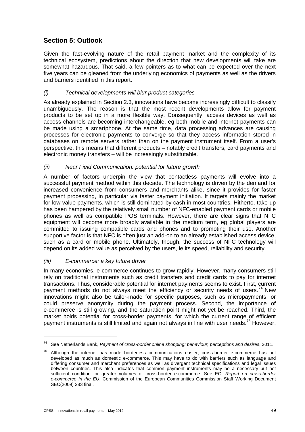# **Section 5: Outlook**

Given the fast-evolving nature of the retail payment market and the complexity of its technical ecosystem, predictions about the direction that new developments will take are somewhat hazardous. That said, a few pointers as to what can be expected over the next five years can be gleaned from the underlying economics of payments as well as the drivers and barriers identified in this report.

## *(i) Technical developments will blur product categories*

As already explained in Section 2.3, innovations have become increasingly difficult to classify unambiguously. The reason is that the most recent developments allow for payment products to be set up in a more flexible way. Consequently, access devices as well as access channels are becoming interchangeable, eg both mobile and internet payments can be made using a smartphone. At the same time, data processing advances are causing processes for electronic payments to converge so that they access information stored in databases on remote servers rather than on the payment instrument itself. From a user's perspective, this means that different products – notably credit transfers, card payments and electronic money transfers – will be increasingly substitutable.

## *(ii) Near Field Communication: potential for future growth*

A number of factors underpin the view that contactless payments will evolve into a successful payment method within this decade. The technology is driven by the demand for increased convenience from consumers and merchants alike, since it provides for faster payment processing, in particular via faster payment initiation. It targets mainly the market for low-value payments, which is still dominated by cash in most countries. Hitherto, take-up has been hampered by the relatively small number of NFC-enabled payment cards or mobile phones as well as compatible POS terminals. However, there are clear signs that NFC equipment will become more broadly available in the medium term, eg global players are committed to issuing compatible cards and phones and to promoting their use. Another supportive factor is that NFC is often just an add-on to an already established access device, such as a card or mobile phone. Ultimately, though, the success of NFC technology will depend on its added value as perceived by the users, ie its speed, reliability and security.

## *(iii) E-commerce: a key future driver*

In many economies, e-commerce continues to grow rapidly. However, many consumers still rely on traditional instruments such as credit transfers and credit cards to pay for internet transactions. Thus, considerable potential for internet payments seems to exist. First, current payment methods do not always meet the efficiency or security needs of users.<sup>74</sup> New innovations might also be tailor-made for specific purposes, such as micropayments, or could preserve anonymity during the payment process. Second, the importance of e-commerce is still growing, and the saturation point might not yet be reached. Third, the market holds potential for cross-border payments, for which the current range of efficient payment instruments is still limited and again not always in line with user needs.<sup>75</sup> However,

<sup>74</sup> See Netherlands Bank, *Payment of cross-border online shopping: behaviour, perceptions and desires*, 2011.

Although the internet has made borderless communications easier, cross-border e-commerce has not developed as much as domestic e-commerce. This may have to do with barriers such as language and differing consumer and merchant preferences as well as divergent technical specifications and legal issues between countries. This also indicates that common payment instruments may be a necessary but not sufficient condition for greater volumes of cross-border e-commerce. See EC, *Report on cross-border e-commerce in the EU*, Commission of the European Communities Commission Staff Working Document SEC(2009) 283 final.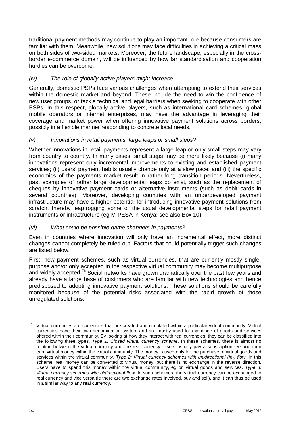traditional payment methods may continue to play an important role because consumers are familiar with them. Meanwhile, new solutions may face difficulties in achieving a critical mass on both sides of two-sided markets. Moreover, the future landscape, especially in the crossborder e-commerce domain, will be influenced by how far standardisation and cooperation hurdles can be overcome.

## *(iv) The role of globally active players might increase*

Generally, domestic PSPs face various challenges when attempting to extend their services within the domestic market and beyond. These include the need to win the confidence of new user groups, or tackle technical and legal barriers when seeking to cooperate with other PSPs. In this respect, globally active players, such as international card schemes, global mobile operators or internet enterprises, may have the advantage in leveraging their coverage and market power when offering innovative payment solutions across borders, possibly in a flexible manner responding to concrete local needs.

## *(v) Innovations in retail payments: large leaps or small steps?*

Whether innovations in retail payments represent a large leap or only small steps may vary from country to country. In many cases, small steps may be more likely because (i) many innovations represent only incremental improvements to existing and established payment services; (ii) users' payment habits usually change only at a slow pace; and (iii) the specific economics of the payments market result in rather long transition periods. Nevertheless, past examples of rather large developmental leaps do exist, such as the replacement of cheques by innovative payment cards or alternative instruments (such as debit cards in several countries). Moreover, developing countries with an underdeveloped payment infrastructure may have a higher potential for introducing innovative payment solutions from scratch, thereby leapfrogging some of the usual developmental steps for retail payment instruments or infrastructure (eg M-PESA in Kenya; see also Box 10).

### *(vi) What could be possible game changers in payments?*

Even in countries where innovation will only have an incremental effect, more distinct changes cannot completely be ruled out. Factors that could potentially trigger such changes are listed below.

First, new payment schemes, such as virtual currencies, that are currently mostly singlepurpose and/or only accepted in the respective virtual community may become multipurpose and widely accepted.<sup>76</sup> Social networks have grown dramatically over the past few years and already have a large base of customers who are familiar with new technologies and hence predisposed to adopting innovative payment solutions. These solutions should be carefully monitored because of the potential risks associated with the rapid growth of those unregulated solutions.

 $76$  Virtual currencies are currencies that are created and circulated within a particular virtual community. Virtual currencies have their own denomination system and are mostly used for exchange of goods and services offered within their community. By looking at how they interact with real currencies, they can be classified into the following three types. *Type 1: Closed virtual currency scheme*. In these schemes, there is almost no relation between the virtual currency and the real currency. Users usually pay a subscription fee and then earn virtual money within the virtual community. The money is used only for the purchase of virtual goods and services within the virtual community. *Type 2: Virtual currency schemes with unidirectional (in-) flow*. In this scheme, real money can be converted to virtual money, but there is no exchange in the reverse direction. Users have to spend this money within the virtual community, eg on virtual goods and services. *Type 3: Virtual currency schemes with bidirectional flow*. In such schemes, the virtual currency can be exchanged to real currency and vice versa (ie there are two exchange rates involved, buy and sell), and it can thus be used in a similar way to any real currency.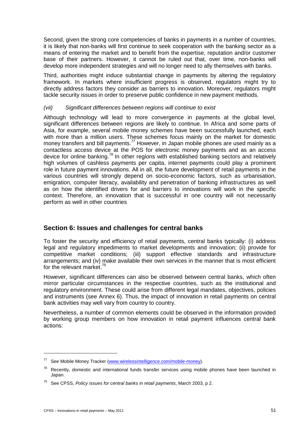Second, given the strong core competencies of banks in payments in a number of countries, it is likely that non-banks will first continue to seek cooperation with the banking sector as a means of entering the market and to benefit from the expertise, reputation and/or customer base of their partners. However, it cannot be ruled out that, over time, non-banks will develop more independent strategies and will no longer need to ally themselves with banks.

Third, authorities might induce substantial change in payments by altering the regulatory framework. In markets where insufficient progress is observed, regulators might try to directly address factors they consider as barriers to innovation. Moreover, regulators might tackle security issues in order to preserve public confidence in new payment methods.

### *(vii) Significant differences between regions will continue to exist*

Although technology will lead to more convergence in payments at the global level, significant differences between regions are likely to continue. In Africa and some parts of Asia, for example, several mobile money schemes have been successfully launched, each with more than a million users. These schemes focus mainly on the market for domestic money transfers and bill payments.<sup>77</sup> However, in Japan mobile phones are used mainly as a contactless access device at the POS for electronic money payments and as an access device for online banking.<sup>78</sup> In other regions with established banking sectors and relatively high volumes of cashless payments per capita, internet payments could play a prominent role in future payment innovations. All in all, the future development of retail payments in the various countries will strongly depend on socio-economic factors, such as urbanisation, emigration, computer literacy, availability and penetration of banking infrastructures as well as on how the identified drivers for and barriers to innovations will work in the specific context. Therefore, an innovation that is successful in one country will not necessarily perform as well in other countries

# **Section 6: Issues and challenges for central banks**

To foster the security and efficiency of retail payments, central banks typically: (i) address legal and regulatory impediments to market developments and innovation; (ii) provide for competitive market conditions; (iii) support effective standards and infrastructure arrangements; and (iv) make available their own services in the manner that is most efficient for the relevant market.<sup>79</sup>

However, significant differences can also be observed between central banks, which often mirror particular circumstances in the respective countries, such as the institutional and regulatory environment. These could arise from different legal mandates, objectives, policies and instruments (see Annex 6). Thus, the impact of innovation in retail payments on central bank activities may well vary from country to country.

Nevertheless, a number of common elements could be observed in the information provided by working group members on how innovation in retail payment influences central bank actions:

<sup>&</sup>lt;sup>77</sup> See Mobile Money Tracker [\(www.wirelessintelligence.com/mobile-money\)](http://www.wirelessintelligence.com/mobile-money).

 $78$  Recently, domestic and international funds transfer services using mobile phones have been launched in Japan.

<sup>79</sup> See CPSS, *Policy issues for central banks in retail payments*, March 2003, p 2.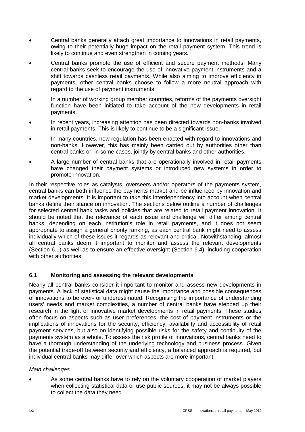- Central banks generally attach great importance to innovations in retail payments, owing to their potentially huge impact on the retail payment system. This trend is likely to continue and even strengthen in coming years.
- Central banks promote the use of efficient and secure payment methods. Many central banks seek to encourage the use of innovative payment instruments and a shift towards cashless retail payments. While also aiming to improve efficiency in payments, other central banks choose to follow a more neutral approach with regard to the use of payment instruments.
- In a number of working group member countries, reforms of the payments oversight function have been initiated to take account of the new developments in retail payments.
- In recent years, increasing attention has been directed towards non-banks involved in retail payments. This is likely to continue to be a significant issue.
- In many countries, new regulation has been enacted with regard to innovations and non-banks. However, this has mainly been carried out by authorities other than central banks or, in some cases, jointly by central banks and other authorities.
- A large number of central banks that are operationally involved in retail payments have changed their payment systems or introduced new systems in order to promote innovation.

In their respective roles as catalysts, overseers and/or operators of the payments system, central banks can both influence the payments market and be influenced by innovation and market developments. It is important to take this interdependency into account when central banks define their stance on innovation. The sections below outline a number of challenges for selected central bank tasks and policies that are related to retail payment innovation. It should be noted that the relevance of each issue and challenge will differ among central banks, depending on each institution's role in retail payments, and it does not seem appropriate to assign a general priority ranking, as each central bank might need to assess individually which of these issues it regards as relevant and critical. Notwithstanding, almost all central banks deem it important to monitor and assess the relevant developments (Section 6.1) as well as to ensure an effective oversight (Section 6.4), including cooperation with other authorities.

## **6.1 Monitoring and assessing the relevant developments**

Nearly all central banks consider it important to monitor and assess new developments in payments. A lack of statistical data might cause the importance and possible consequences of innovations to be over- or underestimated. Recognising the importance of understanding users' needs and market complexities, a number of central banks have stepped up their research in the light of innovative market developments in retail payments. These studies often focus on aspects such as user preferences, the cost of payment instruments or the implications of innovations for the security, efficiency, availability and accessibility of retail payment services, but also on identifying possible risks for the safety and continuity of the payments system as a whole. To assess the risk profile of innovations, central banks need to have a thorough understanding of the underlying technology and business process. Given the potential trade-off between security and efficiency, a balanced approach is required, but individual central banks may differ over which aspects are more important.

### *Main challenges*

As some central banks have to rely on the voluntary cooperation of market players when collecting statistical data or use public sources, it may not be always possible to collect the data they need.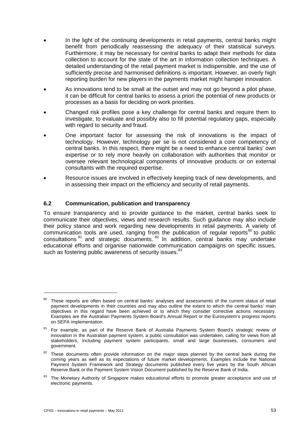- In the light of the continuing developments in retail payments, central banks might benefit from periodically reassessing the adequacy of their statistical surveys. Furthermore, it may be necessary for central banks to adapt their methods for data collection to account for the state of the art in information collection techniques. A detailed understanding of the retail payment market is indispensible, and the use of sufficiently precise and harmonised definitions is important. However, an overly high reporting burden for new players in the payments market might hamper innovation.
- As innovations tend to be small at the outset and may not go beyond a pilot phase, it can be difficult for central banks to assess a priori the potential of new products or processes as a basis for deciding on work priorities.
- Changed risk profiles pose a key challenge for central banks and require them to investigate, to evaluate and possibly also to fill potential regulatory gaps, especially with regard to security and fraud.
- One important factor for assessing the risk of innovations is the impact of technology. However, technology per se is not considered a core competency of central banks. In this respect, there might be a need to enhance central banks' own expertise or to rely more heavily on collaboration with authorities that monitor or oversee relevant technological components of innovative products or on external consultants with the required expertise.
- Resource issues are involved in effectively keeping track of new developments, and in assessing their impact on the efficiency and security of retail payments.

## **6.2 Communication, publication and transparency**

To ensure transparency and to provide guidance to the market, central banks seek to communicate their objectives, views and research results. Such guidance may also include their policy stance and work regarding new developments in retail payments. A variety of communication tools are used, ranging from the publication of regular reports<sup>80</sup> to public consultations <sup>81</sup> and strategic documents. <sup>82</sup> In addition, central banks may undertake educational efforts and organise nationwide communication campaigns on specific issues, such as fostering public awareness of security issues.<sup>83</sup>

<sup>&</sup>lt;sup>80</sup> These reports are often based on central banks' analyses and assessments of the current status of retail payment developments in their countries and may also outline the extent to which the central banks' main objectives in this regard have been achieved or to which they consider corrective actions necessary. Examples are the Australian Payments System Board's Annual Report or the Eurosystem's progress reports on SEPA implementation.

<sup>&</sup>lt;sup>81</sup> For example, as part of the Reserve Bank of Australia Payments System Board's strategic review of innovation in the Australian payment system, a public consultation was undertaken, calling for views from all stakeholders, including payment system participants, small and large businesses, consumers and government.

<sup>&</sup>lt;sup>82</sup> These documents often provide information on the major steps planned by the central bank during the coming years as well as its expectations of future market developments. Examples include the National Payment System Framework and Strategy documents published every five years by the South African Reserve Bank or the Payment System Vision Document published by the Reserve Bank of India.

<sup>&</sup>lt;sup>83</sup> The Monetary Authority of Singapore makes educational efforts to promote greater acceptance and use of electronic payments.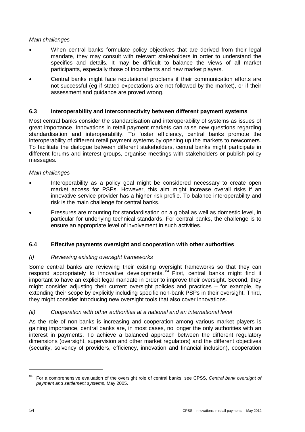## *Main challenges*

- When central banks formulate policy objectives that are derived from their legal mandate, they may consult with relevant stakeholders in order to understand the specifics and details. It may be difficult to balance the views of all market participants, especially those of incumbents and new market players.
- Central banks might face reputational problems if their communication efforts are not successful (eg if stated expectations are not followed by the market), or if their assessment and guidance are proved wrong.

## **6.3 Interoperability and interconnectivity between different payment systems**

Most central banks consider the standardisation and interoperability of systems as issues of great importance. Innovations in retail payment markets can raise new questions regarding standardisation and interoperability. To foster efficiency, central banks promote the interoperability of different retail payment systems by opening up the markets to newcomers. To facilitate the dialogue between different stakeholders, central banks might participate in different forums and interest groups, organise meetings with stakeholders or publish policy messages.

## *Main challenges*

- Interoperability as a policy goal might be considered necessary to create open market access for PSPs. However, this aim might increase overall risks if an innovative service provider has a higher risk profile. To balance interoperability and risk is the main challenge for central banks.
- Pressures are mounting for standardisation on a global as well as domestic level, in particular for underlying technical standards. For central banks, the challenge is to ensure an appropriate level of involvement in such activities.

## **6.4 Effective payments oversight and cooperation with other authorities**

## *(i) Reviewing existing oversight frameworks*

Some central banks are reviewing their existing oversight frameworks so that they can respond appropriately to innovative developments. 84 First, central banks might find it important to have an explicit legal mandate in order to improve their oversight. Second, they might consider adjusting their current oversight policies and practices – for example, by extending their scope by explicitly including specific non-bank PSPs in their oversight. Third, they might consider introducing new oversight tools that also cover innovations.

### *(ii) Cooperation with other authorities at a national and an international level*

As the role of non-banks is increasing and cooperation among various market players is gaining importance, central banks are, in most cases, no longer the only authorities with an interest in payments. To achieve a balanced approach between the different regulatory dimensions (oversight, supervision and other market regulators) and the different objectives (security, solvency of providers, efficiency, innovation and financial inclusion), cooperation

 $\overline{a}$ 

<sup>84</sup> For a comprehensive evaluation of the oversight role of central banks, see CPSS, *Central bank oversight of payment and settlement systems*, May 2005.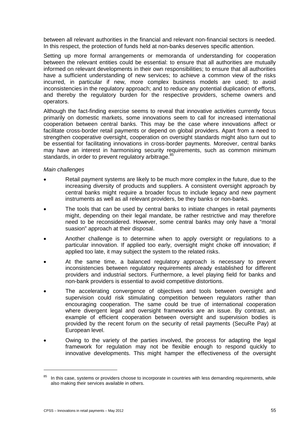between all relevant authorities in the financial and relevant non-financial sectors is needed. In this respect, the protection of funds held at non-banks deserves specific attention.

Setting up more formal arrangements or memoranda of understanding for cooperation between the relevant entities could be essential: to ensure that all authorities are mutually informed on relevant developments in their own responsibilities; to ensure that all authorities have a sufficient understanding of new services; to achieve a common view of the risks incurred, in particular if new, more complex business models are used; to avoid inconsistencies in the regulatory approach; and to reduce any potential duplication of efforts, and thereby the regulatory burden for the respective providers, scheme owners and operators.

Although the fact-finding exercise seems to reveal that innovative activities currently focus primarily on domestic markets, some innovations seem to call for increased international cooperation between central banks. This may be the case where innovations affect or facilitate cross-border retail payments or depend on global providers. Apart from a need to strengthen cooperative oversight, cooperation on oversight standards might also turn out to be essential for facilitating innovations in cross-border payments. Moreover, central banks may have an interest in harmonising security requirements, such as common minimum standards, in order to prevent regulatory arbitrage.<sup>8</sup>

### *Main challenges*

- Retail payment systems are likely to be much more complex in the future, due to the increasing diversity of products and suppliers. A consistent oversight approach by central banks might require a broader focus to include legacy and new payment instruments as well as all relevant providers, be they banks or non-banks.
- The tools that can be used by central banks to initiate changes in retail payments might, depending on their legal mandate, be rather restrictive and may therefore need to be reconsidered. However, some central banks may only have a "moral suasion" approach at their disposal.
- Another challenge is to determine when to apply oversight or regulations to a particular innovation. If applied too early, oversight might choke off innovation; if applied too late, it may subject the system to the related risks.
- At the same time, a balanced regulatory approach is necessary to prevent inconsistencies between regulatory requirements already established for different providers and industrial sectors. Furthermore, a level playing field for banks and non-bank providers is essential to avoid competitive distortions.
- The accelerating convergence of objectives and tools between oversight and supervision could risk stimulating competition between regulators rather than encouraging cooperation. The same could be true of international cooperation where divergent legal and oversight frameworks are an issue. By contrast, an example of efficient cooperation between oversight and supervision bodies is provided by the recent forum on the security of retail payments (SecuRe Pay) at European level.
- Owing to the variety of the parties involved, the process for adapting the legal framework for regulation may not be flexible enough to respond quickly to innovative developments. This might hamper the effectiveness of the oversight

<sup>&</sup>lt;sup>85</sup> In this case, systems or providers choose to incorporate in countries with less demanding requirements, while also making their services available in others.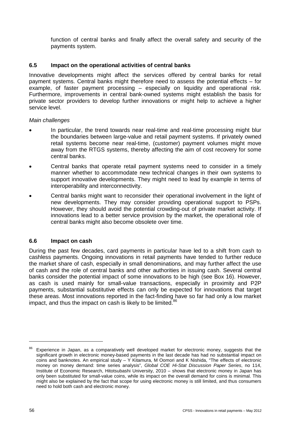function of central banks and finally affect the overall safety and security of the payments system.

## **6.5 Impact on the operational activities of central banks**

Innovative developments might affect the services offered by central banks for retail payment systems. Central banks might therefore need to assess the potential effects – for example, of faster payment processing – especially on liquidity and operational risk. Furthermore, improvements in central bank-owned systems might establish the basis for private sector providers to develop further innovations or might help to achieve a higher service level.

### *Main challenges*

- In particular, the trend towards near real-time and real-time processing might blur the boundaries between large-value and retail payment systems. If privately owned retail systems become near real-time, (customer) payment volumes might move away from the RTGS systems, thereby affecting the aim of cost recovery for some central banks.
- Central banks that operate retail payment systems need to consider in a timely manner whether to accommodate new technical changes in their own systems to support innovative developments. They might need to lead by example in terms of interoperability and interconnectivity.
- Central banks might want to reconsider their operational involvement in the light of new developments. They may consider providing operational support to PSPs. However, they should avoid the potential crowding-out of private market activity. If innovations lead to a better service provision by the market, the operational role of central banks might also become obsolete over time.

## **6.6 Impact on cash**

During the past few decades, card payments in particular have led to a shift from cash to cashless payments. Ongoing innovations in retail payments have tended to further reduce the market share of cash, especially in small denominations, and may further affect the use of cash and the role of central banks and other authorities in issuing cash. Several central banks consider the potential impact of some innovations to be high (see Box 16). However, as cash is used mainly for small-value transactions, especially in proximity and P2P payments, substantial substitutive effects can only be expected for innovations that target these areas. Most innovations reported in the fact-finding have so far had only a low market impact, and thus the impact on cash is likely to be limited.<sup>86</sup>

 $\ddot{\phantom{a}}$ 

Experience in Japan, as a comparatively well developed market for electronic money, suggests that the significant growth in electronic money-based payments in the last decade has had no substantial impact on coins and banknotes. An empirical study – Y Kitamura, M Oomori and K Nishida, "The effects of electronic money on money demand: time series analysis", *Global COE Hi-Stat Discussion Paper Series*, no 114, Institute of Economic Research, Hitotsubashi University, 2010 – shows that electronic money in Japan has only been substituted for small-value coins, while its impact on the overall demand for coins is minimal. This might also be explained by the fact that scope for using electronic money is still limited, and thus consumers need to hold both cash and electronic money.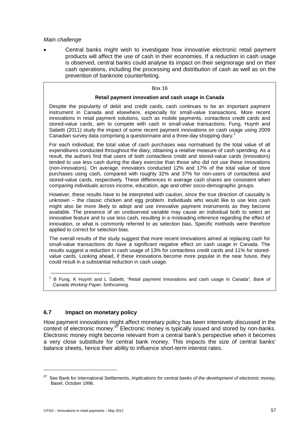### *Main challenge*

• Central banks might wish to investigate how innovative electronic retail payment products will affect the use of cash in their economies. If a reduction in cash usage is observed, central banks could analyse its impact on their seigniorage and on their cash operations, including the processing and distribution of cash as well as on the prevention of banknote counterfeiting.

#### Box 16

### **Retail payment innovation and cash usage in Canada**

Despite the popularity of debit and credit cards, cash continues to be an important payment instrument in Canada and elsewhere, especially for small-value transactions. More recent innovations in retail payment solutions, such as mobile payments, contactless credit cards and stored-value cards, aim to compete with cash in small-value transactions. Fung, Huynh and Sabetti (2011) study the impact of some recent payment innovations on cash usage using 2009 Canadian survey data comprising a questionnaire and a three-day shopping diary.<sup>1</sup>

For each individual, the total value of cash purchases was normalised by the total value of all expenditures conducted throughout the diary, obtaining a relative measure of cash spending. As a result, the authors find that users of both contactless credit and stored-value cards (innovators) tended to use less cash during the diary exercise than those who did not use these innovations (non-innovators). On average, innovators conducted 12% and 17% of the total value of store purchases using cash, compared with roughly 32% and 37% for non-users of contactless and stored-value cards, respectively. These differences in average cash shares are consistent when comparing individuals across income, education, age and other socio-demographic groups.

However, these results have to be interpreted with caution, since the true direction of causality is unknown – the classic chicken and egg problem. Individuals who would like to use less cash might also be more likely to adopt and use innovative payment instruments as they become available. The presence of an unobserved variable may cause an individual both to select an innovative feature and to use less cash, resulting in a misleading inference regarding the effect of innovation, or what is commonly referred to as selection bias. Specific methods were therefore applied to correct for selection bias.

The overall results of the study suggest that more recent innovations aimed at replacing cash for small-value transactions do have a significant negative effect on cash usage in Canada. The results suggest a reduction in cash usage of 13% for contactless credit cards and 11% for storedvalue cards. Looking ahead, if these innovations become more popular in the near future, they could result in a substantial reduction in cash usage.

<sup>1</sup> B Fung, K Huynh and L Sabetti, "Retail payment innovations and cash usage in Canada", *Bank of Canada Working Paper*, forthcoming.

### **6.7 Impact on monetary policy**

\_\_\_\_\_\_\_\_\_\_\_\_\_\_\_\_\_\_\_\_\_

How payment innovations might affect monetary policy has been intensively discussed in the context of electronic money.<sup>87</sup> Electronic money is typically issued and stored by non-banks. Electronic money might become relevant from a central bank's perspective when it becomes a very close substitute for central bank money. This impacts the size of central banks' balance sheets, hence their ability to influence short-term interest rates.

<sup>87</sup> See Bank for International Settlements, *Implications for central banks of the development of electronic money*, Basel, October 1996.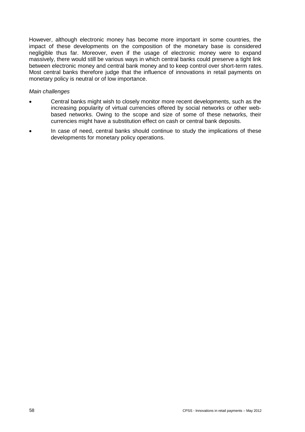However, although electronic money has become more important in some countries, the impact of these developments on the composition of the monetary base is considered negligible thus far. Moreover, even if the usage of electronic money were to expand massively, there would still be various ways in which central banks could preserve a tight link between electronic money and central bank money and to keep control over short-term rates. Most central banks therefore judge that the influence of innovations in retail payments on monetary policy is neutral or of low importance.

### *Main challenges*

- Central banks might wish to closely monitor more recent developments, such as the increasing popularity of virtual currencies offered by social networks or other webbased networks. Owing to the scope and size of some of these networks, their currencies might have a substitution effect on cash or central bank deposits.
- In case of need, central banks should continue to study the implications of these developments for monetary policy operations.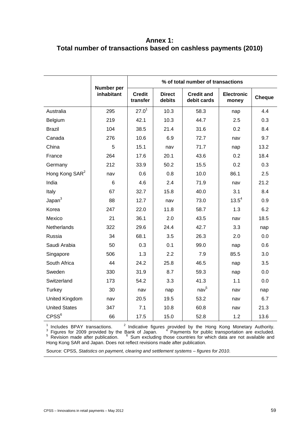**Annex 1: Total number of transactions based on cashless payments (2010)**

|                            |                          | % of total number of transactions |                         |                                  |                            |               |
|----------------------------|--------------------------|-----------------------------------|-------------------------|----------------------------------|----------------------------|---------------|
|                            | Number per<br>inhabitant | <b>Credit</b><br>transfer         | <b>Direct</b><br>debits | <b>Credit and</b><br>debit cards | <b>Electronic</b><br>money | <b>Cheque</b> |
| Australia                  | 295                      | $27.0^{1}$                        | 10.3                    | 58.3                             | nap                        | 4.4           |
| Belgium                    | 219                      | 42.1                              | 10.3                    | 44.7                             | 2.5                        | 0.3           |
| <b>Brazil</b>              | 104                      | 38.5                              | 21.4                    | 31.6                             | 0.2                        | 8.4           |
| Canada                     | 276                      | 10.6                              | 6.9                     | 72.7                             | nav                        | 9.7           |
| China                      | 5                        | 15.1                              | nav                     | 71.7                             | nap                        | 13.2          |
| France                     | 264                      | 17.6                              | 20.1                    | 43.6                             | 0.2                        | 18.4          |
| Germany                    | 212                      | 33.9                              | 50.2                    | 15.5                             | 0.2                        | 0.3           |
| Hong Kong SAR <sup>2</sup> | nav                      | 0.6                               | 0.8                     | 10.0                             | 86.1                       | 2.5           |
| India                      | 6                        | 4.6                               | 2.4                     | 71.9                             | nav                        | 21.2          |
| Italy                      | 67                       | 32.7                              | 15.8                    | 40.0                             | 3.1                        | 8.4           |
| Japan <sup>3</sup>         | 88                       | 12.7                              | nav                     | 73.0                             | $13.5^4$                   | 0.9           |
| Korea                      | 247                      | 22.0                              | 11.8                    | 58.7                             | 1.3                        | 6.2           |
| Mexico                     | 21                       | 36.1                              | 2.0                     | 43.5                             | nav                        | 18.5          |
| Netherlands                | 322                      | 29.6                              | 24.4                    | 42.7                             | 3.3                        | nap           |
| Russia                     | 34                       | 68.1                              | 3.5                     | 26.3                             | 2.0                        | 0.0           |
| Saudi Arabia               | 50                       | 0.3                               | 0.1                     | 99.0                             | nap                        | 0.6           |
| Singapore                  | 506                      | 1.3                               | 2.2                     | 7.9                              | 85.5                       | 3.0           |
| South Africa               | 44                       | 24.2                              | 25.8                    | 46.5                             | nap                        | 3.5           |
| Sweden                     | 330                      | 31.9                              | 8.7                     | 59.3                             | nap                        | 0.0           |
| Switzerland                | 173                      | 54.2                              | 3.3                     | 41.3                             | 1.1                        | 0.0           |
| Turkey                     | 30                       | nav                               | nap                     | nav <sup>5</sup>                 | nav                        | nap           |
| United Kingdom             | nav                      | 20.5                              | 19.5                    | 53.2                             | nav                        | 6.7           |
| <b>United States</b>       | 347                      | 7.1                               | 10.8                    | 60.8                             | nav                        | 21.3          |
| CPSS <sup>6</sup>          | 66                       | 17.5                              | 15.0                    | 52.8                             | 1.2                        | 13.6          |

<sup>1</sup> Includes BPAY transactions. <sup>2</sup> Indicative figures provided by the Hong Kong Monetary Authority.<br><sup>3</sup> Figures for 2009 provided by the Bank of Japan. <sup>4</sup> Payments for public transportation are excluded.<br><sup>5</sup> Revision ma Hong Kong SAR and Japan. Does not reflect revisions made after publication.

Source: CPSS, *Statistics on payment, clearing and settlement systems – figures for 2010*.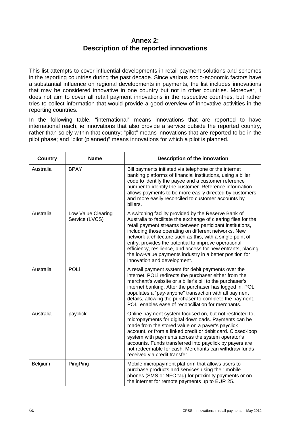# **Annex 2: Description of the reported innovations**

This list attempts to cover influential developments in retail payment solutions and schemes in the reporting countries during the past decade. Since various socio-economic factors have a substantial influence on regional developments in payments, the list includes innovations that may be considered innovative in one country but not in other countries. Moreover, it does not aim to cover all retail payment innovations in the respective countries, but rather tries to collect information that would provide a good overview of innovative activities in the reporting countries.

In the following table, "international" means innovations that are reported to have international reach, ie innovations that also provide a service outside the reported country, rather than solely within that country; "pilot" means innovations that are reported to be in the pilot phase; and "pilot (planned)" means innovations for which a pilot is planned.

| <b>Country</b> | <b>Name</b>                          | Description of the innovation                                                                                                                                                                                                                                                                                                                                                                                                                                                                                              |
|----------------|--------------------------------------|----------------------------------------------------------------------------------------------------------------------------------------------------------------------------------------------------------------------------------------------------------------------------------------------------------------------------------------------------------------------------------------------------------------------------------------------------------------------------------------------------------------------------|
| Australia      | <b>BPAY</b>                          | Bill payments initiated via telephone or the internet<br>banking platforms of financial institutions, using a biller<br>code to identify the payee and a customer reference<br>number to identify the customer. Reference information<br>allows payments to be more easily directed by customers,<br>and more easily reconciled to customer accounts by<br>billers.                                                                                                                                                        |
| Australia      | Low Value Clearing<br>Service (LVCS) | A switching facility provided by the Reserve Bank of<br>Australia to facilitate the exchange of clearing files for the<br>retail payment streams between participant institutions,<br>including those operating on different networks. New<br>network architecture such as this, with a single point of<br>entry, provides the potential to improve operational<br>efficiency, resilience, and access for new entrants, placing<br>the low-value payments industry in a better position for<br>innovation and development. |
| Australia      | POLi                                 | A retail payment system for debit payments over the<br>internet. POLi redirects the purchaser either from the<br>merchant's website or a biller's bill to the purchaser's<br>internet banking. After the purchaser has logged in, POLi<br>populates a "pay-anyone" transaction with all payment<br>details, allowing the purchaser to complete the payment.<br>POLi enables ease of reconciliation for merchants.                                                                                                          |
| Australia      | payclick                             | Online payment system focused on, but not restricted to,<br>micropayments for digital downloads. Payments can be<br>made from the stored value on a payer's payclick<br>account, or from a linked credit or debit card. Closed-loop<br>system with payments across the system operator's<br>accounts. Funds transferred into payclick by payers are<br>not redeemable for cash. Merchants can withdraw funds<br>received via credit transfer.                                                                              |
| Belgium        | PingPing                             | Mobile micropayment platform that allows users to<br>purchase products and services using their mobile<br>phones (SMS or NFC tag) for proximity payments or on<br>the internet for remote payments up to EUR 25.                                                                                                                                                                                                                                                                                                           |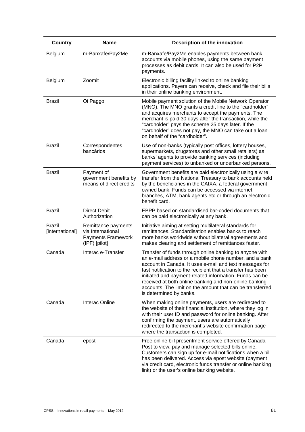| <b>Country</b>                   | <b>Name</b>                                                                            | Description of the innovation                                                                                                                                                                                                                                                                                                                                                                                                                            |
|----------------------------------|----------------------------------------------------------------------------------------|----------------------------------------------------------------------------------------------------------------------------------------------------------------------------------------------------------------------------------------------------------------------------------------------------------------------------------------------------------------------------------------------------------------------------------------------------------|
| Belgium                          | m-Banxafe/Pay2Me                                                                       | m-Banxafe/Pay2Me enables payments between bank<br>accounts via mobile phones, using the same payment<br>processes as debit cards. It can also be used for P2P<br>payments.                                                                                                                                                                                                                                                                               |
| Belgium                          | Zoomit                                                                                 | Electronic billing facility linked to online banking<br>applications. Payers can receive, check and file their bills<br>in their online banking environment.                                                                                                                                                                                                                                                                                             |
| <b>Brazil</b>                    | Oi Paggo                                                                               | Mobile payment solution of the Mobile Network Operator<br>(MNO). The MNO grants a credit line to the "cardholder"<br>and acquires merchants to accept the payments. The<br>merchant is paid 30 days after the transaction, while the<br>"cardholder" pays the scheme 25 days later. If the<br>"cardholder" does not pay, the MNO can take out a loan<br>on behalf of the "cardholder".                                                                   |
| <b>Brazil</b>                    | Correspondentes<br>bancários                                                           | Use of non-banks (typically post offices, lottery houses,<br>supermarkets, drugstores and other small retailers) as<br>banks' agents to provide banking services (including<br>payment services) to unbanked or underbanked persons.                                                                                                                                                                                                                     |
| <b>Brazil</b>                    | Payment of<br>government benefits by<br>means of direct credits                        | Government benefits are paid electronically using a wire<br>transfer from the National Treasury to bank accounts held<br>by the beneficiaries in the CAIXA, a federal government-<br>owned bank. Funds can be accessed via internet,<br>branches, ATM, bank agents etc or through an electronic<br>benefit card.                                                                                                                                         |
| <b>Brazil</b>                    | <b>Direct Debit</b><br>Authorization                                                   | EBPP based on standardised bar-coded documents that<br>can be paid electronically at any bank.                                                                                                                                                                                                                                                                                                                                                           |
| <b>Brazil</b><br>[international] | Remittance payments<br>via International<br><b>Payments Framework</b><br>(IPF) [pilot] | Initiative aiming at setting multilateral standards for<br>remittances. Standardisation enables banks to reach<br>more banks worldwide without bilateral agreements and<br>makes clearing and settlement of remittances faster.                                                                                                                                                                                                                          |
| Canada                           | Interac e-Transfer                                                                     | Transfer of funds through online banking to anyone with<br>an e-mail address or a mobile phone number, and a bank<br>account in Canada. It uses e-mail and text messages for<br>fast notification to the recipient that a transfer has been<br>initiated and payment-related information. Funds can be<br>received at both online banking and non-online banking<br>accounts. The limit on the amount that can be transferred<br>is determined by banks. |
| Canada                           | Interac Online                                                                         | When making online payments, users are redirected to<br>the website of their financial institution, where they log in<br>with their user ID and password for online banking. After<br>confirming the payment, users are automatically<br>redirected to the merchant's website confirmation page<br>where the transaction is completed.                                                                                                                   |
| Canada                           | epost                                                                                  | Free online bill presentment service offered by Canada<br>Post to view, pay and manage selected bills online.<br>Customers can sign up for e-mail notifications when a bill<br>has been delivered. Access via epost website (payment<br>via credit card, electronic funds transfer or online banking<br>link) or the user's online banking website.                                                                                                      |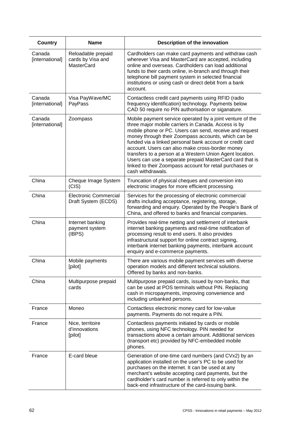| Country                   | <b>Name</b>                                                  | Description of the innovation                                                                                                                                                                                                                                                                                                                                                                                                                                                                                                                              |
|---------------------------|--------------------------------------------------------------|------------------------------------------------------------------------------------------------------------------------------------------------------------------------------------------------------------------------------------------------------------------------------------------------------------------------------------------------------------------------------------------------------------------------------------------------------------------------------------------------------------------------------------------------------------|
| Canada<br>[international] | Reloadable prepaid<br>cards by Visa and<br><b>MasterCard</b> | Cardholders can make card payments and withdraw cash<br>wherever Visa and MasterCard are accepted, including<br>online and overseas. Cardholders can load additional<br>funds to their cards online, in-branch and through their<br>telephone bill payment system in selected financial<br>institutions or using cash or direct debit from a bank<br>account.                                                                                                                                                                                              |
| Canada<br>[international] | Visa PayWave/MC<br>PayPass                                   | Contactless credit card payments using RFID (radio<br>frequency identification) technology. Payments below<br>CAD 50 require no PIN authorisation or siganature.                                                                                                                                                                                                                                                                                                                                                                                           |
| Canada<br>[international] | Zoompass                                                     | Mobile payment service operated by a joint venture of the<br>three major mobile carriers in Canada. Access is by<br>mobile phone or PC. Users can send, receive and request<br>money through their Zoompass accounts, which can be<br>funded via a linked personal bank account or credit card<br>account. Users can also make cross-border money<br>transfers to a person at a Western Union Agent location.<br>Users can use a separate prepaid MasterCard card that is<br>linked to their Zoompass account for retail purchases or<br>cash withdrawals. |
| China                     | Cheque Image System<br>(CIS)                                 | Truncation of physical cheques and conversion into<br>electronic images for more efficient processing.                                                                                                                                                                                                                                                                                                                                                                                                                                                     |
| China                     | <b>Electronic Commercial</b><br>Draft System (ECDS)          | Services for the processing of electronic commercial<br>drafts including acceptance, registering, storage,<br>forwarding and enquiry. Operated by the People's Bank of<br>China, and offered to banks and financial companies.                                                                                                                                                                                                                                                                                                                             |
| China                     | Internet banking<br>payment system<br>(IBPS)                 | Provides real-time netting and settlement of interbank<br>internet banking payments and real-time notification of<br>processing result to end users. It also provides<br>infrastructural support for online contract signing,<br>interbank internet banking payments, interbank account<br>enquiry and e-commerce payments.                                                                                                                                                                                                                                |
| China                     | Mobile payments<br>[pilot]                                   | There are various mobile payment services with diverse<br>operation models and different technical solutions.<br>Offered by banks and non-banks.                                                                                                                                                                                                                                                                                                                                                                                                           |
| China                     | Multipurpose prepaid<br>cards                                | Multipurpose prepaid cards, issued by non-banks, that<br>can be used at POS terminals without PIN. Replacing<br>cash in micropayments, improving convenience and<br>including unbanked persons.                                                                                                                                                                                                                                                                                                                                                            |
| France                    | Moneo                                                        | Contactless electronic money card for low-value<br>payments. Payments do not require a PIN.                                                                                                                                                                                                                                                                                                                                                                                                                                                                |
| France                    | Nice, territoire<br>d'innovations<br>[pilot]                 | Contactless payments initiated by cards or mobile<br>phones, using NFC technology. PIN needed for<br>transactions above a certain amount. Additional services<br>(transport etc) provided by NFC-embedded mobile<br>phones.                                                                                                                                                                                                                                                                                                                                |
| France                    | E-card bleue                                                 | Generation of one-time card numbers (and CVx2) by an<br>application installed on the user's PC to be used for<br>purchases on the internet. It can be used at any<br>merchant's website accepting card payments, but the<br>cardholder's card number is referred to only within the<br>back-end infrastructure of the card-issuing bank.                                                                                                                                                                                                                   |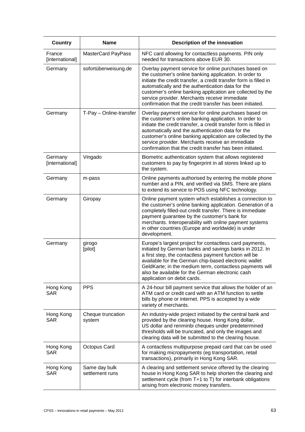| <b>Country</b>             | <b>Name</b>                      | Description of the innovation                                                                                                                                                                                                                                                                                                                                                                                            |
|----------------------------|----------------------------------|--------------------------------------------------------------------------------------------------------------------------------------------------------------------------------------------------------------------------------------------------------------------------------------------------------------------------------------------------------------------------------------------------------------------------|
| France<br>[international]  | MasterCard PayPass               | NFC card allowing for contactless payments. PIN only<br>needed for transactions above EUR 30.                                                                                                                                                                                                                                                                                                                            |
| Germany                    | sofortüberweisung.de             | Overlay payment service for online purchases based on<br>the customer's online banking application. In order to<br>initiate the credit transfer, a credit transfer form is filled in<br>automatically and the authentication data for the<br>customer's online banking application are collected by the<br>service provider. Merchants receive immediate<br>confirmation that the credit transfer has been initiated.    |
| Germany                    | T-Pay - Online-transfer          | Overlay payment service for online purchases based on<br>the customer's online banking application. In order to<br>initiate the credit transfer, a credit transfer form is filled in<br>automatically and the authentication data for the<br>customer's online banking application are collected by the<br>service provider. Merchants receive an immediate<br>confirmation that the credit transfer has been initiated. |
| Germany<br>[international] | Vingado                          | Biometric authentication system that allows registered<br>customers to pay by fingerprint in all stores linked up to<br>the system.                                                                                                                                                                                                                                                                                      |
| Germany                    | m-pass                           | Online payments authorised by entering the mobile phone<br>number and a PIN, and verified via SMS. There are plans<br>to extend its service to POS using NFC technology.                                                                                                                                                                                                                                                 |
| Germany                    | Giropay                          | Online payment system which establishes a connection to<br>the customer's online banking application. Generation of a<br>completely filled-out credit transfer. There is immediate<br>payment guarantee by the customer's bank for<br>merchants. Interoperability with online payment systems<br>in other countries (Europe and worldwide) is under<br>development.                                                      |
| Germany                    | girogo<br>[pilot]                | Europe's largest project for contactless card payments,<br>initiated by German banks and savings banks in 2012. In<br>a first step, the contactless payment function will be<br>available for the German chip-based electronic wallet<br>GeldKarte; in the medium term, contactless payments will<br>also be available for the German electronic cash<br>application on debit cards.                                     |
| Hong Kong<br><b>SAR</b>    | <b>PPS</b>                       | A 24-hour bill payment service that allows the holder of an<br>ATM card or credit card with an ATM function to settle<br>bills by phone or internet. PPS is accepted by a wide<br>variety of merchants.                                                                                                                                                                                                                  |
| Hong Kong<br><b>SAR</b>    | Cheque truncation<br>system      | An industry-wide project initiated by the central bank and<br>provided by the clearing house. Hong Kong dollar,<br>US dollar and renminbi cheques under predetermined<br>thresholds will be truncated, and only the images and<br>clearing data will be submitted to the clearing house.                                                                                                                                 |
| Hong Kong<br><b>SAR</b>    | Octopus Card                     | A contactless multipurpose prepaid card that can be used<br>for making micropayments (eg transportation, retail<br>transactions), primarily in Hong Kong SAR.                                                                                                                                                                                                                                                            |
| Hong Kong<br><b>SAR</b>    | Same day bulk<br>settlement runs | A clearing and settlement service offered by the clearing<br>house in Hong Kong SAR to help shorten the clearing and<br>settlement cycle (from T+1 to T) for interbank obligations<br>arising from electronic money transfers.                                                                                                                                                                                           |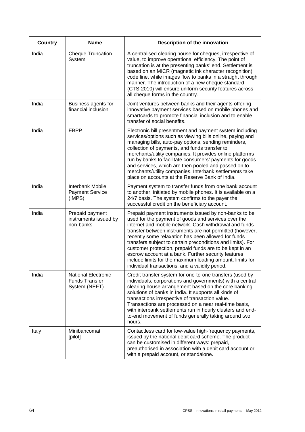| <b>Country</b> | <b>Name</b>                                                          | Description of the innovation                                                                                                                                                                                                                                                                                                                                                                                                                                                                                                                                                              |
|----------------|----------------------------------------------------------------------|--------------------------------------------------------------------------------------------------------------------------------------------------------------------------------------------------------------------------------------------------------------------------------------------------------------------------------------------------------------------------------------------------------------------------------------------------------------------------------------------------------------------------------------------------------------------------------------------|
| India          | <b>Cheque Truncation</b><br>System                                   | A centralised clearing house for cheques, irrespective of<br>value, to improve operational efficiency. The point of<br>truncation is at the presenting banks' end. Settlement is<br>based on an MICR (magnetic ink character recognition)<br>code line, while images flow to banks in a straight through<br>manner. The introduction of a new cheque standard<br>(CTS-2010) will ensure uniform security features across<br>all cheque forms in the country.                                                                                                                               |
| India          | Business agents for<br>financial inclusion                           | Joint ventures between banks and their agents offering<br>innovative payment services based on mobile phones and<br>smartcards to promote financial inclusion and to enable<br>transfer of social benefits.                                                                                                                                                                                                                                                                                                                                                                                |
| India          | <b>EBPP</b>                                                          | Electronic bill presentment and payment system including<br>services/options such as viewing bills online, paying and<br>managing bills, auto-pay options, sending reminders,<br>collection of payments, and funds transfer to<br>merchants/utility companies. It provides online platforms<br>run by banks to facilitate consumers' payments for goods<br>and services, which are then pooled and passed on to<br>merchants/utility companies. Interbank settlements take<br>place on accounts at the Reserve Bank of India.                                                              |
| India          | Interbank Mobile<br><b>Payment Service</b><br>(IMPS)                 | Payment system to transfer funds from one bank account<br>to another, initiated by mobile phones. It is available on a<br>24/7 basis. The system confirms to the payer the<br>successful credit on the beneficiary account.                                                                                                                                                                                                                                                                                                                                                                |
| India          | Prepaid payment<br>instruments issued by<br>non-banks                | Prepaid payment instruments issued by non-banks to be<br>used for the payment of goods and services over the<br>internet and mobile network. Cash withdrawal and funds<br>transfer between instruments are not permitted (however,<br>recently some relaxation has been allowed for funds<br>transfers subject to certain preconditions and limits). For<br>customer protection, prepaid funds are to be kept in an<br>escrow account at a bank. Further security features<br>include limits for the maximum loading amount, limits for<br>individual transactions, and a validity period. |
| India          | <b>National Electronic</b><br><b>Funds Transfer</b><br>System (NEFT) | Credit transfer system for one-to-one transfers (used by<br>individuals, corporations and governments) with a central<br>clearing house arrangement based on the core banking<br>solutions of banks in India. It supports all kinds of<br>transactions irrespective of transaction value.<br>Transactions are processed on a near real-time basis,<br>with interbank settlements run in hourly clusters and end-<br>to-end movement of funds generally taking around two<br>hours.                                                                                                         |
| Italy          | Minibancomat<br>[pilot]                                              | Contactless card for low-value high-frequency payments,<br>issued by the national debit card scheme. The product<br>can be customised in different ways: prepaid,<br>preauthorised in association with a debit card account or<br>with a prepaid account, or standalone.                                                                                                                                                                                                                                                                                                                   |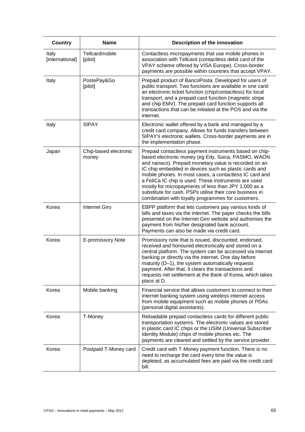| <b>Country</b>           | <b>Name</b>                    | Description of the innovation                                                                                                                                                                                                                                                                                                                                                                                                                                                                                               |
|--------------------------|--------------------------------|-----------------------------------------------------------------------------------------------------------------------------------------------------------------------------------------------------------------------------------------------------------------------------------------------------------------------------------------------------------------------------------------------------------------------------------------------------------------------------------------------------------------------------|
| Italy<br>[international] | Tellcardmobile<br>[pilot]      | Contactless micropayments that use mobile phones in<br>association with Tellcard (contactless debit card of the<br>VPAY scheme offered by VISA Europe). Cross-border<br>payments are possible within countries that accept VPAY.                                                                                                                                                                                                                                                                                            |
| Italy                    | PostePay&Go<br>[pilot]         | Prepaid product of BancoPosta. Developed for users of<br>public transport. Two functions are available in one card:<br>an electronic ticket function (chip/contactless) for local<br>transport, and a prepaid card function (magnetic stripe<br>and chip EMV). The prepaid card function supports all<br>transactions that can be initiated at the POS and via the<br>internet.                                                                                                                                             |
| Italy                    | <b>SIPAY</b>                   | Electronic wallet offered by a bank and managed by a<br>credit card company. Allows for funds transfers between<br>SIPAY's electronic wallets. Cross-border payments are in<br>the implementation phase.                                                                                                                                                                                                                                                                                                                    |
| Japan                    | Chip-based electronic<br>money | Prepaid contactless payment instruments based on chip-<br>based electronic money (eg Edy, Suica, PASMO, WAON<br>and nanaco). Prepaid monetary value is recorded on an<br>IC chip embedded in devices such as plastic cards and<br>mobile phones. In most cases, a contactless IC card and<br>a FeliCa IC chip is used. These instruments are used<br>mostly for micropayments of less than JPY 1,000 as a<br>substitute for cash. PSPs utilise their core business in<br>combination with loyalty programmes for customers. |
| Korea                    | <b>Internet Giro</b>           | EBPP platform that lets customers pay various kinds of<br>bills and taxes via the internet. The payer checks the bills<br>presented on the Internet Giro website and authorises the<br>payment from his/her designated bank account.<br>Payments can also be made via credit card.                                                                                                                                                                                                                                          |
| Korea                    | E-promissory Note              | Promissory note that is issued, discounted, endorsed,<br>received and honoured electronically and stored on a<br>central platform. The system can be accessed via internet<br>banking or directly via the internet. One day before<br>maturity (D-1), the system automatically requests<br>payment. After that, it clears the transactions and<br>requests net settlement at the Bank of Korea, which takes<br>place at D.                                                                                                  |
| Korea                    | Mobile banking                 | Financial service that allows customers to connect to their<br>internet banking system using wireless internet access<br>from mobile equipment such as mobile phones or PDAs<br>(personal digital assistants).                                                                                                                                                                                                                                                                                                              |
| Korea                    | T-Money                        | Reloadable prepaid contactless cards for different public<br>transportation systems. The electronic values are stored<br>in plastic card IC chips or the USIM (Universal Subscriber<br>Identity Module) chips of mobile phones etc. The<br>payments are cleared and settled by the service provider.                                                                                                                                                                                                                        |
| Korea                    | Postpaid T-Money card          | Credit card with T-Money payment function. There is no<br>need to recharge the card every time the value is<br>depleted, as accumulated fees are paid via the credit card<br>bill.                                                                                                                                                                                                                                                                                                                                          |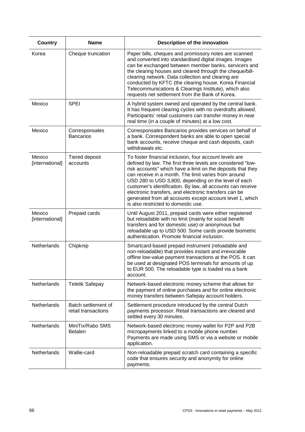| <b>Country</b>            | <b>Name</b>                                | Description of the innovation                                                                                                                                                                                                                                                                                                                                                                                                                                                                                                    |
|---------------------------|--------------------------------------------|----------------------------------------------------------------------------------------------------------------------------------------------------------------------------------------------------------------------------------------------------------------------------------------------------------------------------------------------------------------------------------------------------------------------------------------------------------------------------------------------------------------------------------|
| Korea                     | Cheque truncation                          | Paper bills, cheques and promissory notes are scanned<br>and converted into standardised digital images. Images<br>can be exchanged between member banks, servicers and<br>the clearing houses and cleared through the cheque/bill-<br>clearing network. Data collection and clearing are<br>conducted by KFTC (the clearing house, Korea Financial<br>Telecommunications & Clearings Institute), which also<br>requests net settlement from the Bank of Korea.                                                                  |
| Mexico                    | <b>SPEI</b>                                | A hybrid system owned and operated by the central bank.<br>It has frequent clearing cycles with no overdrafts allowed.<br>Participants' retail customers can transfer money in near<br>real time (in a couple of minutes) at a low cost.                                                                                                                                                                                                                                                                                         |
| Mexico                    | Corresponsales<br><b>Bancarios</b>         | Corresponsales Bancarios provides services on behalf of<br>a bank. Correspondent banks are able to open special<br>bank accounts, receive cheque and cash deposits, cash<br>withdrawals etc.                                                                                                                                                                                                                                                                                                                                     |
| Mexico<br>[international] | Tiered deposit<br>accounts                 | To foster financial inclusion, four account levels are<br>defined by law. The first three levels are considered "low-<br>risk accounts" which have a limit on the deposits that they<br>can receive in a month. The limit varies from around<br>USD 280 to USD 3,800, depending on the level of each<br>customer's identification. By law, all accounts can receive<br>electronic transfers, and electronic transfers can be<br>generated from all accounts except account level 1, which<br>is also restricted to domestic use. |
| Mexico<br>[international] | Prepaid cards                              | Until August 2011, prepaid cards were either registered<br>but reloadable with no limit (mainly for social benefit<br>transfers and for domestic use) or anonymous but<br>reloadable up to USD 500. Some cards provide biometric<br>authentication. Promote financial inclusion.                                                                                                                                                                                                                                                 |
| <b>Netherlands</b>        | Chipknip                                   | Smartcard-based prepaid instrument (reloadable and<br>non-reloadable) that provides instant and irrevocable<br>offline low-value payment transactions at the POS. It can<br>be used at designated POS terminals for amounts of up<br>to EUR 500. The reloadable type is loaded via a bank<br>account.                                                                                                                                                                                                                            |
| Netherlands               | <b>Teletik Safepay</b>                     | Network-based electronic money scheme that allows for<br>the payment of online purchases and for online electronic<br>money transfers between Safepay account holders.                                                                                                                                                                                                                                                                                                                                                           |
| <b>Netherlands</b>        | Batch settlement of<br>retail transactions | Settlement procedure introduced by the central Dutch<br>payments processor. Retail transactions are cleared and<br>settled every 30 minutes.                                                                                                                                                                                                                                                                                                                                                                                     |
| Netherlands               | MiniTix/Rabo SMS<br><b>Betalen</b>         | Network-based electronic money wallet for P2P and P2B<br>micropayments linked to a mobile phone number.<br>Payments are made using SMS or via a website or mobile<br>application.                                                                                                                                                                                                                                                                                                                                                |
| Netherlands               | Wallie-card                                | Non-reloadable prepaid scratch card containing a specific<br>code that ensures security and anonymity for online<br>payments.                                                                                                                                                                                                                                                                                                                                                                                                    |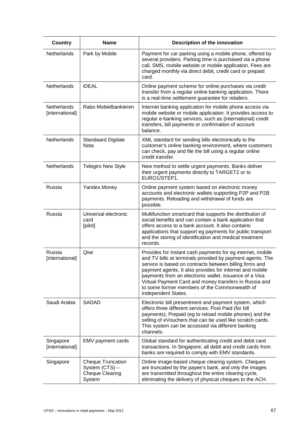| <b>Country</b>                        | <b>Name</b>                                                             | Description of the innovation                                                                                                                                                                                                                                                                                                                                                                                                              |
|---------------------------------------|-------------------------------------------------------------------------|--------------------------------------------------------------------------------------------------------------------------------------------------------------------------------------------------------------------------------------------------------------------------------------------------------------------------------------------------------------------------------------------------------------------------------------------|
| Netherlands                           | Park by Mobile                                                          | Payment for car parking using a mobile phone, offered by<br>several providers. Parking time is purchased via a phone<br>call, SMS, mobile website or mobile application. Fees are<br>charged monthly via direct debit, credit card or prepaid<br>card.                                                                                                                                                                                     |
| Netherlands                           | <b>iDEAL</b>                                                            | Online payment scheme for online purchases via credit<br>transfer from a regular online banking application. There<br>is a real-time settlement guarantee for retailers.                                                                                                                                                                                                                                                                   |
| <b>Netherlands</b><br>[international] | Rabo Mobielbankieren                                                    | Internet banking application for mobile phone access via<br>mobile website or mobile application. It provides access to<br>regular e-banking services, such as (international) credit<br>transfers, bill payments or confirmation of account<br>balance.                                                                                                                                                                                   |
| Netherlands                           | <b>Standaard Digitale</b><br>Nota                                       | XML standard for sending bills electronically to the<br>customer's online banking environment, where customers<br>can check, pay and file the bill using a regular online<br>credit transfer.                                                                                                                                                                                                                                              |
| Netherlands                           | <b>Telegiro New Style</b>                                               | New method to settle urgent payments. Banks deliver<br>their urgent payments directly to TARGET2 or to<br>EURO1/STEP1.                                                                                                                                                                                                                                                                                                                     |
| Russia                                | Yandex.Money                                                            | Online payment system based on electronic money<br>accounts and electronic wallets supporting P2P and P2B<br>payments. Reloading and withdrawal of funds are<br>possible.                                                                                                                                                                                                                                                                  |
| Russia                                | Universal electronic<br>card<br>[pilot]                                 | Multifunction smartcard that supports the distribution of<br>social benefits and can contain a bank application that<br>offers access to a bank account. It also contains<br>applications that support eg payments for public transport<br>and the storing of identification and medical treatment<br>records.                                                                                                                             |
| Russia<br>[international]             | Qiwi                                                                    | Provides for instant cash payments for eg internet, mobile<br>and TV bills at terminals provided by payment agents. The<br>service is based on contracts between billing firms and<br>payment agents. It also provides for internet and mobile<br>payments from an electronic wallet, issuance of a Visa<br>Virtual Payment Card and money transfers in Russia and<br>to some former members of the Commonwealth of<br>Independent States. |
| Saudi Arabia                          | <b>SADAD</b>                                                            | Electronic bill presentment and payment system, which<br>offers three different services: Post Paid (for bill<br>payments), Prepaid (eg to reload mobile phones) and the<br>selling of eVouchers that can be used like scratch cards.<br>This system can be accessed via different banking<br>channels.                                                                                                                                    |
| Singapore<br>[international]          | EMV payment cards                                                       | Global standard for authenticating credit and debit card<br>transactions. In Singapore, all debit and credit cards from<br>banks are required to comply with EMV standards.                                                                                                                                                                                                                                                                |
| Singapore                             | Cheque Truncation<br>System (CTS) -<br><b>Cheque Clearing</b><br>System | Online image-based cheque clearing system. Cheques<br>are truncated by the payee's bank, and only the images<br>are transmitted throughout the entire clearing cycle,<br>eliminating the delivery of physical cheques to the ACH.                                                                                                                                                                                                          |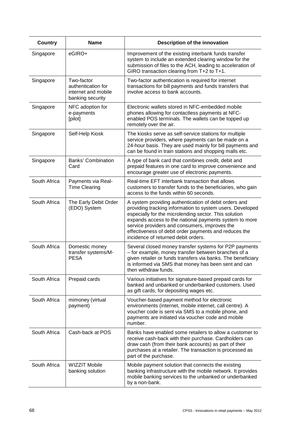| <b>Country</b> | <b>Name</b>                                                                 | Description of the innovation                                                                                                                                                                                                                                                                                                                                                          |
|----------------|-----------------------------------------------------------------------------|----------------------------------------------------------------------------------------------------------------------------------------------------------------------------------------------------------------------------------------------------------------------------------------------------------------------------------------------------------------------------------------|
| Singapore      | eGIRO+                                                                      | Improvement of the existing interbank funds transfer<br>system to include an extended clearing window for the<br>submission of files to the ACH, leading to acceleration of<br>GIRO transaction clearing from T+2 to T+1.                                                                                                                                                              |
| Singapore      | Two-factor<br>authentication for<br>internet and mobile<br>banking security | Two-factor authentication is required for internet<br>transactions for bill payments and funds transfers that<br>involve access to bank accounts.                                                                                                                                                                                                                                      |
| Singapore      | NFC adoption for<br>e-payments<br>[pilot]                                   | Electronic wallets stored in NFC-embedded mobile<br>phones allowing for contactless payments at NFC-<br>enabled POS terminals. The wallets can be topped up<br>remotely over the air.                                                                                                                                                                                                  |
| Singapore      | Self-Help Kiosk                                                             | The kiosks serve as self-service stations for multiple<br>service providers, where payments can be made on a<br>24-hour basis. They are used mainly for bill payments and<br>can be found in train stations and shopping malls etc.                                                                                                                                                    |
| Singapore      | <b>Banks' Combination</b><br>Card                                           | A type of bank card that combines credit, debit and<br>prepaid features in one card to improve convenience and<br>encourage greater use of electronic payments.                                                                                                                                                                                                                        |
| South Africa   | Payments via Real-<br><b>Time Clearing</b>                                  | Real-time EFT interbank transaction that allows<br>customers to transfer funds to the beneficiaries, who gain<br>access to the funds within 60 seconds.                                                                                                                                                                                                                                |
| South Africa   | The Early Debit Order<br>(EDO) System                                       | A system providing authentication of debit orders and<br>providing tracking information to system users. Developed<br>especially for the microlending sector. This solution<br>expands access to the national payments system to more<br>service providers and consumers, improves the<br>effectiveness of debit order payments and reduces the<br>incidence of returned debit orders. |
| South Africa   | Domestic money<br>transfer systems/M-<br><b>PESA</b>                        | Several closed money transfer systems for P2P payments<br>- for example, money transfer between branches of a<br>given retailer or funds transfers via banks. The beneficiary<br>is informed via SMS that money has been sent and can<br>then withdraw funds.                                                                                                                          |
| South Africa   | Prepaid cards                                                               | Various initiatives for signature-based prepaid cards for<br>banked and unbanked or underbanked customers. Used<br>as gift cards, for depositing wages etc.                                                                                                                                                                                                                            |
| South Africa   | mimoney (virtual<br>payment)                                                | Voucher-based payment method for electronic<br>environments (internet, mobile internet, call centre). A<br>voucher code is sent via SMS to a mobile phone, and<br>payments are initiated via voucher code and mobile<br>number.                                                                                                                                                        |
| South Africa   | Cash-back at POS                                                            | Banks have enabled some retailers to allow a customer to<br>receive cash-back with their purchase. Cardholders can<br>draw cash (from their bank accounts) as part of their<br>purchases at a retailer. The transaction is processed as<br>part of the purchase.                                                                                                                       |
| South Africa   | <b>WIZZIT Mobile</b><br>banking solution                                    | Mobile payment solution that connects the existing<br>banking infrastructure with the mobile network. It provides<br>mobile banking services to the unbanked or underbanked<br>by a non-bank.                                                                                                                                                                                          |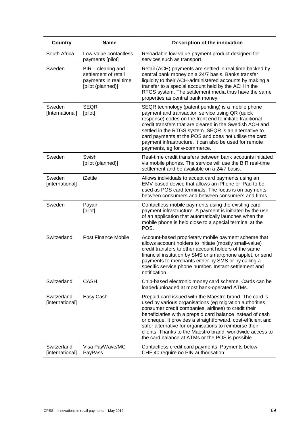| <b>Country</b>                 | <b>Name</b>                                                                                | Description of the innovation                                                                                                                                                                                                                                                                                                                                                                                                                                                       |
|--------------------------------|--------------------------------------------------------------------------------------------|-------------------------------------------------------------------------------------------------------------------------------------------------------------------------------------------------------------------------------------------------------------------------------------------------------------------------------------------------------------------------------------------------------------------------------------------------------------------------------------|
| South Africa                   | Low-value contactless<br>payments [pilot]                                                  | Reloadable low-value payment product designed for<br>services such as transport.                                                                                                                                                                                                                                                                                                                                                                                                    |
| Sweden                         | $BIR - clearing$ and<br>settlement of retail<br>payments in real time<br>[pilot (planned)] | Retail (ACH) payments are settled in real time backed by<br>central bank money on a 24/7 basis. Banks transfer<br>liquidity to their ACH-administered accounts by making a<br>transfer to a special account held by the ACH in the<br>RTGS system. The settlement media thus have the same<br>properties as central bank money.                                                                                                                                                     |
| Sweden<br>[International]      | <b>SEQR</b><br>[pilot]                                                                     | SEQR technology (patent pending) is a mobile phone<br>payment and transaction service using QR (quick<br>response) codes on the front end to initiate traditional<br>credit transfers that are cleared in the Swedish ACH and<br>settled in the RTGS system. SEQR is an alternative to<br>card payments at the POS and does not utilise the card<br>payment infrastructure. It can also be used for remote<br>payments, eg for e-commerce.                                          |
| Sweden                         | Swish<br>[pilot (planned)]                                                                 | Real-time credit transfers between bank accounts initiated<br>via mobile phones. The service will use the BIR real-time<br>settlement and be available on a 24/7 basis.                                                                                                                                                                                                                                                                                                             |
| Sweden<br>[international]      | iZettle                                                                                    | Allows individuals to accept card payments using an<br>EMV-based device that allows an iPhone or iPad to be<br>used as POS card terminals. The focus is on payments<br>between consumers and between consumers and firms.                                                                                                                                                                                                                                                           |
| Sweden                         | Payair<br>[pilot]                                                                          | Contactless mobile payments using the existing card<br>payment infrastructure. A payment is initiated by the use<br>of an application that automatically launches when the<br>mobile phone is held close to a special terminal at the<br>POS.                                                                                                                                                                                                                                       |
| Switzerland                    | <b>Post Finance Mobile</b>                                                                 | Account-based proprietary mobile payment scheme that<br>allows account holders to initiate (mostly small-value)<br>credit transfers to other account holders of the same<br>financial institution by SMS or smartphone applet, or send<br>payments to merchants either by SMS or by calling a<br>specific service phone number. Instant settlement and<br>notification.                                                                                                             |
| Switzerland                    | <b>CASH</b>                                                                                | Chip-based electronic money card scheme. Cards can be<br>loaded/unloaded at most bank-operated ATMs.                                                                                                                                                                                                                                                                                                                                                                                |
| Switzerland<br>[international] | Easy Cash                                                                                  | Prepaid card issued with the Maestro brand. The card is<br>used by various organisations (eg migration authorities,<br>consumer credit companies, airlines) to credit their<br>beneficiaries with a prepaid card balance instead of cash<br>or cheque. It provides a straightforward, cost-efficient and<br>safer alternative for organisations to reimburse their<br>clients. Thanks to the Maestro brand, worldwide access to<br>the card balance at ATMs or the POS is possible. |
| Switzerland<br>[international] | Visa PayWave/MC<br>PayPass                                                                 | Contactless credit card payments. Payments below<br>CHF 40 require no PIN authorisation.                                                                                                                                                                                                                                                                                                                                                                                            |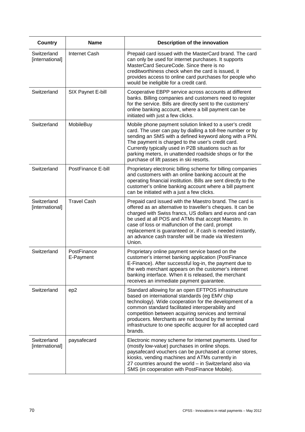| Country                        | <b>Name</b>               | Description of the innovation                                                                                                                                                                                                                                                                                                                                                                                            |
|--------------------------------|---------------------------|--------------------------------------------------------------------------------------------------------------------------------------------------------------------------------------------------------------------------------------------------------------------------------------------------------------------------------------------------------------------------------------------------------------------------|
| Switzerland<br>[international] | <b>Internet Cash</b>      | Prepaid card issued with the MasterCard brand. The card<br>can only be used for internet purchases. It supports<br>MasterCard SecureCode, Since there is no<br>creditworthiness check when the card is issued, it<br>provides access to online card purchases for people who<br>would be ineligible for a credit card.                                                                                                   |
| Switzerland                    | SIX Paynet E-bill         | Cooperative EBPP service across accounts at different<br>banks. Billing companies and customers need to register<br>for the service. Bills are directly sent to the customers'<br>online banking account, where a bill payment can be<br>initiated with just a few clicks.                                                                                                                                               |
| Switzerland                    | MobileBuy                 | Mobile phone payment solution linked to a user's credit<br>card. The user can pay by dialling a toll-free number or by<br>sending an SMS with a defined keyword along with a PIN.<br>The payment is charged to the user's credit card.<br>Currently typically used in P2B situations such as for<br>parking meters, in unattended roadside shops or for the<br>purchase of lift passes in ski resorts.                   |
| Switzerland                    | <b>PostFinance E-bill</b> | Proprietary electronic billing scheme for billing companies<br>and customers with an online banking account at the<br>operating financial institution. Bills are sent directly to the<br>customer's online banking account where a bill payment<br>can be initiated with a just a few clicks.                                                                                                                            |
| Switzerland<br>[international] | <b>Travel Cash</b>        | Prepaid card issued with the Maestro brand. The card is<br>offered as an alternative to traveller's cheques. It can be<br>charged with Swiss francs, US dollars and euros and can<br>be used at all POS and ATMs that accept Maestro. In<br>case of loss or malfunction of the card, prompt<br>replacement is guaranteed or, if cash is needed instantly,<br>an advance cash transfer will be made via Western<br>Union. |
| Switzerland                    | PostFinance<br>E-Payment  | Proprietary online payment service based on the<br>customer's internet banking application (PostFinance<br>E-Finance). After successful log-in, the payment due to<br>the web merchant appears on the customer's internet<br>banking interface. When it is released, the merchant<br>receives an immediate payment guarantee.                                                                                            |
| Switzerland                    | ep2                       | Standard allowing for an open EFTPOS infrastructure<br>based on international standards (eg EMV chip<br>technology). Wide cooperation for the development of a<br>common standard facilitated interoperability and<br>competition between acquiring services and terminal<br>producers. Merchants are not bound by the terminal<br>infrastructure to one specific acquirer for all accepted card<br>brands.              |
| Switzerland<br>[international] | paysafecard               | Electronic money scheme for internet payments. Used for<br>(mostly low-value) purchases in online shops.<br>paysafecard vouchers can be purchased at corner stores,<br>kiosks, vending machines and ATMs currently in<br>27 countries around the world - in Switzerland also via<br>SMS (in cooperation with PostFinance Mobile).                                                                                        |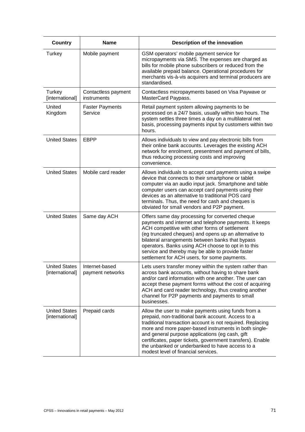| <b>Country</b>                          | <b>Name</b>                                        | Description of the innovation                                                                                                                                                                                                                                                                                                                                                                                                              |
|-----------------------------------------|----------------------------------------------------|--------------------------------------------------------------------------------------------------------------------------------------------------------------------------------------------------------------------------------------------------------------------------------------------------------------------------------------------------------------------------------------------------------------------------------------------|
| Turkey                                  | Mobile payment                                     | GSM operators' mobile payment service for<br>micropayments via SMS. The expenses are charged as<br>bills for mobile phone subscribers or reduced from the<br>available prepaid balance. Operational procedures for<br>merchants vis-à-vis acquirers and terminal producers are<br>standardised.                                                                                                                                            |
| Turkey<br>[international]               | Contactless payment<br>instruments                 | Contactless micropayments based on Visa Paywave or<br>MasterCard Paypass.                                                                                                                                                                                                                                                                                                                                                                  |
| United<br>Kingdom                       | <b>Faster Payments</b><br>Service                  | Retail payment system allowing payments to be<br>processed on a 24/7 basis, usually within two hours. The<br>system settles three times a day on a multilateral net<br>basis, processing payments input by customers within two<br>hours.                                                                                                                                                                                                  |
| <b>United States</b>                    | <b>EBPP</b>                                        | Allows individuals to view and pay electronic bills from<br>their online bank accounts. Leverages the existing ACH<br>network for enrolment, presentment and payment of bills,<br>thus reducing processing costs and improving<br>convenience.                                                                                                                                                                                             |
| <b>United States</b>                    | Mobile card reader                                 | Allows individuals to accept card payments using a swipe<br>device that connects to their smartphone or tablet<br>computer via an audio input jack. Smartphone and table<br>computer users can accept card payments using their<br>devices as an alternative to traditional POS card<br>terminals. Thus, the need for cash and cheques is<br>obviated for small vendors and P2P payment.                                                   |
| <b>United States</b>                    | Same day ACH                                       | Offers same day processing for converted cheque<br>payments and internet and telephone payments. It keeps<br>ACH competitive with other forms of settlement<br>(eg truncated cheques) and opens up an alternative to<br>bilateral arrangements between banks that bypass<br>operators. Banks using ACH choose to opt in to this<br>service and thereby may be able to provide faster<br>settlement for ACH users, for some payments.       |
| [international]                         | United States   Internet-based<br>payment networks | Lets users transfer money within the system rather than<br>across bank accounts, without having to share bank<br>and/or card information with one another. The user can<br>accept these payment forms without the cost of acquiring<br>ACH and card reader technology, thus creating another<br>channel for P2P payments and payments to small<br>businesses.                                                                              |
| <b>United States</b><br>[international] | Prepaid cards                                      | Allow the user to make payments using funds from a<br>prepaid, non-traditional bank account. Access to a<br>traditional transaction account is not required. Replacing<br>more and more paper-based instruments in both single-<br>and general purpose applications (eg cash, gift<br>certificates, paper tickets, government transfers). Enable<br>the unbanked or underbanked to have access to a<br>modest level of financial services. |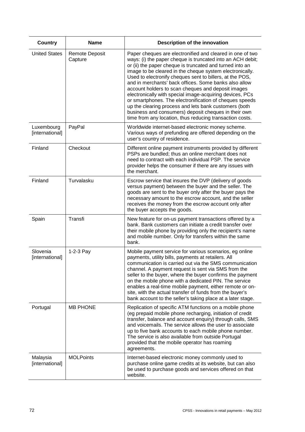| <b>Country</b>                | <b>Name</b>               | Description of the innovation                                                                                                                                                                                                                                                                                                                                                                                                                                                                                                                                                                                                                                                                                                  |
|-------------------------------|---------------------------|--------------------------------------------------------------------------------------------------------------------------------------------------------------------------------------------------------------------------------------------------------------------------------------------------------------------------------------------------------------------------------------------------------------------------------------------------------------------------------------------------------------------------------------------------------------------------------------------------------------------------------------------------------------------------------------------------------------------------------|
| <b>United States</b>          | Remote Deposit<br>Capture | Paper cheques are electronified and cleared in one of two<br>ways: (i) the paper cheque is truncated into an ACH debit;<br>or (ii) the paper cheque is truncated and turned into an<br>image to be cleared in the cheque system electronically.<br>Used to electronify cheques sent to billers, at the POS,<br>and in merchants' back offices. Some banks also allow<br>account holders to scan cheques and deposit images<br>electronically with special image-acquiring devices, PCs<br>or smartphones. The electronification of cheques speeds<br>up the clearing process and lets bank customers (both<br>business and consumers) deposit cheques in their own<br>time from any location, thus reducing transaction costs. |
| Luxembourg<br>[international] | PayPal                    | Worldwide internet-based electronic money scheme.<br>Various ways of prefunding are offered depending on the<br>user's country of residence.                                                                                                                                                                                                                                                                                                                                                                                                                                                                                                                                                                                   |
| Finland                       | Checkout                  | Different online payment instruments provided by different<br>PSPs are bundled; thus an online merchant does not<br>need to contract with each individual PSP. The service<br>provider helps the consumer if there are any issues with<br>the merchant.                                                                                                                                                                                                                                                                                                                                                                                                                                                                        |
| Finland                       | Turvalasku                | Escrow service that insures the DVP (delivery of goods<br>versus payment) between the buyer and the seller. The<br>goods are sent to the buyer only after the buyer pays the<br>necessary amount to the escrow account, and the seller<br>receives the money from the escrow account only after<br>the buyer accepts the goods.                                                                                                                                                                                                                                                                                                                                                                                                |
| Spain                         | Transfi                   | New feature for on-us payment transactions offered by a<br>bank. Bank customers can initiate a credit transfer over<br>their mobile phone by providing only the recipient's name<br>and mobile number. Only for transfers within the same<br>bank.                                                                                                                                                                                                                                                                                                                                                                                                                                                                             |
| Slovenia<br>[international]   | 1-2-3 Pay                 | Mobile payment service for various scenarios, eg online<br>payments, utility bills, payments at retailers. All<br>communication is carried out via the SMS communication<br>channel. A payment request is sent via SMS from the<br>seller to the buyer, where the buyer confirms the payment<br>on the mobile phone with a dedicated PIN. The service<br>enables a real-time mobile payment, either remote or on-<br>site, with the actual transfer of funds from the buyer's<br>bank account to the seller's taking place at a later stage.                                                                                                                                                                                   |
| Portugal                      | <b>MB PHONE</b>           | Replication of specific ATM functions on a mobile phone<br>(eg prepaid mobile phone recharging, initiation of credit<br>transfer, balance and account enquiry) through calls, SMS<br>and voicemails. The service allows the user to associate<br>up to five bank accounts to each mobile phone number.<br>The service is also available from outside Portugal<br>provided that the mobile operator has roaming<br>agreements.                                                                                                                                                                                                                                                                                                  |
| Malaysia<br>[international]   | <b>MOLPoints</b>          | Internet-based electronic money commonly used to<br>purchase online game credits at its website, but can also<br>be used to purchase goods and services offered on that<br>website.                                                                                                                                                                                                                                                                                                                                                                                                                                                                                                                                            |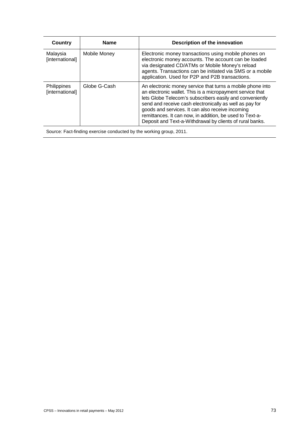| Country                               | <b>Name</b>  | Description of the innovation                                                                                                                                                                                                                                                                                                                                                                                              |
|---------------------------------------|--------------|----------------------------------------------------------------------------------------------------------------------------------------------------------------------------------------------------------------------------------------------------------------------------------------------------------------------------------------------------------------------------------------------------------------------------|
| Malaysia<br>[international]           | Mobile Money | Electronic money transactions using mobile phones on<br>electronic money accounts. The account can be loaded<br>via designated CD/ATMs or Mobile Money's reload<br>agents. Transactions can be initiated via SMS or a mobile<br>application. Used for P2P and P2B transactions.                                                                                                                                            |
| <b>Philippines</b><br>[international] | Globe G-Cash | An electronic money service that turns a mobile phone into<br>an electronic wallet. This is a micropayment service that<br>lets Globe Telecom's subscribers easily and conveniently<br>send and receive cash electronically as well as pay for<br>goods and services. It can also receive incoming<br>remittances. It can now, in addition, be used to Text-a-<br>Deposit and Text-a-Withdrawal by clients of rural banks. |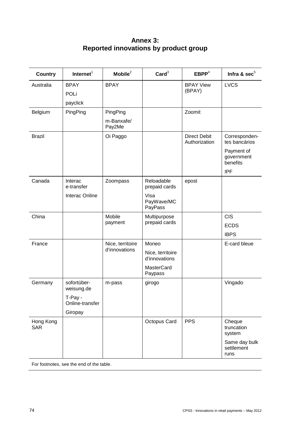## **Annex 3: Reported innovations by product group**

| <b>Country</b>          | Internet $1$               | Mobile $^2$          | $\text{Card}^3$                   | EBPP <sup>4</sup>                    | Infra & sec <sup>5</sup>                           |
|-------------------------|----------------------------|----------------------|-----------------------------------|--------------------------------------|----------------------------------------------------|
| Australia               | <b>BPAY</b><br>POLi        | <b>BPAY</b>          |                                   | <b>BPAY View</b><br>(BPAY)           | <b>LVCS</b>                                        |
| Belgium                 | payclick<br>PingPing       | PingPing             |                                   | Zoomit                               |                                                    |
|                         |                            | m-Banxafe/<br>Pay2Me |                                   |                                      |                                                    |
| <b>Brazil</b>           |                            | Oi Paggo             |                                   | <b>Direct Debit</b><br>Authorization | Corresponden-<br>tes bancários                     |
|                         |                            |                      |                                   |                                      | Payment of<br>government<br>benefits<br><b>IPF</b> |
| Canada                  | Interac<br>e-transfer      | Zoompass             | Reloadable<br>prepaid cards       | epost                                |                                                    |
|                         | Interac Online             |                      | Visa<br>PayWave/MC<br>PayPass     |                                      |                                                    |
| China                   |                            | Mobile<br>payment    | Multipurpose<br>prepaid cards     |                                      | <b>CIS</b><br><b>ECDS</b><br><b>IBPS</b>           |
| France                  |                            | Nice, territoire     | Moneo                             |                                      | E-card bleue                                       |
|                         |                            | d'innovations        | Nice, territoire<br>d'innovations |                                      |                                                    |
|                         |                            |                      | MasterCard<br>Paypass             |                                      |                                                    |
| Germany                 | sofortüber-<br>weisung.de  | m-pass               | girogo                            |                                      | Vingado                                            |
|                         | T-Pay -<br>Online-transfer |                      |                                   |                                      |                                                    |
|                         | Giropay                    |                      |                                   |                                      |                                                    |
| Hong Kong<br><b>SAR</b> |                            |                      | Octopus Card                      | <b>PPS</b>                           | Cheque<br>truncation<br>system                     |
|                         |                            |                      |                                   |                                      | Same day bulk<br>settlement<br>runs                |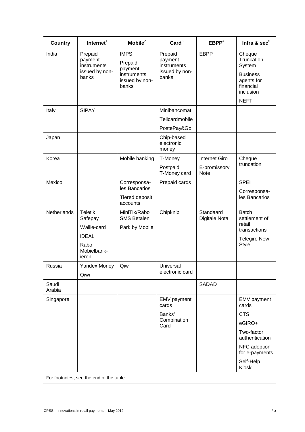| <b>Country</b>  | Internet $1$                                                 | Mobile $^2$                                                                 | $\text{Card}^3$                                              | EBPP <sup>4</sup>          | Infra & sec <sup>5</sup>                                                                                 |
|-----------------|--------------------------------------------------------------|-----------------------------------------------------------------------------|--------------------------------------------------------------|----------------------------|----------------------------------------------------------------------------------------------------------|
| India           | Prepaid<br>payment<br>instruments<br>issued by non-<br>banks | <b>IMPS</b><br>Prepaid<br>payment<br>instruments<br>issued by non-<br>banks | Prepaid<br>payment<br>instruments<br>issued by non-<br>banks | <b>EBPP</b>                | Cheque<br>Truncation<br>System<br><b>Business</b><br>agents for<br>financial<br>inclusion<br><b>NEFT</b> |
| Italy           | <b>SIPAY</b>                                                 |                                                                             | Minibancomat                                                 |                            |                                                                                                          |
|                 |                                                              |                                                                             | Tellcardmobile                                               |                            |                                                                                                          |
|                 |                                                              |                                                                             | PostePay&Go                                                  |                            |                                                                                                          |
| Japan           |                                                              |                                                                             | Chip-based<br>electronic<br>money                            |                            |                                                                                                          |
| Korea           |                                                              | Mobile banking                                                              | T-Money                                                      | <b>Internet Giro</b>       | Cheque                                                                                                   |
|                 |                                                              |                                                                             | Postpaid<br>T-Money card                                     | E-promissory<br>Note       | truncation                                                                                               |
| Mexico          |                                                              | Corresponsa-<br>les Bancarios                                               | Prepaid cards                                                |                            | <b>SPEI</b>                                                                                              |
|                 |                                                              | <b>Tiered deposit</b><br>accounts                                           |                                                              |                            | Corresponsa-<br>les Bancarios                                                                            |
| Netherlands     | <b>Teletik</b><br>Safepay                                    | MiniTix/Rabo<br><b>SMS Betalen</b>                                          | Chipknip                                                     | Standaard<br>Digitale Nota | <b>Batch</b><br>settlement of<br>retail                                                                  |
|                 | Wallie-card                                                  | Park by Mobile                                                              |                                                              |                            | transactions                                                                                             |
|                 | <b>iDEAL</b><br>Rabo<br>Mobielbank-<br>ieren                 |                                                                             |                                                              |                            | <b>Telegiro New</b><br><b>Style</b>                                                                      |
| Russia          | Yandex.Money                                                 | Qiwi                                                                        | Universal                                                    |                            |                                                                                                          |
|                 | Qiwi                                                         |                                                                             | electronic card                                              |                            |                                                                                                          |
| Saudi<br>Arabia |                                                              |                                                                             |                                                              | <b>SADAD</b>               |                                                                                                          |
| Singapore       |                                                              |                                                                             | EMV payment<br>cards                                         |                            | EMV payment<br>cards                                                                                     |
|                 |                                                              |                                                                             | Banks'                                                       |                            | <b>CTS</b>                                                                                               |
|                 |                                                              |                                                                             | Combination<br>Card                                          |                            | eGIRO+                                                                                                   |
|                 |                                                              |                                                                             |                                                              |                            | Two-factor<br>authentication                                                                             |
|                 |                                                              |                                                                             |                                                              |                            | NFC adoption<br>for e-payments                                                                           |
|                 |                                                              |                                                                             |                                                              |                            | Self-Help<br>Kiosk                                                                                       |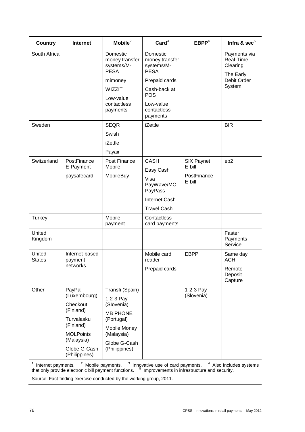| <b>Country</b>          | Internet $1$                   | Mobile $^2$                                             | $\text{Card}^3$                                         | EBPP <sup>4</sup>    | Infra & sec <sup>5</sup>              |
|-------------------------|--------------------------------|---------------------------------------------------------|---------------------------------------------------------|----------------------|---------------------------------------|
| South Africa            |                                | Domestic<br>money transfer<br>systems/M-<br><b>PESA</b> | Domestic<br>money transfer<br>systems/M-<br><b>PESA</b> |                      | Payments via<br>Real-Time<br>Clearing |
|                         |                                | mimoney                                                 | Prepaid cards                                           |                      | The Early<br>Debit Order              |
|                         |                                | <b>WIZZIT</b>                                           | Cash-back at                                            |                      | System                                |
|                         |                                | Low-value                                               | <b>POS</b>                                              |                      |                                       |
|                         |                                | contactless<br>payments                                 | Low-value<br>contactless<br>payments                    |                      |                                       |
| Sweden                  |                                | <b>SEQR</b>                                             | iZettle                                                 |                      | <b>BIR</b>                            |
|                         |                                | Swish                                                   |                                                         |                      |                                       |
|                         |                                | iZettle                                                 |                                                         |                      |                                       |
|                         |                                | Payair                                                  |                                                         |                      |                                       |
| Switzerland             | PostFinance<br>E-Payment       | Post Finance<br>Mobile                                  | <b>CASH</b>                                             | SIX Paynet<br>E-bill | ep2                                   |
|                         | paysafecard                    | MobileBuy                                               | Easy Cash                                               | PostFinance          |                                       |
|                         |                                |                                                         | Visa<br>PayWave/MC<br>PayPass                           | E-bill               |                                       |
|                         |                                |                                                         | <b>Internet Cash</b>                                    |                      |                                       |
|                         |                                |                                                         | <b>Travel Cash</b>                                      |                      |                                       |
| Turkey                  |                                | Mobile<br>payment                                       | Contactless<br>card payments                            |                      |                                       |
| United<br>Kingdom       |                                |                                                         |                                                         |                      | Faster<br>Payments<br>Service         |
| United<br><b>States</b> | Internet-based<br>payment      |                                                         | Mobile card<br>reader                                   | <b>EBPP</b>          | Same day<br><b>ACH</b>                |
|                         | networks                       |                                                         | Prepaid cards                                           |                      | Remote<br>Deposit<br>Capture          |
| Other                   | PayPal                         | Transfi (Spain)                                         |                                                         | 1-2-3 Pay            |                                       |
|                         | (Luxembourg)<br>Checkout       | 1-2-3 Pay                                               |                                                         | (Slovenia)           |                                       |
|                         | (Finland)                      | (Slovenia)<br><b>MB PHONE</b>                           |                                                         |                      |                                       |
|                         | Turvalasku                     | (Portugal)                                              |                                                         |                      |                                       |
|                         | (Finland)                      | Mobile Money                                            |                                                         |                      |                                       |
|                         | <b>MOLPoints</b><br>(Malaysia) | (Malaysia)                                              |                                                         |                      |                                       |
|                         | Globe G-Cash                   | Globe G-Cash<br>(Philippines)                           |                                                         |                      |                                       |
|                         | (Philippines)                  |                                                         |                                                         |                      |                                       |

<sup>1</sup> Internet payments.  $2^2$  Mobile payments.  $3^3$  Innovative use of card payments.  $4^4$  Also includes systems that only provide electronic bill payment functions. <sup>5</sup> Improvements in infrastructure and security.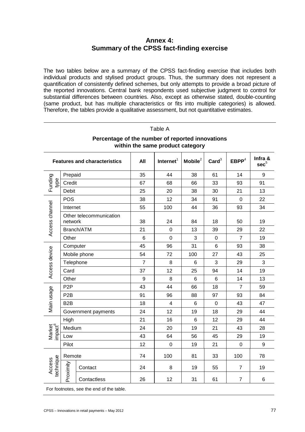## **Annex 4: Summary of the CPSS fact-finding exercise**

The two tables below are a summary of the CPSS fact-finding exercise that includes both individual products and stylised product groups. Thus, the summary does not represent a quantification of consistently defined schemes, but only attempts to provide a broad picture of the reported innovations. Central bank respondents used subjective judgment to control for substantial differences between countries. Also, except as otherwise stated, double-counting (same product, but has multiple characteristics or fits into multiple categories) is allowed. Therefore, the tables provide a qualitative assessment, but not quantitative estimates.

|                               | Percentage of the number of reported innovations<br>within the same product category |                                     |                  |                       |                     |                 |                   |                             |  |
|-------------------------------|--------------------------------------------------------------------------------------|-------------------------------------|------------------|-----------------------|---------------------|-----------------|-------------------|-----------------------------|--|
|                               |                                                                                      | <b>Features and characteristics</b> | All              | Internet <sup>1</sup> | $\textsf{Mobile}^2$ | $\text{Card}^3$ | EBPP <sup>4</sup> | Infra &<br>sec <sup>5</sup> |  |
|                               | Prepaid                                                                              |                                     | 35               | 44                    | 38                  | 61              | 14                | 9                           |  |
| Funding<br>type               | Credit                                                                               |                                     | 67               | 68                    | 66                  | 33              | 93                | 91                          |  |
|                               | Debit                                                                                |                                     | 25               | 20                    | 38                  | 30              | 21                | 13                          |  |
|                               | <b>POS</b>                                                                           |                                     | 38               | 12                    | 34                  | 91              | 0                 | 22                          |  |
|                               | Internet                                                                             |                                     | 55               | 100                   | 44                  | 36              | 93                | 34                          |  |
| Access channel                | network                                                                              | Other telecommunication             | 38               | 24                    | 84                  | 18              | 50                | 19                          |  |
|                               |                                                                                      | Branch/ATM                          | 21               | $\mathbf 0$           | 13                  | 39              | 29                | 22                          |  |
|                               | Other                                                                                |                                     | 6                | $\mathbf 0$           | 3                   | $\mathbf 0$     | $\overline{7}$    | 19                          |  |
|                               | Computer                                                                             |                                     | 45               | 96                    | 31                  | 6               | 93                | 38                          |  |
|                               | Mobile phone                                                                         |                                     | 54               | 72                    | 100                 | 27              | 43                | 25                          |  |
|                               | Telephone                                                                            |                                     | $\overline{7}$   | 8                     | 6                   | 3               | 29                | 3                           |  |
| Access device                 | Card                                                                                 |                                     | 37               | 12                    | 25                  | 94              | 14                | 19                          |  |
|                               | Other                                                                                |                                     | $\boldsymbol{9}$ | 8                     | $\,6\,$             | $\,6\,$         | 14                | 13                          |  |
|                               | P <sub>2</sub> P                                                                     |                                     | 43               | 44                    | 66                  | 18              | $\overline{7}$    | 59                          |  |
| Main usage                    | P <sub>2</sub> B                                                                     |                                     | 91               | 96                    | 88                  | 97              | 93                | 84                          |  |
|                               | B <sub>2</sub> B                                                                     |                                     | 18               | $\overline{4}$        | 6                   | $\mathbf 0$     | 43                | 47                          |  |
|                               |                                                                                      | Government payments                 | 24               | 12                    | 19                  | 18              | 29                | 44                          |  |
|                               | High                                                                                 |                                     | 21               | 16                    | 6                   | 12              | 29                | 44                          |  |
| Market<br>impact <sup>6</sup> | Medium                                                                               |                                     | 24               | 20                    | 19                  | 21              | 43                | 28                          |  |
|                               | Low                                                                                  |                                     | 43               | 64                    | 56                  | 45              | 29                | 19                          |  |
|                               | Pilot                                                                                |                                     | 12               | $\mathbf 0$           | 19                  | 21              | $\pmb{0}$         | 9                           |  |
|                               | Remote                                                                               |                                     | 74               | 100                   | 81                  | 33              | 100               | 78                          |  |
| technique<br>Access           | Proximity                                                                            | Contact                             | 24               | 8                     | 19                  | 55              | $\overline{7}$    | 19                          |  |
|                               |                                                                                      | Contactless                         | 26               | 12                    | 31                  | 61              | $\overline{7}$    | 6                           |  |

# Table A **Percentage of the number of reported innovations**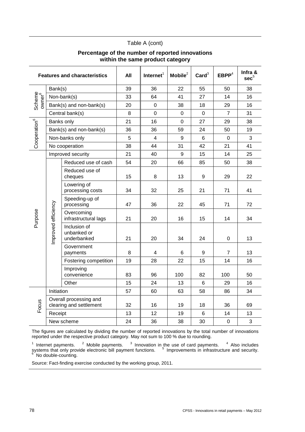#### Table A (cont)

|                              |                     | <b>Features and characteristics</b>               | All | Internet $1$ | $\textsf{Mobile}^2$ | $\text{Card}^3$ | EBPP <sup>4</sup> | Infra &<br>sec <sup>5</sup> |
|------------------------------|---------------------|---------------------------------------------------|-----|--------------|---------------------|-----------------|-------------------|-----------------------------|
|                              | Bank(s)             |                                                   | 39  | 36           | 22                  | 55              | 50                | 38                          |
| Scheme<br>owner <sup>6</sup> |                     | Non-bank(s)                                       | 33  | 64           | 41                  | 27              | 14                | 16                          |
|                              |                     | Bank(s) and non-bank(s)                           | 20  | 0            | 38                  | 18              | 29                | 16                          |
|                              |                     | Central bank(s)                                   | 8   | $\mathbf 0$  | 0                   | $\Omega$        | $\overline{7}$    | 31                          |
| Cooperation <sup>6</sup>     |                     | Banks only                                        | 21  | 16           | $\mathbf 0$         | 27              | 29                | 38                          |
|                              |                     | Bank(s) and non-bank(s)                           | 36  | 36           | 59                  | 24              | 50                | 19                          |
|                              |                     | Non-banks only                                    | 5   | 4            | 9                   | $6\phantom{1}$  | $\mathbf 0$       | 3                           |
|                              |                     | No cooperation                                    | 38  | 44           | 31                  | 42              | 21                | 41                          |
|                              |                     | Improved security                                 | 21  | 40           | 9                   | 15              | 14                | 25                          |
|                              |                     | Reduced use of cash                               | 54  | 20           | 66                  | 85              | 50                | 38                          |
|                              | Improved efficiency | Reduced use of<br>cheques                         | 15  | 8            | 13                  | 9               | 29                | 22                          |
|                              |                     | Lowering of<br>processing costs                   | 34  | 32           | 25                  | 21              | 71                | 41                          |
|                              |                     | Speeding-up of<br>processing                      | 47  | 36           | 22                  | 45              | 71                | 72                          |
| Purpose                      |                     | Overcoming<br>infrastructural lags                | 21  | 20           | 16                  | 15              | 14                | 34                          |
|                              |                     | Inclusion of<br>unbanked or<br>underbanked        | 21  | 20           | 34                  | 24              | 0                 | 13                          |
|                              |                     | Government<br>payments                            | 8   | 4            | 6                   | 9               | 7                 | 13                          |
|                              |                     | Fostering competition                             | 19  | 28           | 22                  | 15              | 14                | 16                          |
|                              |                     | Improving<br>convenience                          | 83  | 96           | 100                 | 82              | 100               | 50                          |
|                              |                     | Other                                             | 15  | 24           | 13                  | 6               | 29                | 16                          |
|                              | Initiation          |                                                   | 57  | 60           | 63                  | 58              | 86                | 34                          |
| Focus                        |                     | Overall processing and<br>clearing and settlement | 32  | 16           | 19                  | 18              | 36                | 69                          |
|                              | Receipt             |                                                   | 13  | 12           | 19                  | $6\phantom{1}$  | 14                | 13                          |
|                              |                     | New scheme                                        | 24  | 36           | 38                  | 30              | $\pmb{0}$         | $\sqrt{3}$                  |

## **Percentage of the number of reported innovations within the same product category**

The figures are calculated by dividing the number of reported innovations by the total number of innovations reported under the respective product category. May not sum to 100 % due to rounding.

<sup>1</sup> Internet payments. <sup>2</sup> Mobile payments. <sup>3</sup> Innovation in the use of card payments. <sup>4</sup> Also includes systems that only provide electronic bill payment functions. <sup>5</sup> Improvements in infrastructure and security.<br><sup>6</sup> No double-counting.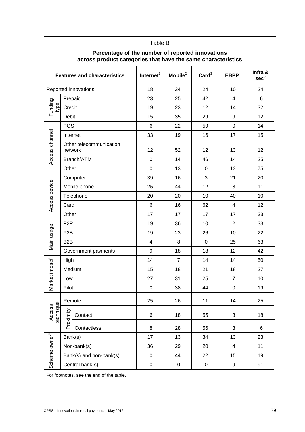#### Table B

| <b>Features and characteristics</b> |                                              | Internet <sup>1</sup> | $\textsf{Mobile}^2$ | $\text{Card}^3$ | EBPP <sup>4</sup> | Infra &<br>sec <sup>5</sup> |
|-------------------------------------|----------------------------------------------|-----------------------|---------------------|-----------------|-------------------|-----------------------------|
| Reported innovations                |                                              | 18                    | 24                  | 24              | 10                | 24                          |
|                                     | Prepaid                                      | 23                    | 25                  | 42              | $\overline{4}$    | 6                           |
| Funding<br>type                     | Credit                                       | 19                    | 23                  | 12              | 14                | 32                          |
|                                     | Debit                                        | 15                    | 35                  | 29              | $\boldsymbol{9}$  | 12                          |
|                                     | <b>POS</b>                                   | $6\phantom{1}6$       | 22                  | 59              | $\mathbf 0$       | 14                          |
|                                     | Internet                                     | 33                    | 19                  | 16              | 17                | 15                          |
| Access channel                      | Other telecommunication<br>network           | 12                    | 52                  | 12              | 13                | 12                          |
|                                     | Branch/ATM                                   | $\mathbf 0$           | 14                  | 46              | 14                | 25                          |
|                                     | Other                                        | $\mathbf 0$           | 13                  | 0               | 13                | 75                          |
| Access device                       | Computer                                     | 39                    | 16                  | 3               | 21                | 20                          |
|                                     | Mobile phone                                 | 25                    | 44                  | 12              | 8                 | 11                          |
|                                     | Telephone                                    | 20                    | 20                  | 10              | 40                | 10                          |
|                                     | Card                                         | $6\phantom{1}6$       | 16                  | 62              | $\overline{4}$    | 12                          |
|                                     | Other                                        | 17                    | 17                  | 17              | 17                | 33                          |
| Main usage                          | P <sub>2</sub> P                             | 19                    | 36                  | 10              | $\overline{2}$    | 33                          |
|                                     | P <sub>2</sub> B                             | 19                    | 23                  | 26              | 10                | 22                          |
|                                     | B <sub>2</sub> B                             | $\overline{4}$        | 8                   | $\mathbf 0$     | 25                | 63                          |
|                                     | Government payments                          | 9                     | 18                  | 18              | 12                | 42                          |
| Market impact <sup>6</sup>          | High                                         | 14                    | $\overline{7}$      | 14              | 14                | 50                          |
|                                     | Medium                                       | 15                    | 18                  | 21              | 18                | 27                          |
|                                     | Low                                          | 27                    | 31                  | 25              | $\overline{7}$    | 10                          |
|                                     | Pilot                                        | $\pmb{0}$             | 38                  | 44              | $\boldsymbol{0}$  | 19                          |
|                                     | Remote                                       | 25                    | 26                  | 11              | 14                | 25                          |
| Access<br>technique                 | Proximity<br>Contact                         | 6                     | 18                  | 55              | 3                 | 18                          |
|                                     | Contactless                                  | 8                     | 28                  | 56              | 3                 | 6                           |
|                                     | Bank(s)                                      | 17                    | 13                  | 34              | 13                | 23                          |
|                                     | Non-bank(s)                                  | 36                    | 29                  | 20              | $\overline{4}$    | 11                          |
|                                     | Bank(s) and non-bank(s)                      | $\pmb{0}$             | 44                  | 22              | 15                | 19                          |
|                                     | Scheme owner <sup>6</sup><br>Central bank(s) |                       | 0                   | 0               | $\boldsymbol{9}$  | 91                          |

## **Percentage of the number of reported innovations across product categories that have the same characteristics**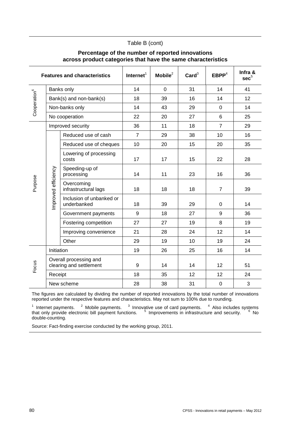#### Table B (cont)

#### **Percentage of the number of reported innovations across product categories that have the same characteristics**

| <b>Features and characteristics</b>                                                                                                                                                                                                                                                                                                                                                                                                                                                                                                            |                                                   | Internet <sup>1</sup>                   | Mobile $^2$    | $\text{Card}^3$ | EBPP <sup>4</sup> | Infra &<br>sec <sup>5</sup>                      |    |
|------------------------------------------------------------------------------------------------------------------------------------------------------------------------------------------------------------------------------------------------------------------------------------------------------------------------------------------------------------------------------------------------------------------------------------------------------------------------------------------------------------------------------------------------|---------------------------------------------------|-----------------------------------------|----------------|-----------------|-------------------|--------------------------------------------------|----|
| Cooperation <sup>6</sup>                                                                                                                                                                                                                                                                                                                                                                                                                                                                                                                       |                                                   | Banks only                              | 14             | $\mathbf 0$     | 31                | 14                                               | 41 |
|                                                                                                                                                                                                                                                                                                                                                                                                                                                                                                                                                |                                                   | Bank(s) and non-bank(s)                 | 18             | 39              | 16                | 14                                               | 12 |
|                                                                                                                                                                                                                                                                                                                                                                                                                                                                                                                                                |                                                   | Non-banks only                          | 14             | 43              | 29                | 0                                                | 14 |
|                                                                                                                                                                                                                                                                                                                                                                                                                                                                                                                                                |                                                   | No cooperation                          | 22             | 20              | 27                | 6                                                | 25 |
| Purpose                                                                                                                                                                                                                                                                                                                                                                                                                                                                                                                                        |                                                   | Improved security                       | 36             | 11              | 18                | $\overline{7}$                                   | 29 |
|                                                                                                                                                                                                                                                                                                                                                                                                                                                                                                                                                |                                                   | Reduced use of cash                     | $\overline{7}$ | 29              | 38                | 10                                               | 16 |
|                                                                                                                                                                                                                                                                                                                                                                                                                                                                                                                                                |                                                   | Reduced use of cheques                  | 10             | 20              | 15                | 20                                               | 35 |
|                                                                                                                                                                                                                                                                                                                                                                                                                                                                                                                                                |                                                   | Lowering of processing<br>costs         | 17             | 17              | 15                | 22                                               | 28 |
|                                                                                                                                                                                                                                                                                                                                                                                                                                                                                                                                                |                                                   | Speeding-up of<br>processing            | 14             | 11              | 23                | 16                                               | 36 |
|                                                                                                                                                                                                                                                                                                                                                                                                                                                                                                                                                | Improved efficiency                               | Overcoming<br>infrastructural lags      | 18             | 18              | 18                | $\overline{7}$                                   | 39 |
|                                                                                                                                                                                                                                                                                                                                                                                                                                                                                                                                                |                                                   | Inclusion of unbanked or<br>underbanked | 18             | 39              | 29                | 0                                                | 14 |
|                                                                                                                                                                                                                                                                                                                                                                                                                                                                                                                                                |                                                   | Government payments                     | 9              | 18              | 27                | 9                                                | 36 |
|                                                                                                                                                                                                                                                                                                                                                                                                                                                                                                                                                |                                                   | Fostering competition                   | 27             | 27              | 19                | 8                                                | 19 |
|                                                                                                                                                                                                                                                                                                                                                                                                                                                                                                                                                |                                                   | Improving convenience                   | 21             | 28              | 24                | 12                                               | 14 |
|                                                                                                                                                                                                                                                                                                                                                                                                                                                                                                                                                |                                                   | Other                                   | 29             | 19              | 10                | 19                                               | 24 |
|                                                                                                                                                                                                                                                                                                                                                                                                                                                                                                                                                | Initiation                                        |                                         | 19             | 26              | 25                | 16                                               | 14 |
| Focus                                                                                                                                                                                                                                                                                                                                                                                                                                                                                                                                          | Overall processing and<br>clearing and settlement |                                         | 9              | 14              | 14                | 12                                               | 51 |
|                                                                                                                                                                                                                                                                                                                                                                                                                                                                                                                                                | Receipt                                           |                                         | 18             | 35              | 12                | 12                                               | 24 |
|                                                                                                                                                                                                                                                                                                                                                                                                                                                                                                                                                |                                                   | New scheme                              | 28             | 38              | 31                | $\mathbf 0$                                      | 3  |
| The figures are calculated by dividing the number of reported innovations by the total number of innovations<br>reported under the respective features and characteristics. May not sum to 100% due to rounding.<br>$1$ Internet payments. $2$ Mobile payments. $3$ Innovative use of card payments. $4$ Also includes systems<br><sup>5</sup> Improvements in infrastructure and security.<br>that only provide electronic bill payment functions.<br>double-counting.<br>Source: Fact-finding exercise conducted by the working group, 2011. |                                                   |                                         |                |                 |                   | $6$ No                                           |    |
|                                                                                                                                                                                                                                                                                                                                                                                                                                                                                                                                                |                                                   |                                         |                |                 |                   |                                                  |    |
| 80                                                                                                                                                                                                                                                                                                                                                                                                                                                                                                                                             |                                                   |                                         |                |                 |                   | CPSS - Innovations in retail payments - May 2012 |    |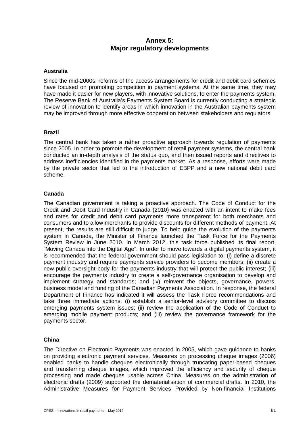## **Annex 5: Major regulatory developments**

#### **Australia**

Since the mid-2000s, reforms of the access arrangements for credit and debit card schemes have focused on promoting competition in payment systems. At the same time, they may have made it easier for new players, with innovative solutions, to enter the payments system. The Reserve Bank of Australia's Payments System Board is currently conducting a strategic review of innovation to identify areas in which innovation in the Australian payments system may be improved through more effective cooperation between stakeholders and regulators.

#### **Brazil**

The central bank has taken a rather proactive approach towards regulation of payments since 2005. In order to promote the development of retail payment systems, the central bank conducted an in-depth analysis of the status quo, and then issued reports and directives to address inefficiencies identified in the payments market. As a response, efforts were made by the private sector that led to the introduction of EBPP and a new national debit card scheme.

#### **Canada**

The Canadian government is taking a proactive approach. The Code of Conduct for the Credit and Debit Card Industry in Canada (2010) was enacted with an intent to make fees and rates for credit and debit card payments more transparent for both merchants and consumers and to allow merchants to provide discounts for different methods of payment. At present, the results are still difficult to judge. To help guide the evolution of the payments system in Canada, the Minister of Finance launched the Task Force for the Payments System Review in June 2010. In March 2012, this task force published its final report, "Moving Canada into the Digital Age". In order to move towards a digital payments system, it is recommended that the federal government should pass legislation to: (i) define a discrete payment industry and require payments service providers to become members; (ii) create a new public oversight body for the payments industry that will protect the public interest; (iii) encourage the payments industry to create a self-governance organisation to develop and implement strategy and standards; and (iv) reinvent the objects, governance, powers, business model and funding of the Canadian Payments Association. In response, the federal Department of Finance has indicated it will assess the Task Force recommendations and take three immediate actions: (i) establish a senior-level advisory committee to discuss emerging payments system issues; (ii) review the application of the Code of Conduct to emerging mobile payment products; and (iii) review the governance framework for the payments sector.

#### **China**

The Directive on Electronic Payments was enacted in 2005, which gave guidance to banks on providing electronic payment services. Measures on processing cheque images (2006) enabled banks to handle cheques electronically through truncating paper-based cheques and transferring cheque images, which improved the efficiency and security of cheque processing and made cheques usable across China. Measures on the administration of electronic drafts (2009) supported the dematerialisation of commercial drafts. In 2010, the Administrative Measures for Payment Services Provided by Non-financial Institutions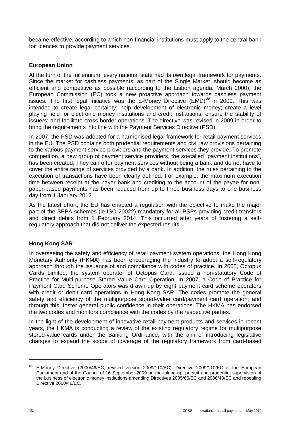became effective, according to which non-financial institutions must apply to the central bank for licences to provide payment services.

## **European Union**

At the turn of the millennium, every national state had its own legal framework for payments. Since the market for cashless payments, as part of the Single Market, should become as efficient and competitive as possible (according to the Lisbon agenda, March 2000), the European Commission (EC) took a new proactive approach towards cashless payment issues. The first legal initiative was the E-Money Directive (EMD) <sup>88</sup> in 2000. This was intended to create legal certainty; help development of electronic money; create a level playing field for electronic money institutions and credit institutions; ensure the stability of issuers; and facilitate cross-border operations. The directive was revised in 2009 in order to bring the requirements into line with the Payment Services Directive (PSD).

In 2007, the PSD was adopted for a harmonised legal framework for retail payment services in the EU. The PSD contains both prudential requirements and civil law provisions pertaining to the various payment service providers and the payment services they provide. To promote competition, a new group of payment service providers, the so-called "payment institutions", has been created. They can offer payment services without being a bank and do not have to cover the entire range of services provided by a bank. In addition, the rules pertaining to the execution of transactions have been clearly defined. For example, the maximum execution time between receipt at the payer bank and crediting to the account of the payee for nonpaper-based payments has been reduced from up to three business days to one business day from 1 January 2012.

As the latest effort, the EU has enacted a regulation with the objective to make the major part of the SEPA schemes (ie ISO 20022) mandatory for all PSPs providing credit transfers and direct debits from 1 February 2014. This occurred after years of fostering a selfregulatory approach that did not deliver the expected results.

## **Hong Kong SAR**

In overseeing the safety and efficiency of retail payment system operations, the Hong Kong Monetary Authority (HKMA) has been encouraging the industry to adopt a self-regulatory approach through the issuance of and compliance with codes of practice. In 2005, Octopus Cards Limited, the system operator of Octopus Card, issued a non-statutory Code of Practice for Multi-purpose Stored Value Card Operation. In 2007, a Code of Practice for Payment Card Scheme Operators was drawn up by eight payment card scheme operators with credit or debit card operations in Hong Kong SAR. The codes promote the general safety and efficiency of the multipurpose stored-value card/payment card operation; and through this, foster general public confidence in their operations. The HKMA has endorsed the two codes and monitors compliance with the codes by the respective parties.

In the light of the development of innovative retail payment products and services in recent years, the HKMA is conducting a review of the existing regulatory regime for multipurpose stored-value cards under the Banking Ordinance, with the aim of introducing legislative changes to expand the scope of coverage of the regulatory framework from card-based

 $\ddot{\phantom{a}}$ 

<sup>88</sup> E-Money Directive (2000/46/EC, revised version 2009/110/EC): Directive 2009/110/EC of the European Parliament and of the Council of 16 September 2009 on the taking-up, pursuit and prudential supervision of the business of electronic money institutions amending Directives 2005/60/EC and 2006/48/EC and repealing Directive 2000/46/EC.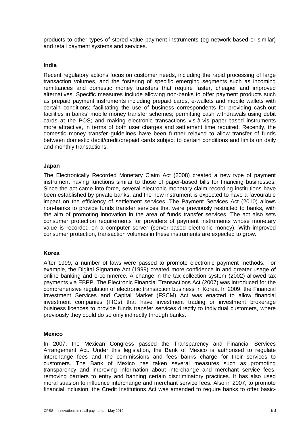products to other types of stored-value payment instruments (eg network-based or similar) and retail payment systems and services.

#### **India**

Recent regulatory actions focus on customer needs, including the rapid processing of large transaction volumes, and the fostering of specific emerging segments such as incoming remittances and domestic money transfers that require faster, cheaper and improved alternatives. Specific measures include allowing non-banks to offer payment products such as prepaid payment instruments including prepaid cards, e-wallets and mobile wallets with certain conditions; facilitating the use of business correspondents for providing cash-out facilities in banks' mobile money transfer schemes; permitting cash withdrawals using debit cards at the POS; and making electronic transactions vis-à-vis paper-based instruments more attractive, in terms of both user charges and settlement time required. Recently, the domestic money transfer guidelines have been further relaxed to allow transfer of funds between domestic debit/credit/prepaid cards subject to certain conditions and limits on daily and monthly transactions.

#### **Japan**

The Electronically Recorded Monetary Claim Act (2008) created a new type of payment instrument having functions similar to those of paper-based bills for financing businesses. Since the act came into force, several electronic monetary claim recording institutions have been established by private banks, and the new instrument is expected to have a favourable impact on the efficiency of settlement services. The Payment Services Act (2010) allows non-banks to provide funds transfer services that were previously restricted to banks, with the aim of promoting innovation in the area of funds transfer services. The act also sets consumer protection requirements for providers of payment instruments whose monetary value is recorded on a computer server (server-based electronic money). With improved consumer protection, transaction volumes in these instruments are expected to grow.

#### **Korea**

After 1999, a number of laws were passed to promote electronic payment methods. For example, the Digital Signature Act (1999) created more confidence in and greater usage of online banking and e-commerce. A change in the tax collection system (2002) allowed tax payments via EBPP. The Electronic Financial Transactions Act (2007) was introduced for the comprehensive regulation of electronic transaction business in Korea. In 2009, the Financial Investment Services and Capital Market (FSCM) Act was enacted to allow financial investment companies (FICs) that have investment trading or investment brokerage business licences to provide funds transfer services directly to individual customers, where previously they could do so only indirectly through banks.

#### **Mexico**

In 2007, the Mexican Congress passed the Transparency and Financial Services Arrangement Act. Under this legislation, the Bank of Mexico is authorised to regulate interchange fees and the commissions and fees banks charge for their services to customers. The Bank of Mexico has taken several measures such as promoting transparency and improving information about interchange and merchant service fees, removing barriers to entry and banning certain discriminatory practices. It has also used moral suasion to influence interchange and merchant service fees. Also in 2007, to promote financial inclusion, the Credit Institutions Act was amended to require banks to offer basic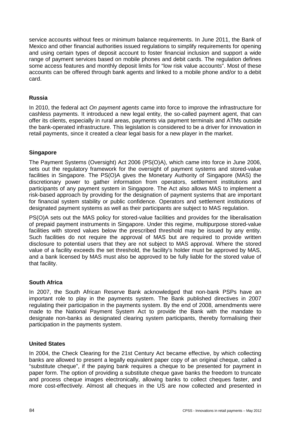service accounts without fees or minimum balance requirements. In June 2011, the Bank of Mexico and other financial authorities issued regulations to simplify requirements for opening and using certain types of deposit account to foster financial inclusion and support a wide range of payment services based on mobile phones and debit cards. The regulation defines some access features and monthly deposit limits for "low risk value accounts". Most of these accounts can be offered through bank agents and linked to a mobile phone and/or to a debit card.

## **Russia**

In 2010, the federal act *On payment agents* came into force to improve the infrastructure for cashless payments. It introduced a new legal entity, the so-called payment agent, that can offer its clients, especially in rural areas, payments via payment terminals and ATMs outside the bank-operated infrastructure. This legislation is considered to be a driver for innovation in retail payments, since it created a clear legal basis for a new player in the market.

## **Singapore**

The Payment Systems (Oversight) Act 2006 (PS(O)A), which came into force in June 2006, sets out the regulatory framework for the oversight of payment systems and stored-value facilities in Singapore. The PS(O)A gives the Monetary Authority of Singapore (MAS) the discretionary power to gather information from operators, settlement institutions and participants of any payment system in Singapore. The Act also allows MAS to implement a risk-based approach by providing for the designation of payment systems that are important for financial system stability or public confidence. Operators and settlement institutions of designated payment systems as well as their participants are subject to MAS regulation.

PS(O)A sets out the MAS policy for stored-value facilities and provides for the liberalisation of prepaid payment instruments in Singapore. Under this regime, multipurpose stored-value facilities with stored values below the prescribed threshold may be issued by any entity. Such facilities do not require the approval of MAS but are required to provide written disclosure to potential users that they are not subject to MAS approval. Where the stored value of a facility exceeds the set threshold, the facility's holder must be approved by MAS, and a bank licensed by MAS must also be approved to be fully liable for the stored value of that facility.

#### **South Africa**

In 2007, the South African Reserve Bank acknowledged that non-bank PSPs have an important role to play in the payments system. The Bank published directives in 2007 regulating their participation in the payments system. By the end of 2008, amendments were made to the National Payment System Act to provide the Bank with the mandate to designate non-banks as designated clearing system participants, thereby formalising their participation in the payments system.

#### **United States**

In 2004, the Check Clearing for the 21st Century Act became effective, by which collecting banks are allowed to present a legally equivalent paper copy of an original cheque, called a "substitute cheque", if the paying bank requires a cheque to be presented for payment in paper form. The option of providing a substitute cheque gave banks the freedom to truncate and process cheque images electronically, allowing banks to collect cheques faster, and more cost-effectively. Almost all cheques in the US are now collected and presented in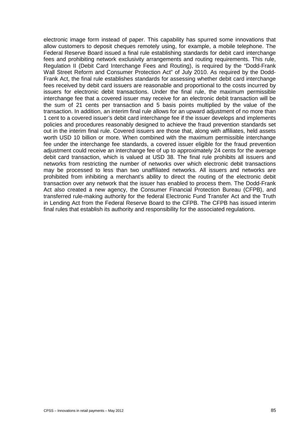electronic image form instead of paper. This capability has spurred some innovations that allow customers to deposit cheques remotely using, for example, a mobile telephone. The Federal Reserve Board issued a final rule establishing standards for debit card interchange fees and prohibiting network exclusivity arrangements and routing requirements. This rule, Regulation II (Debit Card Interchange Fees and Routing), is required by the "Dodd-Frank Wall Street Reform and Consumer Protection Act" of July 2010. As required by the Dodd-Frank Act, the final rule establishes standards for assessing whether debit card interchange fees received by debit card issuers are reasonable and proportional to the costs incurred by issuers for electronic debit transactions. Under the final rule, the maximum permissible interchange fee that a covered issuer may receive for an electronic debit transaction will be the sum of 21 cents per transaction and 5 basis points multiplied by the value of the transaction. In addition, an interim final rule allows for an upward adjustment of no more than 1 cent to a covered issuer's debit card interchange fee if the issuer develops and implements policies and procedures reasonably designed to achieve the fraud prevention standards set out in the interim final rule. Covered issuers are those that, along with affiliates, held assets worth USD 10 billion or more. When combined with the maximum permissible interchange fee under the interchange fee standards, a covered issuer eligible for the fraud prevention adjustment could receive an interchange fee of up to approximately 24 cents for the average debit card transaction, which is valued at USD 38. The final rule prohibits all issuers and networks from restricting the number of networks over which electronic debit transactions may be processed to less than two unaffiliated networks. All issuers and networks are prohibited from inhibiting a merchant's ability to direct the routing of the electronic debit transaction over any network that the issuer has enabled to process them. The Dodd-Frank Act also created a new agency, the Consumer Financial Protection Bureau (CFPB), and transferred rule-making authority for the federal Electronic Fund Transfer Act and the Truth in Lending Act from the Federal Reserve Board to the CFPB. The CFPB has issued interim final rules that establish its authority and responsibility for the associated regulations.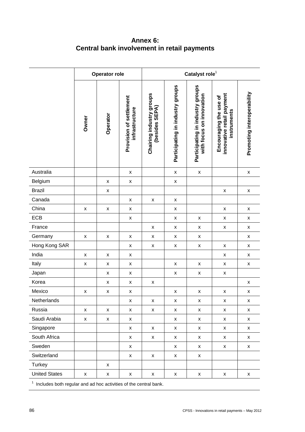**Annex 6: Central bank involvement in retail payments**

|                      | <b>Operator role</b> |                    |                                           | Catalyst role <sup>1</sup>                 |                                  |                                                              |                                                                    |                            |  |
|----------------------|----------------------|--------------------|-------------------------------------------|--------------------------------------------|----------------------------------|--------------------------------------------------------------|--------------------------------------------------------------------|----------------------------|--|
|                      | Owner                | Operator           | Provision of settlement<br>infrastructure | Chairing industry groups<br>(besides SEPA) | Participating in industry groups | Participating in industry groups<br>with focus on innovation | innovative retail payment<br>Encouraging the use of<br>instruments | Promoting interoperability |  |
| Australia            |                      |                    | $\pmb{\mathsf{X}}$                        |                                            | $\pmb{\mathsf{x}}$               | $\pmb{\mathsf{x}}$                                           |                                                                    | $\pmb{\mathsf{X}}$         |  |
| Belgium              |                      | x                  | X                                         |                                            | $\pmb{\mathsf{x}}$               |                                                              |                                                                    |                            |  |
| <b>Brazil</b>        |                      | x                  |                                           |                                            |                                  |                                                              | X                                                                  | X                          |  |
| Canada               |                      |                    | X                                         | X                                          | $\pmb{\mathsf{x}}$               |                                                              |                                                                    |                            |  |
| China                | X                    | X                  | X                                         |                                            | $\pmb{\mathsf{X}}$               |                                                              | $\pmb{\mathsf{x}}$                                                 | $\pmb{\mathsf{x}}$         |  |
| ECB                  |                      |                    | X                                         |                                            | $\pmb{\mathsf{x}}$               | $\pmb{\mathsf{X}}$                                           | X                                                                  | $\pmb{\mathsf{x}}$         |  |
| France               |                      |                    |                                           | X                                          | $\pmb{\mathsf{x}}$               | $\pmb{\mathsf{X}}$                                           | X                                                                  | $\pmb{\mathsf{X}}$         |  |
| Germany              | X                    | X                  | X                                         | X                                          | X                                | X                                                            |                                                                    | X                          |  |
| Hong Kong SAR        |                      |                    | x                                         | x                                          | X                                | x                                                            | $\pmb{\mathsf{x}}$                                                 | X                          |  |
| India                | X                    | x                  | x                                         |                                            |                                  |                                                              | X                                                                  | X                          |  |
| Italy                | X                    | X                  | X                                         |                                            | $\pmb{\mathsf{x}}$               | X                                                            | $\pmb{\mathsf{X}}$                                                 | X                          |  |
| Japan                |                      | $\pmb{\mathsf{X}}$ | X                                         |                                            | $\pmb{\mathsf{x}}$               | $\pmb{\mathsf{X}}$                                           | $\pmb{\mathsf{x}}$                                                 |                            |  |
| Korea                |                      | $\pmb{\mathsf{X}}$ | X                                         | X                                          |                                  |                                                              |                                                                    | $\pmb{\mathsf{X}}$         |  |
| Mexico               | X                    | X                  | X                                         |                                            | $\pmb{\mathsf{X}}$               | X                                                            | $\pmb{\mathsf{X}}$                                                 | $\pmb{\mathsf{X}}$         |  |
| Netherlands          |                      |                    | X                                         | X                                          | $\pmb{\mathsf{x}}$               | X                                                            | X                                                                  | $\pmb{\mathsf{x}}$         |  |
| Russia               | $\pmb{\mathsf{x}}$   | X                  | X                                         | X                                          | $\pmb{\mathsf{X}}$               | X                                                            | $\pmb{\mathsf{x}}$                                                 | X                          |  |
| Saudi Arabia         | X                    | X                  | X                                         |                                            | $\pmb{\mathsf{X}}$               | X                                                            | $\pmb{\mathsf{x}}$                                                 | X                          |  |
| Singapore            |                      |                    | X                                         | $\mathsf{x}$                               | $\pmb{\mathsf{X}}$               | $\pmb{\mathsf{X}}$                                           | $\pmb{\mathsf{x}}$                                                 | $\mathsf{x}$               |  |
| South Africa         |                      |                    | X                                         | X                                          | $\pmb{\mathsf{X}}$               | X                                                            | $\pmb{\mathsf{X}}$                                                 | X                          |  |
| Sweden               |                      |                    | X                                         |                                            | $\pmb{\mathsf{X}}$               | X                                                            | $\pmb{\mathsf{X}}$                                                 | X                          |  |
| Switzerland          |                      |                    | X                                         | X                                          | X                                | X                                                            |                                                                    |                            |  |
| Turkey               |                      | X                  |                                           |                                            |                                  |                                                              |                                                                    |                            |  |
| <b>United States</b> | X                    | X                  | X                                         | X                                          | X                                | X                                                            | X                                                                  | $\pmb{\mathsf{X}}$         |  |

 $1$  Includes both regular and ad hoc activities of the central bank.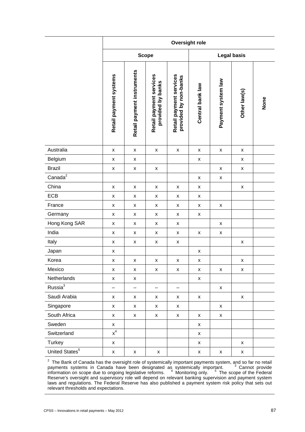|                            | <b>Oversight role</b>  |                            |                                              |                                                  |                    |                    |                    |      |  |
|----------------------------|------------------------|----------------------------|----------------------------------------------|--------------------------------------------------|--------------------|--------------------|--------------------|------|--|
|                            | <b>Scope</b>           |                            |                                              |                                                  | <b>Legal basis</b> |                    |                    |      |  |
|                            | Retail payment systems | Retail payment instruments | Retail payment services<br>provided by banks | Retail payment services<br>provided by non-banks | Central bank law   | Payment system law | Other law(s)       | None |  |
| Australia                  | $\pmb{\mathsf{X}}$     | $\pmb{\mathsf{X}}$         | $\pmb{\mathsf{X}}$                           | $\pmb{\mathsf{X}}$                               | $\pmb{\mathsf{x}}$ | $\pmb{\mathsf{X}}$ | $\pmb{\mathsf{x}}$ |      |  |
| Belgium                    | X                      | $\pmb{\mathsf{x}}$         |                                              |                                                  | X                  |                    | X                  |      |  |
| <b>Brazil</b>              | $\pmb{\mathsf{X}}$     | $\pmb{\mathsf{X}}$         | $\pmb{\mathsf{X}}$                           |                                                  |                    | $\pmb{\mathsf{x}}$ | $\pmb{\mathsf{X}}$ |      |  |
| $\text{Canada}^2$          |                        |                            |                                              |                                                  | $\pmb{\mathsf{X}}$ | $\pmb{\mathsf{x}}$ |                    |      |  |
| China                      | $\pmb{\mathsf{x}}$     | $\pmb{\mathsf{x}}$         | $\pmb{\mathsf{X}}$                           | $\pmb{\mathsf{X}}$                               | $\pmb{\mathsf{x}}$ |                    | $\pmb{\mathsf{x}}$ |      |  |
| ECB                        | $\pmb{\mathsf{x}}$     | $\pmb{\mathsf{x}}$         | $\pmb{\mathsf{X}}$                           | $\pmb{\mathsf{x}}$                               | $\pmb{\mathsf{x}}$ |                    |                    |      |  |
| France                     | $\pmb{\mathsf{x}}$     | $\pmb{\mathsf{x}}$         | $\pmb{\mathsf{x}}$                           | X                                                | $\pmb{\mathsf{X}}$ | $\pmb{\mathsf{X}}$ |                    |      |  |
| Germany                    | X                      | $\pmb{\mathsf{x}}$         | $\pmb{\mathsf{x}}$                           | X                                                | X                  |                    |                    |      |  |
| Hong Kong SAR              | X                      | X                          | $\pmb{\mathsf{x}}$                           | X                                                |                    | X                  |                    |      |  |
| India                      | X                      | $\pmb{\mathsf{x}}$         | $\pmb{\mathsf{x}}$                           | X                                                | $\pmb{\mathsf{x}}$ | $\pmb{\mathsf{X}}$ |                    |      |  |
| Italy                      | X                      | $\pmb{\mathsf{X}}$         | $\pmb{\mathsf{X}}$                           | X                                                |                    |                    | $\pmb{\mathsf{x}}$ |      |  |
| Japan                      | $\pmb{\mathsf{X}}$     |                            |                                              |                                                  | $\pmb{\mathsf{X}}$ |                    |                    |      |  |
| Korea                      | X                      | $\pmb{\mathsf{x}}$         | $\pmb{\mathsf{X}}$                           | X                                                | $\pmb{\mathsf{X}}$ |                    | $\pmb{\mathsf{x}}$ |      |  |
| Mexico                     | X                      | $\pmb{\mathsf{x}}$         | $\pmb{\mathsf{x}}$                           | X                                                | X                  | X                  | $\pmb{\mathsf{x}}$ |      |  |
| Netherlands                | X                      | X                          |                                              |                                                  | $\pmb{\mathsf{X}}$ |                    |                    |      |  |
| Russia <sup>3</sup>        | —                      | $\overline{\phantom{0}}$   | $\qquad \qquad -$                            | $\overline{\phantom{0}}$                         |                    | X                  |                    |      |  |
| Saudi Arabia               | $\pmb{\mathsf{x}}$     | X                          | X                                            | X                                                | X                  |                    | X                  |      |  |
| Singapore                  | $\pmb{\mathsf{x}}$     | $\pmb{\mathsf{x}}$         | X                                            | X                                                |                    | X                  |                    |      |  |
| South Africa               | $\pmb{\mathsf{x}}$     | X                          | X                                            | X                                                | x                  | X                  |                    |      |  |
| Sweden                     | X                      |                            |                                              |                                                  | X                  |                    |                    |      |  |
| Switzerland                | $\mathsf{x}^4$         |                            |                                              |                                                  | X                  |                    |                    |      |  |
| <b>Turkey</b>              | X                      |                            |                                              |                                                  | X                  |                    | X                  |      |  |
| United States <sup>5</sup> | $\pmb{\mathsf{X}}$     | $\pmb{\mathsf{X}}$         | $\pmb{\mathsf{x}}$                           |                                                  | $\pmb{\mathsf{x}}$ | $\pmb{\mathsf{x}}$ | X                  |      |  |

 $2$  The Bank of Canada has the oversight role of systemically important payments system, and so far no retail payments systems in Canada have been designated as systemically important. <sup>3</sup> Cannot provide information on scope due to ongoing legislative reforms. 4 Monitoring only. <sup>5</sup> The scope of the Federal Reserve's oversight and supervisory role will depend on relevant banking supervision and payment system laws and regulations. The Federal Reserve has also published a payment system risk policy that sets out relevant thresholds and expectations.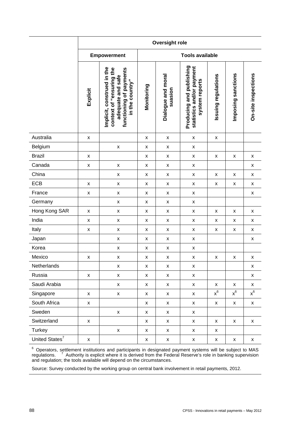|                            | <b>Oversight role</b> |                                                                                                                           |                        |                               |                                                                         |                     |                    |                     |  |  |
|----------------------------|-----------------------|---------------------------------------------------------------------------------------------------------------------------|------------------------|-------------------------------|-------------------------------------------------------------------------|---------------------|--------------------|---------------------|--|--|
|                            |                       | <b>Empowerment</b>                                                                                                        | <b>Tools available</b> |                               |                                                                         |                     |                    |                     |  |  |
|                            | Explicit              | Implicit, construed in the<br>context of "ensuring the<br>functioning of payments<br>adequate and safe<br>in the country" | Monitoring             | Dialogue and moral<br>suasion | Producing and publishing<br>statistics and/or payment<br>system reports | Issuing regulations | Imposing sanctions | On-site inspections |  |  |
| Australia                  | $\pmb{\mathsf{x}}$    |                                                                                                                           | $\pmb{\mathsf{x}}$     | $\pmb{\times}$                | $\pmb{\mathsf{X}}$                                                      | $\pmb{\mathsf{x}}$  |                    |                     |  |  |
| Belgium                    |                       | $\pmb{\mathsf{X}}$                                                                                                        | $\pmb{\mathsf{x}}$     | X                             | X                                                                       |                     |                    |                     |  |  |
| <b>Brazil</b>              | $\pmb{\mathsf{x}}$    |                                                                                                                           | X                      | X                             | $\pmb{\mathsf{x}}$                                                      | $\pmb{\mathsf{x}}$  | $\pmb{\mathsf{X}}$ | $\pmb{\mathsf{X}}$  |  |  |
| Canada                     | $\pmb{\mathsf{X}}$    | X                                                                                                                         | X                      | X                             | X                                                                       |                     |                    | $\pmb{\mathsf{X}}$  |  |  |
| China                      |                       | X                                                                                                                         | X                      | $\pmb{\mathsf{x}}$            | X                                                                       | X                   | $\pmb{\mathsf{x}}$ | X                   |  |  |
| ECB                        | $\pmb{\mathsf{x}}$    | X                                                                                                                         | X                      | X                             | X                                                                       | X                   | X                  | X                   |  |  |
| France                     | $\pmb{\mathsf{x}}$    | X                                                                                                                         | X                      | X                             | X                                                                       |                     |                    | X                   |  |  |
| Germany                    |                       | $\pmb{\mathsf{X}}$                                                                                                        | X                      | $\pmb{\mathsf{x}}$            | X                                                                       |                     |                    |                     |  |  |
| Hong Kong SAR              | $\pmb{\mathsf{x}}$    | X                                                                                                                         | $\pmb{\mathsf{X}}$     | $\pmb{\mathsf{x}}$            | X                                                                       | $\pmb{\mathsf{X}}$  | $\pmb{\mathsf{X}}$ | $\pmb{\mathsf{x}}$  |  |  |
| India                      | $\pmb{\mathsf{x}}$    | X                                                                                                                         | X                      | $\pmb{\mathsf{x}}$            | X                                                                       | x                   | X                  | X                   |  |  |
| Italy                      | $\pmb{\mathsf{x}}$    | X                                                                                                                         | $\pmb{\mathsf{X}}$     | X                             | X                                                                       | X                   | X                  | $\pmb{\mathsf{X}}$  |  |  |
| Japan                      |                       | X                                                                                                                         | X                      | $\pmb{\mathsf{x}}$            | X                                                                       |                     |                    | $\pmb{\mathsf{X}}$  |  |  |
| Korea                      |                       | X                                                                                                                         | X                      | X                             | X                                                                       |                     |                    |                     |  |  |
| Mexico                     | X                     | $\pmb{\mathsf{X}}$                                                                                                        | X                      | x                             | x                                                                       | X                   | X                  | X                   |  |  |
| <b>Netherlands</b>         |                       | x                                                                                                                         | x                      | X.                            | X                                                                       |                     |                    | X                   |  |  |
| Russia                     | $\pmb{\mathsf{X}}$    | X                                                                                                                         | X                      | X                             | X                                                                       |                     |                    | x                   |  |  |
| Saudi Arabia               |                       | X                                                                                                                         | X                      | X                             | $\pmb{\mathsf{X}}$                                                      | X                   | X                  | X                   |  |  |
| Singapore                  | X                     | X                                                                                                                         | x                      | X                             | X                                                                       | $x^6$               | $x^6$              | $x^6$               |  |  |
| South Africa               | $\pmb{\mathsf{X}}$    |                                                                                                                           | X                      | X                             | X                                                                       | X                   | X                  | X                   |  |  |
| Sweden                     |                       | X                                                                                                                         | X                      | X                             | x                                                                       |                     |                    |                     |  |  |
| Switzerland                | $\pmb{\mathsf{x}}$    |                                                                                                                           | x                      | X                             | X                                                                       | X                   | X                  | X                   |  |  |
| Turkey                     |                       | X                                                                                                                         | x                      | X                             | X                                                                       | X                   |                    |                     |  |  |
| United States <sup>7</sup> | $\pmb{\mathsf{X}}$    |                                                                                                                           | X                      | X                             | X                                                                       | X                   | X                  | X                   |  |  |

 $6$  Operators, settlement institutions and participants in designated payment systems will be subject to MAS regulations. <sup>7</sup> Authority is explicit where it is derived from the Federal Reserve's role in banking supervision and regulation; the tools available will depend on the circumstances.

Source: Survey conducted by the working group on central bank involvement in retail payments, 2012.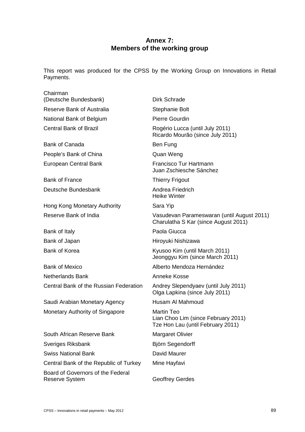# **Annex 7: Members of the working group**

This report was produced for the CPSS by the Working Group on Innovations in Retail Payments.

| Chairman<br>(Deutsche Bundesbank)                   | Dirk Schrade                                                                           |
|-----------------------------------------------------|----------------------------------------------------------------------------------------|
| Reserve Bank of Australia                           | <b>Stephanie Bolt</b>                                                                  |
| National Bank of Belgium                            | Pierre Gourdin                                                                         |
| <b>Central Bank of Brazil</b>                       | Rogério Lucca (until July 2011)<br>Ricardo Mourão (since July 2011)                    |
| <b>Bank of Canada</b>                               | Ben Fung                                                                               |
| People's Bank of China                              | Quan Weng                                                                              |
| European Central Bank                               | Francisco Tur Hartmann<br>Juan Zschiesche Sánchez                                      |
| <b>Bank of France</b>                               | <b>Thierry Frigout</b>                                                                 |
| Deutsche Bundesbank                                 | Andrea Friedrich<br><b>Heike Winter</b>                                                |
| Hong Kong Monetary Authority                        | Sara Yip                                                                               |
| Reserve Bank of India                               | Vasudevan Parameswaran (until August 2011)<br>Charulatha S Kar (since August 2011)     |
| Bank of Italy                                       | Paola Giucca                                                                           |
| Bank of Japan                                       | Hiroyuki Nishizawa                                                                     |
| Bank of Korea                                       | Kyusoo Kim (until March 2011)<br>Jeonggyu Kim (since March 2011)                       |
| <b>Bank of Mexico</b>                               | Alberto Mendoza Hernández                                                              |
| <b>Netherlands Bank</b>                             | Anneke Kosse                                                                           |
| Central Bank of the Russian Federation              | Andrey Slependyaev (until July 2011)<br>Olga Lapkina (since July 2011)                 |
| Saudi Arabian Monetary Agency                       | Husam AI Mahmoud                                                                       |
| Monetary Authority of Singapore                     | Martin Teo<br>Lian Choo Lim (since February 2011)<br>Tze Hon Lau (until February 2011) |
| South African Reserve Bank                          | <b>Margaret Olivier</b>                                                                |
| Sveriges Riksbank                                   | Björn Segendorff                                                                       |
| <b>Swiss National Bank</b>                          | David Maurer                                                                           |
| Central Bank of the Republic of Turkey              | Mine Hayfavi                                                                           |
| Board of Governors of the Federal<br>Reserve System | <b>Geoffrey Gerdes</b>                                                                 |